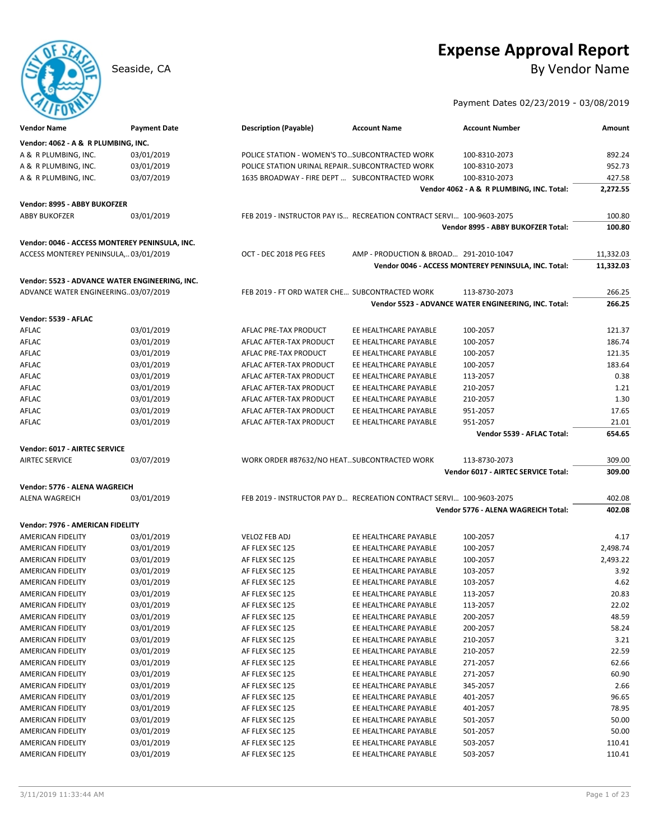# **Expense Approval Report**

Seaside, CA By Vendor Name

Payment Dates 02/23/2019 - 03/08/2019

| <b>Vendor Name</b>                             | <b>Payment Date</b> | <b>Description (Payable)</b>                                         | <b>Account Name</b>                    | <b>Account Number</b>                                | Amount    |
|------------------------------------------------|---------------------|----------------------------------------------------------------------|----------------------------------------|------------------------------------------------------|-----------|
| Vendor: 4062 - A & R PLUMBING, INC.            |                     |                                                                      |                                        |                                                      |           |
| A & R PLUMBING, INC.                           | 03/01/2019          | POLICE STATION - WOMEN'S TO SUBCONTRACTED WORK                       |                                        | 100-8310-2073                                        | 892.24    |
| A & R PLUMBING, INC.                           | 03/01/2019          | POLICE STATION URINAL REPAIR SUBCONTRACTED WORK                      |                                        | 100-8310-2073                                        | 952.73    |
| A & R PLUMBING, INC.                           | 03/07/2019          | 1635 BROADWAY - FIRE DEPT  SUBCONTRACTED WORK                        |                                        | 100-8310-2073                                        | 427.58    |
|                                                |                     |                                                                      |                                        | Vendor 4062 - A & R PLUMBING, INC. Total:            | 2,272.55  |
| Vendor: 8995 - ABBY BUKOFZER                   |                     |                                                                      |                                        |                                                      |           |
| <b>ABBY BUKOFZER</b>                           | 03/01/2019          | FEB 2019 - INSTRUCTOR PAY IS RECREATION CONTRACT SERVI 100-9603-2075 |                                        |                                                      | 100.80    |
|                                                |                     |                                                                      |                                        | Vendor 8995 - ABBY BUKOFZER Total:                   | 100.80    |
|                                                |                     |                                                                      |                                        |                                                      |           |
| Vendor: 0046 - ACCESS MONTEREY PENINSULA, INC. |                     |                                                                      |                                        |                                                      |           |
| ACCESS MONTEREY PENINSULA,03/01/2019           |                     | OCT - DEC 2018 PEG FEES                                              | AMP - PRODUCTION & BROAD 291-2010-1047 |                                                      | 11,332.03 |
|                                                |                     |                                                                      |                                        | Vendor 0046 - ACCESS MONTEREY PENINSULA, INC. Total: | 11,332.03 |
| Vendor: 5523 - ADVANCE WATER ENGINEERING, INC. |                     |                                                                      |                                        |                                                      |           |
| ADVANCE WATER ENGINEERING03/07/2019            |                     | FEB 2019 - FT ORD WATER CHE SUBCONTRACTED WORK                       |                                        | 113-8730-2073                                        | 266.25    |
|                                                |                     |                                                                      |                                        | Vendor 5523 - ADVANCE WATER ENGINEERING, INC. Total: | 266.25    |
| Vendor: 5539 - AFLAC                           |                     |                                                                      |                                        |                                                      |           |
| AFLAC                                          | 03/01/2019          | AFLAC PRE-TAX PRODUCT                                                | EE HEALTHCARE PAYABLE                  | 100-2057                                             | 121.37    |
| AFLAC                                          | 03/01/2019          | AFLAC AFTER-TAX PRODUCT                                              | EE HEALTHCARE PAYABLE                  | 100-2057                                             | 186.74    |
| AFLAC                                          | 03/01/2019          | AFLAC PRE-TAX PRODUCT                                                | EE HEALTHCARE PAYABLE                  | 100-2057                                             | 121.35    |
| AFLAC                                          | 03/01/2019          | AFLAC AFTER-TAX PRODUCT                                              | EE HEALTHCARE PAYABLE                  | 100-2057                                             | 183.64    |
| AFLAC                                          | 03/01/2019          | AFLAC AFTER-TAX PRODUCT                                              | EE HEALTHCARE PAYABLE                  | 113-2057                                             | 0.38      |
| AFLAC                                          | 03/01/2019          | AFLAC AFTER-TAX PRODUCT                                              | EE HEALTHCARE PAYABLE                  | 210-2057                                             | 1.21      |
| AFLAC                                          | 03/01/2019          | AFLAC AFTER-TAX PRODUCT                                              | EE HEALTHCARE PAYABLE                  | 210-2057                                             | 1.30      |
| AFLAC                                          | 03/01/2019          | AFLAC AFTER-TAX PRODUCT                                              | EE HEALTHCARE PAYABLE                  | 951-2057                                             | 17.65     |
| AFLAC                                          | 03/01/2019          | AFLAC AFTER-TAX PRODUCT                                              | EE HEALTHCARE PAYABLE                  | 951-2057                                             | 21.01     |
|                                                |                     |                                                                      |                                        | Vendor 5539 - AFLAC Total:                           | 654.65    |
| Vendor: 6017 - AIRTEC SERVICE                  |                     |                                                                      |                                        |                                                      |           |
| <b>AIRTEC SERVICE</b>                          | 03/07/2019          | WORK ORDER #87632/NO HEATSUBCONTRACTED WORK                          |                                        | 113-8730-2073                                        | 309.00    |
|                                                |                     |                                                                      |                                        | Vendor 6017 - AIRTEC SERVICE Total:                  | 309.00    |
|                                                |                     |                                                                      |                                        |                                                      |           |
| Vendor: 5776 - ALENA WAGREICH                  |                     |                                                                      |                                        |                                                      |           |
| ALENA WAGREICH                                 | 03/01/2019          | FEB 2019 - INSTRUCTOR PAY D RECREATION CONTRACT SERVI 100-9603-2075  |                                        |                                                      | 402.08    |
|                                                |                     |                                                                      |                                        | Vendor 5776 - ALENA WAGREICH Total:                  | 402.08    |
| Vendor: 7976 - AMERICAN FIDELITY               |                     |                                                                      |                                        |                                                      |           |
| <b>AMERICAN FIDELITY</b>                       | 03/01/2019          | VELOZ FEB ADJ                                                        | EE HEALTHCARE PAYABLE                  | 100-2057                                             | 4.17      |
| AMERICAN FIDELITY                              | 03/01/2019          | AF FLEX SEC 125                                                      | EE HEALTHCARE PAYABLE                  | 100-2057                                             | 2,498.74  |
| AMERICAN FIDELITY                              | 03/01/2019          | AF FLEX SEC 125                                                      | EE HEALTHCARE PAYABLE                  | 100-2057                                             | 2,493.22  |
| AMERICAN FIDELITY                              | 03/01/2019          | AF FLEX SEC 125                                                      | EE HEALTHCARE PAYABLE                  | 103-2057                                             | 3.92      |
| <b>AMERICAN FIDELITY</b>                       | 03/01/2019          | AF FLEX SEC 125                                                      | EE HEALTHCARE PAYABLE                  | 103-2057                                             | 4.62      |
| <b>AMERICAN FIDELITY</b>                       | 03/01/2019          | AF FLEX SEC 125                                                      | EE HEALTHCARE PAYABLE                  | 113-2057                                             | 20.83     |
| AMERICAN FIDELITY                              | 03/01/2019          | AF FLEX SEC 125                                                      | EE HEALTHCARE PAYABLE                  | 113-2057                                             | 22.02     |
| <b>AMERICAN FIDELITY</b>                       | 03/01/2019          | AF FLEX SEC 125                                                      | EE HEALTHCARE PAYABLE                  | 200-2057                                             | 48.59     |
| AMERICAN FIDELITY                              | 03/01/2019          | AF FLEX SEC 125                                                      | EE HEALTHCARE PAYABLE                  | 200-2057                                             | 58.24     |
| AMERICAN FIDELITY                              | 03/01/2019          | AF FLEX SEC 125                                                      | EE HEALTHCARE PAYABLE                  | 210-2057                                             | 3.21      |
| AMERICAN FIDELITY                              | 03/01/2019          | AF FLEX SEC 125                                                      | EE HEALTHCARE PAYABLE                  | 210-2057                                             | 22.59     |
| <b>AMERICAN FIDELITY</b>                       | 03/01/2019          | AF FLEX SEC 125                                                      | EE HEALTHCARE PAYABLE                  | 271-2057                                             | 62.66     |
| AMERICAN FIDELITY                              | 03/01/2019          | AF FLEX SEC 125                                                      | EE HEALTHCARE PAYABLE                  | 271-2057                                             | 60.90     |
| <b>AMERICAN FIDELITY</b>                       | 03/01/2019          | AF FLEX SEC 125                                                      | EE HEALTHCARE PAYABLE                  | 345-2057                                             | 2.66      |
| AMERICAN FIDELITY                              | 03/01/2019          | AF FLEX SEC 125                                                      | EE HEALTHCARE PAYABLE                  | 401-2057                                             | 96.65     |
| AMERICAN FIDELITY                              | 03/01/2019          | AF FLEX SEC 125                                                      | EE HEALTHCARE PAYABLE                  | 401-2057                                             | 78.95     |
| AMERICAN FIDELITY                              | 03/01/2019          | AF FLEX SEC 125                                                      | EE HEALTHCARE PAYABLE                  | 501-2057                                             | 50.00     |
| AMERICAN FIDELITY                              | 03/01/2019          | AF FLEX SEC 125                                                      | EE HEALTHCARE PAYABLE                  | 501-2057                                             | 50.00     |
| AMERICAN FIDELITY                              | 03/01/2019          | AF FLEX SEC 125                                                      | EE HEALTHCARE PAYABLE                  | 503-2057                                             | 110.41    |
| AMERICAN FIDELITY                              | 03/01/2019          | AF FLEX SEC 125                                                      | EE HEALTHCARE PAYABLE                  | 503-2057                                             | 110.41    |

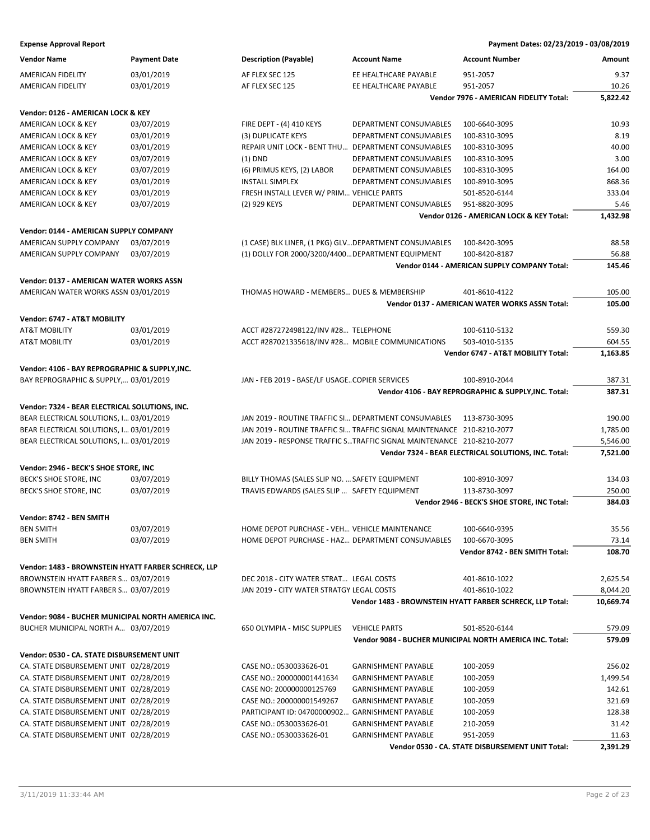| <b>Vendor Name</b>                                  | <b>Payment Date</b> | <b>Description (Payable)</b>                           | <b>Account Name</b>                                                    | <b>Account Number</b>                                     | Amount    |
|-----------------------------------------------------|---------------------|--------------------------------------------------------|------------------------------------------------------------------------|-----------------------------------------------------------|-----------|
| AMERICAN FIDELITY                                   | 03/01/2019          | AF FLEX SEC 125                                        | EE HEALTHCARE PAYABLE                                                  | 951-2057                                                  | 9.37      |
| AMERICAN FIDELITY                                   | 03/01/2019          | AF FLEX SEC 125                                        | EE HEALTHCARE PAYABLE                                                  | 951-2057                                                  | 10.26     |
|                                                     |                     |                                                        |                                                                        | Vendor 7976 - AMERICAN FIDELITY Total:                    | 5,822.42  |
| Vendor: 0126 - AMERICAN LOCK & KEY                  |                     |                                                        |                                                                        |                                                           |           |
| AMERICAN LOCK & KEY                                 | 03/07/2019          | FIRE DEPT - (4) 410 KEYS                               | DEPARTMENT CONSUMABLES                                                 | 100-6640-3095                                             | 10.93     |
|                                                     | 03/01/2019          | (3) DUPLICATE KEYS                                     | DEPARTMENT CONSUMABLES                                                 | 100-8310-3095                                             | 8.19      |
| AMERICAN LOCK & KEY                                 |                     |                                                        |                                                                        |                                                           | 40.00     |
| AMERICAN LOCK & KEY                                 | 03/01/2019          | REPAIR UNIT LOCK - BENT THU  DEPARTMENT CONSUMABLES    |                                                                        | 100-8310-3095                                             |           |
| AMERICAN LOCK & KEY                                 | 03/07/2019          | $(1)$ DND                                              | DEPARTMENT CONSUMABLES                                                 | 100-8310-3095                                             | 3.00      |
| AMERICAN LOCK & KEY                                 | 03/07/2019          | (6) PRIMUS KEYS, (2) LABOR                             | DEPARTMENT CONSUMABLES                                                 | 100-8310-3095                                             | 164.00    |
| AMERICAN LOCK & KEY                                 | 03/01/2019          | <b>INSTALL SIMPLEX</b>                                 | DEPARTMENT CONSUMABLES                                                 | 100-8910-3095                                             | 868.36    |
| AMERICAN LOCK & KEY                                 | 03/01/2019          | FRESH INSTALL LEVER W/ PRIM VEHICLE PARTS              |                                                                        | 501-8520-6144                                             | 333.04    |
| <b>AMERICAN LOCK &amp; KEY</b>                      | 03/07/2019          | (2) 929 KEYS                                           | DEPARTMENT CONSUMABLES                                                 | 951-8820-3095                                             | 5.46      |
|                                                     |                     |                                                        |                                                                        | Vendor 0126 - AMERICAN LOCK & KEY Total:                  | 1,432.98  |
| Vendor: 0144 - AMERICAN SUPPLY COMPANY              |                     |                                                        |                                                                        |                                                           |           |
| AMERICAN SUPPLY COMPANY                             | 03/07/2019          | (1 CASE) BLK LINER, (1 PKG) GLV DEPARTMENT CONSUMABLES |                                                                        | 100-8420-3095                                             | 88.58     |
| AMERICAN SUPPLY COMPANY                             | 03/07/2019          | (1) DOLLY FOR 2000/3200/4400 DEPARTMENT EQUIPMENT      |                                                                        | 100-8420-8187                                             | 56.88     |
|                                                     |                     |                                                        |                                                                        | Vendor 0144 - AMERICAN SUPPLY COMPANY Total:              | 145.46    |
| Vendor: 0137 - AMERICAN WATER WORKS ASSN            |                     |                                                        |                                                                        |                                                           |           |
| AMERICAN WATER WORKS ASSN 03/01/2019                |                     | THOMAS HOWARD - MEMBERS DUES & MEMBERSHIP              |                                                                        | 401-8610-4122                                             | 105.00    |
|                                                     |                     |                                                        |                                                                        | <b>Vendor 0137 - AMERICAN WATER WORKS ASSN Total:</b>     | 105.00    |
|                                                     |                     |                                                        |                                                                        |                                                           |           |
| Vendor: 6747 - AT&T MOBILITY                        |                     |                                                        |                                                                        |                                                           |           |
| <b>AT&amp;T MOBILITY</b>                            | 03/01/2019          | ACCT #287272498122/INV #28 TELEPHONE                   |                                                                        | 100-6110-5132                                             | 559.30    |
| <b>AT&amp;T MOBILITY</b>                            | 03/01/2019          | ACCT #287021335618/INV #28 MOBILE COMMUNICATIONS       |                                                                        | 503-4010-5135                                             | 604.55    |
|                                                     |                     |                                                        |                                                                        | Vendor 6747 - AT&T MOBILITY Total:                        | 1,163.85  |
| Vendor: 4106 - BAY REPROGRAPHIC & SUPPLY, INC.      |                     |                                                        |                                                                        |                                                           |           |
| BAY REPROGRAPHIC & SUPPLY, 03/01/2019               |                     | JAN - FEB 2019 - BASE/LF USAGECOPIER SERVICES          |                                                                        | 100-8910-2044                                             | 387.31    |
|                                                     |                     |                                                        |                                                                        | Vendor 4106 - BAY REPROGRAPHIC & SUPPLY, INC. Total:      | 387.31    |
| Vendor: 7324 - BEAR ELECTRICAL SOLUTIONS, INC.      |                     |                                                        |                                                                        |                                                           |           |
| BEAR ELECTRICAL SOLUTIONS, I 03/01/2019             |                     | JAN 2019 - ROUTINE TRAFFIC SI DEPARTMENT CONSUMABLES   |                                                                        | 113-8730-3095                                             | 190.00    |
| BEAR ELECTRICAL SOLUTIONS, I 03/01/2019             |                     |                                                        | JAN 2019 - ROUTINE TRAFFIC SI TRAFFIC SIGNAL MAINTENANCE 210-8210-2077 |                                                           | 1,785.00  |
| BEAR ELECTRICAL SOLUTIONS, I 03/01/2019             |                     |                                                        | JAN 2019 - RESPONSE TRAFFIC STRAFFIC SIGNAL MAINTENANCE 210-8210-2077  |                                                           | 5,546.00  |
|                                                     |                     |                                                        |                                                                        | Vendor 7324 - BEAR ELECTRICAL SOLUTIONS, INC. Total:      | 7,521.00  |
|                                                     |                     |                                                        |                                                                        |                                                           |           |
| Vendor: 2946 - BECK'S SHOE STORE, INC               |                     |                                                        |                                                                        |                                                           |           |
| BECK'S SHOE STORE, INC                              | 03/07/2019          | BILLY THOMAS (SALES SLIP NO.  SAFETY EQUIPMENT         |                                                                        | 100-8910-3097                                             | 134.03    |
| BECK'S SHOE STORE, INC                              | 03/07/2019          | TRAVIS EDWARDS (SALES SLIP  SAFETY EQUIPMENT           |                                                                        | 113-8730-3097                                             | 250.00    |
|                                                     |                     |                                                        |                                                                        | Vendor 2946 - BECK'S SHOE STORE, INC Total:               | 384.03    |
| Vendor: 8742 - BEN SMITH                            |                     |                                                        |                                                                        |                                                           |           |
| <b>BEN SMITH</b>                                    | 03/07/2019          | HOME DEPOT PURCHASE - VEH VEHICLE MAINTENANCE          |                                                                        | 100-6640-9395                                             | 35.56     |
| <b>BEN SMITH</b>                                    | 03/07/2019          | HOME DEPOT PURCHASE - HAZ DEPARTMENT CONSUMABLES       |                                                                        | 100-6670-3095                                             | 73.14     |
|                                                     |                     |                                                        |                                                                        | Vendor 8742 - BEN SMITH Total:                            | 108.70    |
| Vendor: 1483 - BROWNSTEIN HYATT FARBER SCHRECK, LLP |                     |                                                        |                                                                        |                                                           |           |
| BROWNSTEIN HYATT FARBER S 03/07/2019                |                     | DEC 2018 - CITY WATER STRAT LEGAL COSTS                |                                                                        | 401-8610-1022                                             | 2,625.54  |
| BROWNSTEIN HYATT FARBER S 03/07/2019                |                     | JAN 2019 - CITY WATER STRATGY LEGAL COSTS              |                                                                        | 401-8610-1022                                             | 8,044.20  |
|                                                     |                     |                                                        |                                                                        | Vendor 1483 - BROWNSTEIN HYATT FARBER SCHRECK, LLP Total: | 10,669.74 |
|                                                     |                     |                                                        |                                                                        |                                                           |           |
| Vendor: 9084 - BUCHER MUNICIPAL NORTH AMERICA INC.  |                     |                                                        |                                                                        |                                                           |           |
| BUCHER MUNICIPAL NORTH A 03/07/2019                 |                     | 650 OLYMPIA - MISC SUPPLIES                            | <b>VEHICLE PARTS</b>                                                   | 501-8520-6144                                             | 579.09    |
|                                                     |                     |                                                        |                                                                        | Vendor 9084 - BUCHER MUNICIPAL NORTH AMERICA INC. Total:  | 579.09    |
| Vendor: 0530 - CA. STATE DISBURSEMENT UNIT          |                     |                                                        |                                                                        |                                                           |           |
| CA. STATE DISBURSEMENT UNIT 02/28/2019              |                     | CASE NO.: 0530033626-01                                | <b>GARNISHMENT PAYABLE</b>                                             | 100-2059                                                  | 256.02    |
| CA. STATE DISBURSEMENT UNIT 02/28/2019              |                     | CASE NO.: 200000001441634                              | <b>GARNISHMENT PAYABLE</b>                                             | 100-2059                                                  | 1,499.54  |
| CA. STATE DISBURSEMENT UNIT 02/28/2019              |                     | CASE NO: 200000000125769                               | <b>GARNISHMENT PAYABLE</b>                                             | 100-2059                                                  | 142.61    |
| CA. STATE DISBURSEMENT UNIT 02/28/2019              |                     | CASE NO.: 200000001549267                              | <b>GARNISHMENT PAYABLE</b>                                             | 100-2059                                                  | 321.69    |
| CA. STATE DISBURSEMENT UNIT 02/28/2019              |                     | PARTICIPANT ID: 04700000902 GARNISHMENT PAYABLE        |                                                                        | 100-2059                                                  | 128.38    |
| CA. STATE DISBURSEMENT UNIT 02/28/2019              |                     | CASE NO.: 0530033626-01                                | <b>GARNISHMENT PAYABLE</b>                                             | 210-2059                                                  | 31.42     |
| CA. STATE DISBURSEMENT UNIT 02/28/2019              |                     | CASE NO.: 0530033626-01                                | <b>GARNISHMENT PAYABLE</b>                                             | 951-2059                                                  | 11.63     |
|                                                     |                     |                                                        |                                                                        | Vendor 0530 - CA. STATE DISBURSEMENT UNIT Total:          | 2,391.29  |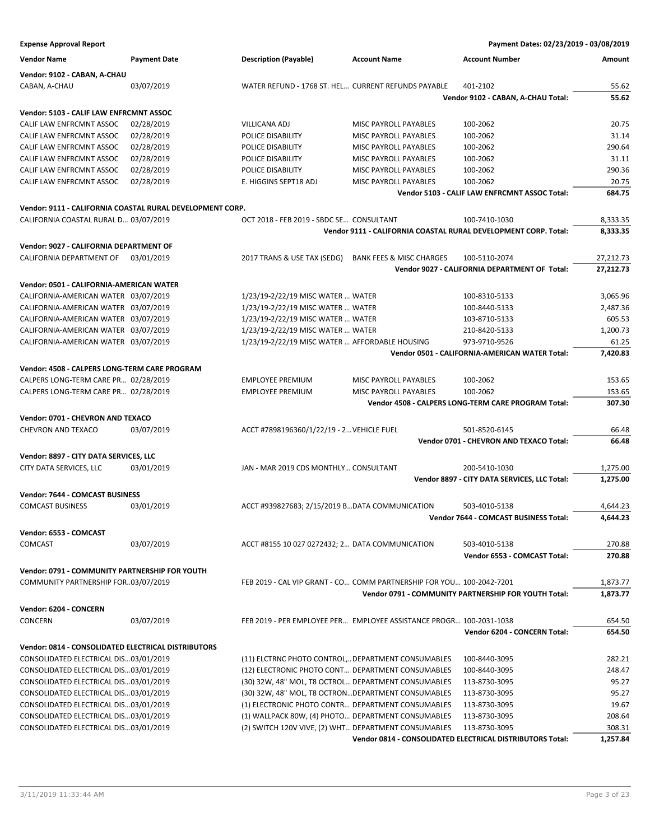**Expense Approval Report Payment Dates: 02/23/2019 - 03/08/2019 Vendor Name Payment Date Description (Payable) Account Name Account Number Amount Vendor: 9102 - CABAN, A-CHAU** CABAN, A-CHAU 03/07/2019 WATER REFUND - 1768 ST. HEL... CURRENT REFUNDS PAYABLE 401-2102 55.62 **Vendor 9102 - CABAN, A-CHAU Total: 55.62 Vendor: 5103 - CALIF LAW ENFRCMNT ASSOC** CALIF LAW ENFRCMNT ASSOC 02/28/2019 VILLICANA ADJ MISC PAYROLL PAYABLES 100-2062 20.75 CALIF LAW ENFRCMNT ASSOC 02/28/2019 POLICE DISABILITY MISC PAYROLL PAYABLES 100-2062 31.14 CALIF LAW ENFRCMNT ASSOC 02/28/2019 POLICE DISABILITY MISC PAYROLL PAYABLES 100-2062 290.64 CALIF LAW ENFRCMNT ASSOC 02/28/2019 POLICE DISABILITY MISC PAYROLL PAYABLES 100-2062 31.11 CALIF LAW ENFRCMNT ASSOC 02/28/2019 POLICE DISABILITY MISC PAYROLL PAYABLES 100-2062 200.36 CALIF LAW ENFRCMNT ASSOC 02/28/2019 E. HIGGINS SEPT18 ADJ MISC PAYROLL PAYABLES 100-2062 20.75 **Vendor 5103 - CALIF LAW ENFRCMNT ASSOC Total: 684.75 Vendor: 9111 - CALIFORNIA COASTAL RURAL DEVELOPMENT CORP.** CALIFORNIA COASTAL RURAL D… 03/07/2019 OCT 2018 - FEB 2019 - SBDC SE… CONSULTANT 100-7410-1030 8,333.35 **Vendor 9111 - CALIFORNIA COASTAL RURAL DEVELOPMENT CORP. Total: 8,333.35 Vendor: 9027 - CALIFORNIA DEPARTMENT OF** CALIFORNIA DEPARTMENT OF 03/01/2019 2017 TRANS & USE TAX (SEDG) BANK FEES & MISC CHARGES 100-5110-2074 27,212.73 **Vendor 9027 - CALIFORNIA DEPARTMENT OF Total: 27,212.73 Vendor: 0501 - CALIFORNIA-AMERICAN WATER** CALIFORNIA-AMERICAN WATER 03/07/2019 1/23/19-2/22/19 MISC WATER ... WATER 100-8310-5133 3,065.96 CALIFORNIA-AMERICAN WATER 03/07/2019 1/23/19-2/22/19 MISC WATER … WATER 100-8440-5133 2,487.36 CALIFORNIA-AMERICAN WATER 03/07/2019 1/23/19-2/22/19 MISC WATER ... WATER 103-8710-5133 605.53 CALIFORNIA-AMERICAN WATER 03/07/2019 1/23/19-2/22/19 MISC WATER … WATER 210-8420-5133 1,200.73 CALIFORNIA-AMERICAN WATER 03/07/2019 1/23/19-2/22/19 MISC WATER … AFFORDABLE HOUSING 973-9710-9526 61.25 **Vendor 0501 - CALIFORNIA-AMERICAN WATER Total: 7,420.83 Vendor: 4508 - CALPERS LONG-TERM CARE PROGRAM** CALPERS LONG-TERM CARE PR... 02/28/2019 **EMPLOYEE PREMIUM MISC PAYROLL PAYABLES** 100-2062 153.65 CALPERS LONG-TERM CARE PR… 02/28/2019 EMPLOYEE PREMIUM MISC PAYROLL PAYABLES 100-2062 153.65 **Vendor 4508 - CALPERS LONG-TERM CARE PROGRAM Total: 307.30 Vendor: 0701 - CHEVRON AND TEXACO** CHEVRON AND TEXACO 03/07/2019 ACCT #7898196360/1/22/19 - 2... VEHICLE FUEL 501-8520-6145 66.48 **Vendor 0701 - CHEVRON AND TEXACO Total: 66.48 Vendor: 8897 - CITY DATA SERVICES, LLC** CITY DATA SERVICES, LLC 03/01/2019 JAN - MAR 2019 CDS MONTHLY… CONSULTANT 200-5410-1030 1,275.00 **Vendor 8897 - CITY DATA SERVICES, LLC Total: 1,275.00 Vendor: 7644 - COMCAST BUSINESS** COMCAST BUSINESS 03/01/2019 ACCT #939827683; 2/15/2019 B…DATA COMMUNICATION 503-4010-5138 4,644.23 **Vendor 7644 - COMCAST BUSINESS Total: 4,644.23 Vendor: 6553 - COMCAST** COMCAST 03/07/2019 ACCT #8155 10 027 0272432; 2… DATA COMMUNICATION 503-4010-5138 270.88 **Vendor 6553 - COMCAST Total: 270.88 Vendor: 0791 - COMMUNITY PARTNERSHIP FOR YOUTH** COMMUNITY PARTNERSHIP FOR…03/07/2019 FEB 2019 - CAL VIP GRANT - CO… COMM PARTNERSHIP FOR YOU… 100-2042-7201 1,873.77 **Vendor 0791 - COMMUNITY PARTNERSHIP FOR YOUTH Total: 1,873.77 Vendor: 6204 - CONCERN** CONCERN 03/07/2019 FEB 2019 - PER EMPLOYEE PER… EMPLOYEE ASSISTANCE PROGR… 100-2031-1038 654.50 **Vendor 6204 - CONCERN Total: 654.50 Vendor: 0814 - CONSOLIDATED ELECTRICAL DISTRIBUTORS** CONSOLIDATED ELECTRICAL DIS…03/01/2019 (11) ELCTRNC PHOTO CONTROL,…DEPARTMENT CONSUMABLES 100-8440-3095 282.21 CONSOLIDATED ELECTRICAL DIS…03/01/2019 (12) ELECTRONIC PHOTO CONT… DEPARTMENT CONSUMABLES 100-8440-3095 248.47 CONSOLIDATED ELECTRICAL DIS…03/01/2019 (30) 32W, 48" MOL, T8 OCTROL…DEPARTMENT CONSUMABLES 113-8730-3095 95.27 CONSOLIDATED ELECTRICAL DIS…03/01/2019 (30) 32W, 48" MOL, T8 OCTRON…DEPARTMENT CONSUMABLES 113-8730-3095 95.27 CONSOLIDATED ELECTRICAL DIS…03/01/2019 (1) ELECTRONIC PHOTO CONTR… DEPARTMENT CONSUMABLES 113-8730-3095 19.67 CONSOLIDATED ELECTRICAL DIS…03/01/2019 (1) WALLPACK 80W, (4) PHOTO… DEPARTMENT CONSUMABLES 113-8730-3095 208.64 CONSOLIDATED ELECTRICAL DIS…03/01/2019 (2) SWITCH 120V VIVE, (2) WHT…DEPARTMENT CONSUMABLES 113-8730-3095 308.31

**Vendor 0814 - CONSOLIDATED ELECTRICAL DISTRIBUTORS Total: 1,257.84**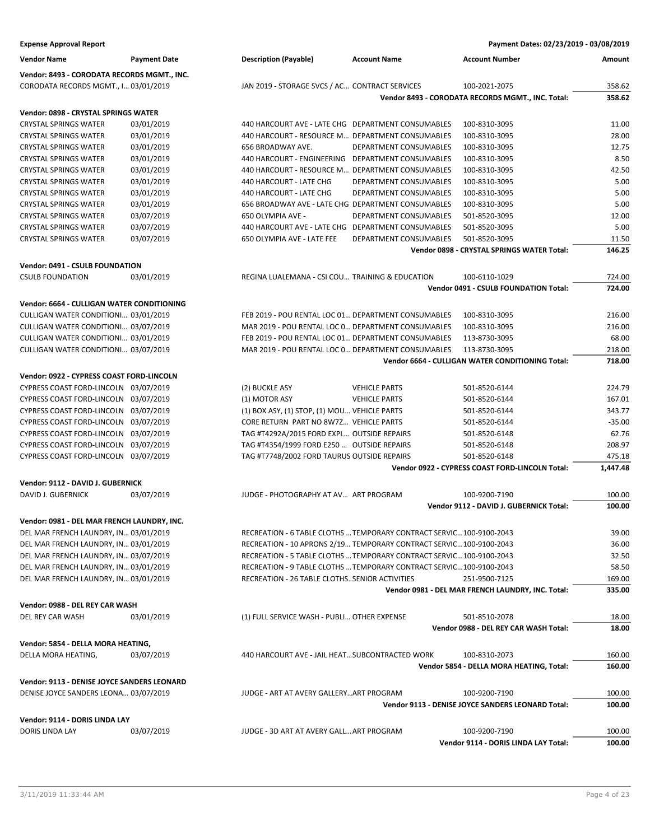| <b>Expense Approval Report</b>                      |                     |                                                                      |                        | Payment Dates: 02/23/2019 - 03/08/2019            |                |
|-----------------------------------------------------|---------------------|----------------------------------------------------------------------|------------------------|---------------------------------------------------|----------------|
| <b>Vendor Name</b>                                  | <b>Payment Date</b> | <b>Description (Payable)</b>                                         | <b>Account Name</b>    | <b>Account Number</b>                             | Amount         |
| Vendor: 8493 - CORODATA RECORDS MGMT., INC.         |                     |                                                                      |                        |                                                   |                |
| CORODATA RECORDS MGMT., I 03/01/2019                |                     | JAN 2019 - STORAGE SVCS / AC CONTRACT SERVICES                       |                        | 100-2021-2075                                     | 358.62         |
|                                                     |                     |                                                                      |                        | Vendor 8493 - CORODATA RECORDS MGMT., INC. Total: | 358.62         |
| Vendor: 0898 - CRYSTAL SPRINGS WATER                |                     |                                                                      |                        |                                                   |                |
| <b>CRYSTAL SPRINGS WATER</b>                        | 03/01/2019          | 440 HARCOURT AVE - LATE CHG DEPARTMENT CONSUMABLES                   |                        | 100-8310-3095                                     | 11.00          |
| <b>CRYSTAL SPRINGS WATER</b>                        | 03/01/2019          | 440 HARCOURT - RESOURCE M DEPARTMENT CONSUMABLES                     |                        | 100-8310-3095                                     | 28.00          |
| <b>CRYSTAL SPRINGS WATER</b>                        | 03/01/2019          | 656 BROADWAY AVE.                                                    | DEPARTMENT CONSUMABLES | 100-8310-3095                                     | 12.75          |
| <b>CRYSTAL SPRINGS WATER</b>                        | 03/01/2019          | 440 HARCOURT - ENGINEERING DEPARTMENT CONSUMABLES                    |                        | 100-8310-3095                                     | 8.50           |
| <b>CRYSTAL SPRINGS WATER</b>                        | 03/01/2019          | 440 HARCOURT - RESOURCE M DEPARTMENT CONSUMABLES                     |                        | 100-8310-3095                                     | 42.50          |
| <b>CRYSTAL SPRINGS WATER</b>                        | 03/01/2019          | 440 HARCOURT - LATE CHG                                              | DEPARTMENT CONSUMABLES | 100-8310-3095                                     | 5.00           |
| <b>CRYSTAL SPRINGS WATER</b>                        | 03/01/2019          | 440 HARCOURT - LATE CHG                                              | DEPARTMENT CONSUMABLES | 100-8310-3095                                     | 5.00           |
| <b>CRYSTAL SPRINGS WATER</b>                        | 03/01/2019          | 656 BROADWAY AVE - LATE CHG DEPARTMENT CONSUMABLES                   |                        | 100-8310-3095                                     | 5.00           |
| <b>CRYSTAL SPRINGS WATER</b>                        | 03/07/2019          | 650 OLYMPIA AVE -                                                    | DEPARTMENT CONSUMABLES | 501-8520-3095                                     | 12.00          |
| <b>CRYSTAL SPRINGS WATER</b>                        | 03/07/2019          | 440 HARCOURT AVE - LATE CHG DEPARTMENT CONSUMABLES                   |                        | 501-8520-3095                                     | 5.00           |
| <b>CRYSTAL SPRINGS WATER</b>                        | 03/07/2019          | 650 OLYMPIA AVE - LATE FEE                                           | DEPARTMENT CONSUMABLES | 501-8520-3095                                     | 11.50          |
|                                                     |                     |                                                                      |                        | Vendor 0898 - CRYSTAL SPRINGS WATER Total:        | 146.25         |
| <b>Vendor: 0491 - CSULB FOUNDATION</b>              |                     |                                                                      |                        |                                                   |                |
| <b>CSULB FOUNDATION</b>                             | 03/01/2019          | REGINA LUALEMANA - CSI COU TRAINING & EDUCATION                      |                        | 100-6110-1029                                     | 724.00         |
|                                                     |                     |                                                                      |                        | Vendor 0491 - CSULB FOUNDATION Total:             | 724.00         |
|                                                     |                     |                                                                      |                        |                                                   |                |
| Vendor: 6664 - CULLIGAN WATER CONDITIONING          |                     |                                                                      |                        |                                                   |                |
| CULLIGAN WATER CONDITIONI 03/01/2019                |                     | FEB 2019 - POU RENTAL LOC 01 DEPARTMENT CONSUMABLES                  |                        | 100-8310-3095                                     | 216.00         |
| CULLIGAN WATER CONDITIONI 03/07/2019                |                     | MAR 2019 - POU RENTAL LOC 0 DEPARTMENT CONSUMABLES                   |                        | 100-8310-3095                                     | 216.00         |
| CULLIGAN WATER CONDITIONI 03/01/2019                |                     | FEB 2019 - POU RENTAL LOC 01 DEPARTMENT CONSUMABLES                  |                        | 113-8730-3095                                     | 68.00          |
| CULLIGAN WATER CONDITIONI 03/07/2019                |                     | MAR 2019 - POU RENTAL LOC 0 DEPARTMENT CONSUMABLES                   |                        | 113-8730-3095                                     | 218.00         |
|                                                     |                     |                                                                      |                        | Vendor 6664 - CULLIGAN WATER CONDITIONING Total:  | 718.00         |
| Vendor: 0922 - CYPRESS COAST FORD-LINCOLN           |                     |                                                                      |                        |                                                   |                |
| CYPRESS COAST FORD-LINCOLN 03/07/2019               |                     | (2) BUCKLE ASY                                                       | <b>VEHICLE PARTS</b>   | 501-8520-6144                                     | 224.79         |
| CYPRESS COAST FORD-LINCOLN 03/07/2019               |                     | (1) MOTOR ASY                                                        | <b>VEHICLE PARTS</b>   | 501-8520-6144                                     | 167.01         |
| CYPRESS COAST FORD-LINCOLN 03/07/2019               |                     | (1) BOX ASY, (1) STOP, (1) MOU VEHICLE PARTS                         |                        | 501-8520-6144                                     | 343.77         |
| CYPRESS COAST FORD-LINCOLN 03/07/2019               |                     | CORE RETURN PART NO 8W7Z VEHICLE PARTS                               |                        | 501-8520-6144                                     | $-35.00$       |
| CYPRESS COAST FORD-LINCOLN 03/07/2019               |                     | TAG #T4292A/2015 FORD EXPL OUTSIDE REPAIRS                           |                        | 501-8520-6148                                     | 62.76          |
| CYPRESS COAST FORD-LINCOLN 03/07/2019               |                     | TAG #T4354/1999 FORD E250  OUTSIDE REPAIRS                           |                        | 501-8520-6148                                     | 208.97         |
| CYPRESS COAST FORD-LINCOLN 03/07/2019               |                     | TAG #T7748/2002 FORD TAURUS OUTSIDE REPAIRS                          |                        | 501-8520-6148                                     | 475.18         |
|                                                     |                     |                                                                      |                        | Vendor 0922 - CYPRESS COAST FORD-LINCOLN Total:   | 1,447.48       |
| Vendor: 9112 - DAVID J. GUBERNICK                   |                     |                                                                      |                        |                                                   |                |
| DAVID J. GUBERNICK                                  | 03/07/2019          | JUDGE - PHOTOGRAPHY AT AV ART PROGRAM                                |                        | 100-9200-7190                                     | 100.00         |
|                                                     |                     |                                                                      |                        | Vendor 9112 - DAVID J. GUBERNICK Total:           | 100.00         |
| Vendor: 0981 - DEL MAR FRENCH LAUNDRY, INC.         |                     |                                                                      |                        |                                                   |                |
| DEL MAR FRENCH LAUNDRY, IN 03/01/2019               |                     | RECREATION - 6 TABLE CLOTHS  TEMPORARY CONTRACT SERVIC 100-9100-2043 |                        |                                                   | 39.00          |
| DEL MAR FRENCH LAUNDRY, IN 03/01/2019               |                     | RECREATION - 10 APRONS 2/19 TEMPORARY CONTRACT SERVIC100-9100-2043   |                        |                                                   | 36.00          |
| DEL MAR FRENCH LAUNDRY, IN 03/07/2019               |                     | RECREATION - 5 TABLE CLOTHS  TEMPORARY CONTRACT SERVIC 100-9100-2043 |                        |                                                   | 32.50          |
| DEL MAR FRENCH LAUNDRY, IN 03/01/2019               |                     | RECREATION - 9 TABLE CLOTHS  TEMPORARY CONTRACT SERVIC 100-9100-2043 |                        |                                                   | 58.50          |
| DEL MAR FRENCH LAUNDRY, IN 03/01/2019               |                     | RECREATION - 26 TABLE CLOTHSSENIOR ACTIVITIES                        |                        | 251-9500-7125                                     | 169.00         |
|                                                     |                     |                                                                      |                        | Vendor 0981 - DEL MAR FRENCH LAUNDRY, INC. Total: | 335.00         |
|                                                     |                     |                                                                      |                        |                                                   |                |
| Vendor: 0988 - DEL REY CAR WASH<br>DEL REY CAR WASH | 03/01/2019          | (1) FULL SERVICE WASH - PUBLI OTHER EXPENSE                          |                        | 501-8510-2078                                     |                |
|                                                     |                     |                                                                      |                        | Vendor 0988 - DEL REY CAR WASH Total:             | 18.00<br>18.00 |
|                                                     |                     |                                                                      |                        |                                                   |                |
| Vendor: 5854 - DELLA MORA HEATING,                  |                     |                                                                      |                        |                                                   |                |
| DELLA MORA HEATING,                                 | 03/07/2019          | 440 HARCOURT AVE - JAIL HEATSUBCONTRACTED WORK                       |                        | 100-8310-2073                                     | 160.00         |
|                                                     |                     |                                                                      |                        | Vendor 5854 - DELLA MORA HEATING, Total:          | 160.00         |
| Vendor: 9113 - DENISE JOYCE SANDERS LEONARD         |                     |                                                                      |                        |                                                   |                |
| DENISE JOYCE SANDERS LEONA 03/07/2019               |                     | JUDGE - ART AT AVERY GALLERYART PROGRAM                              |                        | 100-9200-7190                                     | 100.00         |
|                                                     |                     |                                                                      |                        | Vendor 9113 - DENISE JOYCE SANDERS LEONARD Total: | 100.00         |
| Vendor: 9114 - DORIS LINDA LAY                      |                     |                                                                      |                        |                                                   |                |
| DORIS LINDA LAY                                     | 03/07/2019          | JUDGE - 3D ART AT AVERY GALL ART PROGRAM                             |                        | 100-9200-7190                                     | 100.00         |
|                                                     |                     |                                                                      |                        | Vendor 9114 - DORIS LINDA LAY Total:              | 100.00         |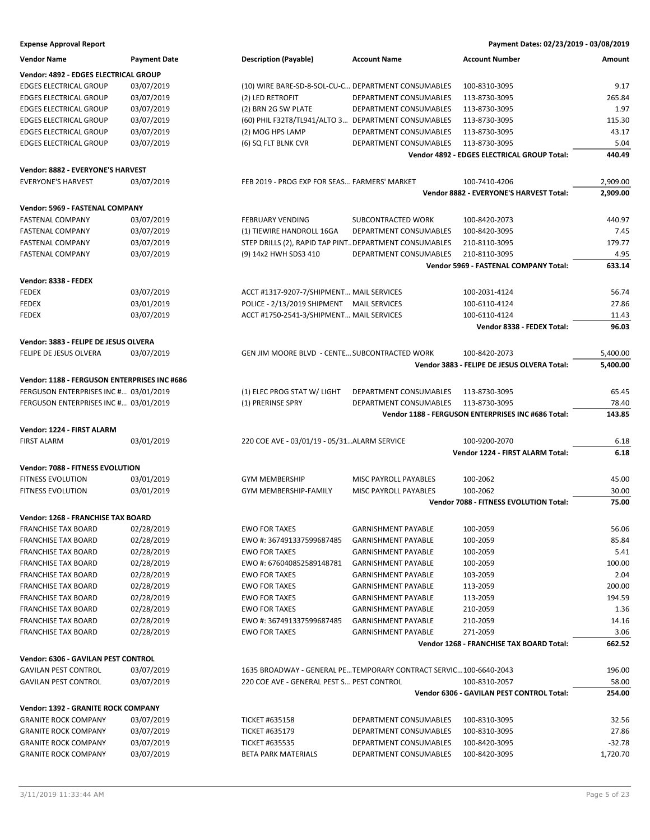| <b>Expense Approval Report</b> | Payment Dates: 02/23/2019 - 03/08/2019 |
|--------------------------------|----------------------------------------|
|--------------------------------|----------------------------------------|

| <b>Vendor Name</b>                           | <b>Payment Date</b> | <b>Description (Payable)</b>                           | <b>Account Name</b>                                              | <b>Account Number</b>                              | Amount   |
|----------------------------------------------|---------------------|--------------------------------------------------------|------------------------------------------------------------------|----------------------------------------------------|----------|
| Vendor: 4892 - EDGES ELECTRICAL GROUP        |                     |                                                        |                                                                  |                                                    |          |
| <b>EDGES ELECTRICAL GROUP</b>                | 03/07/2019          | (10) WIRE BARE-SD-8-SOL-CU-C DEPARTMENT CONSUMABLES    |                                                                  | 100-8310-3095                                      | 9.17     |
| <b>EDGES ELECTRICAL GROUP</b>                | 03/07/2019          | (2) LED RETROFIT                                       | DEPARTMENT CONSUMABLES                                           | 113-8730-3095                                      | 265.84   |
| <b>EDGES ELECTRICAL GROUP</b>                | 03/07/2019          | (2) BRN 2G SW PLATE                                    | DEPARTMENT CONSUMABLES                                           | 113-8730-3095                                      | 1.97     |
| <b>EDGES ELECTRICAL GROUP</b>                | 03/07/2019          | (60) PHIL F32T8/TL941/ALTO 3 DEPARTMENT CONSUMABLES    |                                                                  | 113-8730-3095                                      | 115.30   |
| <b>EDGES ELECTRICAL GROUP</b>                | 03/07/2019          | (2) MOG HPS LAMP                                       | DEPARTMENT CONSUMABLES                                           | 113-8730-3095                                      | 43.17    |
| <b>EDGES ELECTRICAL GROUP</b>                | 03/07/2019          | (6) SQ FLT BLNK CVR                                    | DEPARTMENT CONSUMABLES                                           | 113-8730-3095                                      | 5.04     |
|                                              |                     |                                                        |                                                                  | Vendor 4892 - EDGES ELECTRICAL GROUP Total:        | 440.49   |
|                                              |                     |                                                        |                                                                  |                                                    |          |
| Vendor: 8882 - EVERYONE'S HARVEST            |                     |                                                        |                                                                  |                                                    |          |
| <b>EVERYONE'S HARVEST</b>                    | 03/07/2019          | FEB 2019 - PROG EXP FOR SEAS FARMERS' MARKET           |                                                                  | 100-7410-4206                                      | 2,909.00 |
|                                              |                     |                                                        |                                                                  | Vendor 8882 - EVERYONE'S HARVEST Total:            | 2,909.00 |
| Vendor: 5969 - FASTENAL COMPANY              |                     |                                                        |                                                                  |                                                    |          |
| <b>FASTENAL COMPANY</b>                      | 03/07/2019          | <b>FEBRUARY VENDING</b>                                | SUBCONTRACTED WORK                                               | 100-8420-2073                                      | 440.97   |
| <b>FASTENAL COMPANY</b>                      | 03/07/2019          | (1) TIEWIRE HANDROLL 16GA                              | DEPARTMENT CONSUMABLES                                           | 100-8420-3095                                      | 7.45     |
| <b>FASTENAL COMPANY</b>                      | 03/07/2019          | STEP DRILLS (2), RAPID TAP PINT DEPARTMENT CONSUMABLES |                                                                  | 210-8110-3095                                      | 179.77   |
| <b>FASTENAL COMPANY</b>                      | 03/07/2019          | (9) 14x2 HWH SDS3 410                                  | DEPARTMENT CONSUMABLES                                           | 210-8110-3095                                      | 4.95     |
|                                              |                     |                                                        |                                                                  | Vendor 5969 - FASTENAL COMPANY Total:              | 633.14   |
|                                              |                     |                                                        |                                                                  |                                                    |          |
| Vendor: 8338 - FEDEX                         |                     |                                                        |                                                                  |                                                    |          |
| <b>FEDEX</b>                                 | 03/07/2019          | ACCT #1317-9207-7/SHIPMENT MAIL SERVICES               |                                                                  | 100-2031-4124                                      | 56.74    |
| <b>FEDEX</b>                                 | 03/01/2019          | POLICE - 2/13/2019 SHIPMENT MAIL SERVICES              |                                                                  | 100-6110-4124                                      | 27.86    |
| <b>FEDEX</b>                                 | 03/07/2019          | ACCT #1750-2541-3/SHIPMENT MAIL SERVICES               |                                                                  | 100-6110-4124                                      | 11.43    |
|                                              |                     |                                                        |                                                                  | Vendor 8338 - FEDEX Total:                         | 96.03    |
| Vendor: 3883 - FELIPE DE JESUS OLVERA        |                     |                                                        |                                                                  |                                                    |          |
| FELIPE DE JESUS OLVERA                       | 03/07/2019          | GEN JIM MOORE BLVD - CENTE SUBCONTRACTED WORK          |                                                                  | 100-8420-2073                                      | 5,400.00 |
|                                              |                     |                                                        |                                                                  | Vendor 3883 - FELIPE DE JESUS OLVERA Total:        | 5,400.00 |
| Vendor: 1188 - FERGUSON ENTERPRISES INC #686 |                     |                                                        |                                                                  |                                                    |          |
|                                              |                     |                                                        |                                                                  |                                                    |          |
| FERGUSON ENTERPRISES INC # 03/01/2019        |                     | (1) ELEC PROG STAT W/ LIGHT                            | DEPARTMENT CONSUMABLES                                           | 113-8730-3095                                      | 65.45    |
| FERGUSON ENTERPRISES INC # 03/01/2019        |                     | (1) PRERINSE SPRY                                      | DEPARTMENT CONSUMABLES                                           | 113-8730-3095                                      | 78.40    |
|                                              |                     |                                                        |                                                                  |                                                    |          |
|                                              |                     |                                                        |                                                                  | Vendor 1188 - FERGUSON ENTERPRISES INC #686 Total: | 143.85   |
| Vendor: 1224 - FIRST ALARM                   |                     |                                                        |                                                                  |                                                    |          |
| <b>FIRST ALARM</b>                           | 03/01/2019          | 220 COE AVE - 03/01/19 - 05/31 ALARM SERVICE           |                                                                  | 100-9200-2070                                      | 6.18     |
|                                              |                     |                                                        |                                                                  | Vendor 1224 - FIRST ALARM Total:                   | 6.18     |
|                                              |                     |                                                        |                                                                  |                                                    |          |
| <b>Vendor: 7088 - FITNESS EVOLUTION</b>      |                     |                                                        |                                                                  |                                                    |          |
| FITNESS EVOLUTION                            | 03/01/2019          | <b>GYM MEMBERSHIP</b>                                  | MISC PAYROLL PAYABLES                                            | 100-2062                                           | 45.00    |
| FITNESS EVOLUTION                            | 03/01/2019          | GYM MEMBERSHIP-FAMILY                                  | MISC PAYROLL PAYABLES                                            | 100-2062                                           | 30.00    |
|                                              |                     |                                                        |                                                                  | <b>Vendor 7088 - FITNESS EVOLUTION Total:</b>      | 75.00    |
| Vendor: 1268 - FRANCHISE TAX BOARD           |                     |                                                        |                                                                  |                                                    |          |
| <b>FRANCHISE TAX BOARD</b>                   | 02/28/2019          | <b>EWO FOR TAXES</b>                                   | <b>GARNISHMENT PAYABLE</b>                                       | 100-2059                                           | 56.06    |
| <b>FRANCHISE TAX BOARD</b>                   | 02/28/2019          | EWO #: 367491337599687485                              | <b>GARNISHMENT PAYABLE</b>                                       | 100-2059                                           | 85.84    |
| <b>FRANCHISE TAX BOARD</b>                   | 02/28/2019          | <b>EWO FOR TAXES</b>                                   | <b>GARNISHMENT PAYABLE</b>                                       | 100-2059                                           | 5.41     |
| <b>FRANCHISE TAX BOARD</b>                   | 02/28/2019          | EWO #: 676040852589148781                              | <b>GARNISHMENT PAYABLE</b>                                       | 100-2059                                           | 100.00   |
| <b>FRANCHISE TAX BOARD</b>                   | 02/28/2019          | <b>EWO FOR TAXES</b>                                   | <b>GARNISHMENT PAYABLE</b>                                       | 103-2059                                           | 2.04     |
| <b>FRANCHISE TAX BOARD</b>                   | 02/28/2019          | <b>EWO FOR TAXES</b>                                   | <b>GARNISHMENT PAYABLE</b>                                       | 113-2059                                           | 200.00   |
| <b>FRANCHISE TAX BOARD</b>                   | 02/28/2019          | <b>EWO FOR TAXES</b>                                   | <b>GARNISHMENT PAYABLE</b>                                       | 113-2059                                           | 194.59   |
| <b>FRANCHISE TAX BOARD</b>                   | 02/28/2019          | <b>EWO FOR TAXES</b>                                   | <b>GARNISHMENT PAYABLE</b>                                       | 210-2059                                           | 1.36     |
| <b>FRANCHISE TAX BOARD</b>                   | 02/28/2019          | EWO #: 367491337599687485                              | <b>GARNISHMENT PAYABLE</b>                                       | 210-2059                                           | 14.16    |
| <b>FRANCHISE TAX BOARD</b>                   | 02/28/2019          | <b>EWO FOR TAXES</b>                                   | <b>GARNISHMENT PAYABLE</b>                                       | 271-2059                                           | 3.06     |
|                                              |                     |                                                        |                                                                  | Vendor 1268 - FRANCHISE TAX BOARD Total:           | 662.52   |
|                                              |                     |                                                        |                                                                  |                                                    |          |
| Vendor: 6306 - GAVILAN PEST CONTROL          |                     |                                                        |                                                                  |                                                    |          |
| <b>GAVILAN PEST CONTROL</b>                  | 03/07/2019          |                                                        | 1635 BROADWAY - GENERAL PETEMPORARY CONTRACT SERVIC100-6640-2043 |                                                    | 196.00   |
| <b>GAVILAN PEST CONTROL</b>                  | 03/07/2019          | 220 COE AVE - GENERAL PEST S PEST CONTROL              |                                                                  | 100-8310-2057                                      | 58.00    |
|                                              |                     |                                                        |                                                                  | Vendor 6306 - GAVILAN PEST CONTROL Total:          | 254.00   |
| Vendor: 1392 - GRANITE ROCK COMPANY          |                     |                                                        |                                                                  |                                                    |          |
| <b>GRANITE ROCK COMPANY</b>                  | 03/07/2019          | <b>TICKET #635158</b>                                  | DEPARTMENT CONSUMABLES                                           | 100-8310-3095                                      | 32.56    |
| <b>GRANITE ROCK COMPANY</b>                  | 03/07/2019          | <b>TICKET #635179</b>                                  | DEPARTMENT CONSUMABLES                                           | 100-8310-3095                                      | 27.86    |
| <b>GRANITE ROCK COMPANY</b>                  | 03/07/2019          | <b>TICKET #635535</b>                                  | DEPARTMENT CONSUMABLES                                           | 100-8420-3095                                      | $-32.78$ |
| <b>GRANITE ROCK COMPANY</b>                  | 03/07/2019          | <b>BETA PARK MATERIALS</b>                             | DEPARTMENT CONSUMABLES                                           | 100-8420-3095                                      | 1,720.70 |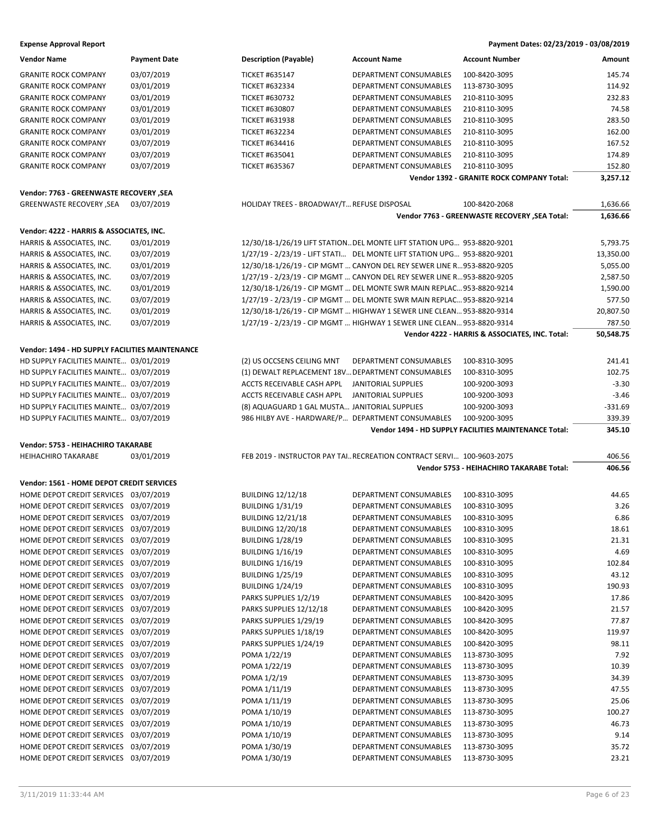| <b>Expense Approval Report</b>                  |                     |                                                   |                                                                         | Payment Dates: 02/23/2019 - 03/08/2019                       |           |
|-------------------------------------------------|---------------------|---------------------------------------------------|-------------------------------------------------------------------------|--------------------------------------------------------------|-----------|
| <b>Vendor Name</b>                              | <b>Payment Date</b> | <b>Description (Payable)</b>                      | <b>Account Name</b>                                                     | <b>Account Number</b>                                        | Amount    |
| <b>GRANITE ROCK COMPANY</b>                     | 03/07/2019          | <b>TICKET #635147</b>                             | DEPARTMENT CONSUMABLES                                                  | 100-8420-3095                                                | 145.74    |
| <b>GRANITE ROCK COMPANY</b>                     | 03/01/2019          | <b>TICKET #632334</b>                             | DEPARTMENT CONSUMABLES                                                  | 113-8730-3095                                                | 114.92    |
| <b>GRANITE ROCK COMPANY</b>                     | 03/01/2019          | <b>TICKET #630732</b>                             | DEPARTMENT CONSUMABLES                                                  | 210-8110-3095                                                | 232.83    |
| <b>GRANITE ROCK COMPANY</b>                     | 03/01/2019          | <b>TICKET #630807</b>                             | <b>DEPARTMENT CONSUMABLES</b>                                           | 210-8110-3095                                                | 74.58     |
| <b>GRANITE ROCK COMPANY</b>                     | 03/01/2019          | <b>TICKET #631938</b>                             | DEPARTMENT CONSUMABLES                                                  | 210-8110-3095                                                | 283.50    |
| <b>GRANITE ROCK COMPANY</b>                     | 03/01/2019          | <b>TICKET #632234</b>                             | DEPARTMENT CONSUMABLES                                                  | 210-8110-3095                                                | 162.00    |
| <b>GRANITE ROCK COMPANY</b>                     | 03/07/2019          | <b>TICKET #634416</b>                             | DEPARTMENT CONSUMABLES                                                  | 210-8110-3095                                                | 167.52    |
| <b>GRANITE ROCK COMPANY</b>                     | 03/07/2019          | <b>TICKET #635041</b>                             | DEPARTMENT CONSUMABLES                                                  | 210-8110-3095                                                | 174.89    |
| <b>GRANITE ROCK COMPANY</b>                     | 03/07/2019          | <b>TICKET #635367</b>                             | DEPARTMENT CONSUMABLES                                                  | 210-8110-3095                                                | 152.80    |
|                                                 |                     |                                                   |                                                                         | <b>Vendor 1392 - GRANITE ROCK COMPANY Total:</b>             | 3,257.12  |
| Vendor: 7763 - GREENWASTE RECOVERY ,SEA         |                     |                                                   |                                                                         |                                                              |           |
| <b>GREENWASTE RECOVERY, SEA</b>                 | 03/07/2019          | HOLIDAY TREES - BROADWAY/T REFUSE DISPOSAL        |                                                                         | 100-8420-2068                                                | 1,636.66  |
|                                                 |                     |                                                   |                                                                         | Vendor 7763 - GREENWASTE RECOVERY, SEA Total:                | 1,636.66  |
| Vendor: 4222 - HARRIS & ASSOCIATES, INC.        |                     |                                                   |                                                                         |                                                              |           |
| HARRIS & ASSOCIATES, INC.                       | 03/01/2019          |                                                   | 12/30/18-1/26/19 LIFT STATION DEL MONTE LIFT STATION UPG 953-8820-9201  |                                                              | 5,793.75  |
| HARRIS & ASSOCIATES, INC.                       | 03/07/2019          |                                                   | 1/27/19 - 2/23/19 - LIFT STATI DEL MONTE LIFT STATION UPG 953-8820-9201 |                                                              | 13,350.00 |
| HARRIS & ASSOCIATES, INC.                       | 03/01/2019          |                                                   | 12/30/18-1/26/19 - CIP MGMT  CANYON DEL REY SEWER LINE R953-8820-9205   |                                                              | 5,055.00  |
|                                                 | 03/07/2019          |                                                   | 1/27/19 - 2/23/19 - CIP MGMT  CANYON DEL REY SEWER LINE R953-8820-9205  |                                                              | 2,587.50  |
| HARRIS & ASSOCIATES, INC.                       |                     |                                                   |                                                                         |                                                              |           |
| HARRIS & ASSOCIATES, INC.                       | 03/01/2019          |                                                   | 12/30/18-1/26/19 - CIP MGMT  DEL MONTE SWR MAIN REPLAC 953-8820-9214    |                                                              | 1,590.00  |
| HARRIS & ASSOCIATES, INC.                       | 03/07/2019          |                                                   | 1/27/19 - 2/23/19 - CIP MGMT  DEL MONTE SWR MAIN REPLAC 953-8820-9214   |                                                              | 577.50    |
| HARRIS & ASSOCIATES, INC.                       | 03/01/2019          |                                                   | 12/30/18-1/26/19 - CIP MGMT  HIGHWAY 1 SEWER LINE CLEAN 953-8820-9314   |                                                              | 20,807.50 |
| HARRIS & ASSOCIATES, INC.                       | 03/07/2019          |                                                   | 1/27/19 - 2/23/19 - CIP MGMT  HIGHWAY 1 SEWER LINE CLEAN 953-8820-9314  |                                                              | 787.50    |
|                                                 |                     |                                                   |                                                                         | Vendor 4222 - HARRIS & ASSOCIATES, INC. Total:               | 50,548.75 |
| Vendor: 1494 - HD SUPPLY FACILITIES MAINTENANCE |                     |                                                   |                                                                         |                                                              |           |
| HD SUPPLY FACILITIES MAINTE 03/01/2019          |                     | (2) US OCCSENS CEILING MNT                        | DEPARTMENT CONSUMABLES                                                  | 100-8310-3095                                                | 241.41    |
| HD SUPPLY FACILITIES MAINTE 03/07/2019          |                     | (1) DEWALT REPLACEMENT 18V DEPARTMENT CONSUMABLES |                                                                         | 100-8310-3095                                                | 102.75    |
| HD SUPPLY FACILITIES MAINTE 03/07/2019          |                     | ACCTS RECEIVABLE CASH APPL                        | <b>JANITORIAL SUPPLIES</b>                                              | 100-9200-3093                                                | $-3.30$   |
| HD SUPPLY FACILITIES MAINTE 03/07/2019          |                     | ACCTS RECEIVABLE CASH APPL                        | JANITORIAL SUPPLIES                                                     | 100-9200-3093                                                | $-3.46$   |
| HD SUPPLY FACILITIES MAINTE 03/07/2019          |                     | (8) AQUAGUARD 1 GAL MUSTA JANITORIAL SUPPLIES     |                                                                         | 100-9200-3093                                                | $-331.69$ |
| HD SUPPLY FACILITIES MAINTE 03/07/2019          |                     | 986 HILBY AVE - HARDWARE/P DEPARTMENT CONSUMABLES |                                                                         | 100-9200-3095                                                | 339.39    |
|                                                 |                     |                                                   |                                                                         | <b>Vendor 1494 - HD SUPPLY FACILITIES MAINTENANCE Total:</b> | 345.10    |
| Vendor: 5753 - HEIHACHIRO TAKARABE              |                     |                                                   |                                                                         |                                                              |           |
| <b>HEIHACHIRO TAKARABE</b>                      | 03/01/2019          |                                                   | FEB 2019 - INSTRUCTOR PAY TAI RECREATION CONTRACT SERVI 100-9603-2075   |                                                              | 406.56    |
|                                                 |                     |                                                   |                                                                         | Vendor 5753 - HEIHACHIRO TAKARABE Total:                     | 406.56    |
| Vendor: 1561 - HOME DEPOT CREDIT SERVICES       |                     |                                                   |                                                                         |                                                              |           |
| HOME DEPOT CREDIT SERVICES 03/07/2019           |                     | <b>BUILDING 12/12/18</b>                          | DEPARTMENT CONSUMABLES                                                  | 100-8310-3095                                                | 44.65     |
| HOME DEPOT CREDIT SERVICES 03/07/2019           |                     | <b>BUILDING 1/31/19</b>                           | DEPARTMENT CONSUMABLES                                                  | 100-8310-3095                                                | 3.26      |
| HOME DEPOT CREDIT SERVICES 03/07/2019           |                     | <b>BUILDING 12/21/18</b>                          | DEPARTMENT CONSUMABLES                                                  | 100-8310-3095                                                | 6.86      |
| HOME DEPOT CREDIT SERVICES 03/07/2019           |                     | <b>BUILDING 12/20/18</b>                          | DEPARTMENT CONSUMABLES                                                  | 100-8310-3095                                                | 18.61     |
| HOME DEPOT CREDIT SERVICES 03/07/2019           |                     | <b>BUILDING 1/28/19</b>                           | DEPARTMENT CONSUMABLES                                                  | 100-8310-3095                                                | 21.31     |
| HOME DEPOT CREDIT SERVICES 03/07/2019           |                     | <b>BUILDING 1/16/19</b>                           | DEPARTMENT CONSUMABLES                                                  | 100-8310-3095                                                | 4.69      |
| HOME DEPOT CREDIT SERVICES 03/07/2019           |                     | <b>BUILDING 1/16/19</b>                           | DEPARTMENT CONSUMABLES                                                  | 100-8310-3095                                                | 102.84    |
| HOME DEPOT CREDIT SERVICES 03/07/2019           |                     | <b>BUILDING 1/25/19</b>                           | DEPARTMENT CONSUMABLES                                                  | 100-8310-3095                                                | 43.12     |
| HOME DEPOT CREDIT SERVICES 03/07/2019           |                     | <b>BUILDING 1/24/19</b>                           | DEPARTMENT CONSUMABLES                                                  | 100-8310-3095                                                | 190.93    |
| HOME DEPOT CREDIT SERVICES 03/07/2019           |                     | PARKS SUPPLIES 1/2/19                             | DEPARTMENT CONSUMABLES                                                  | 100-8420-3095                                                | 17.86     |
| HOME DEPOT CREDIT SERVICES 03/07/2019           |                     | PARKS SUPPLIES 12/12/18                           | DEPARTMENT CONSUMABLES                                                  | 100-8420-3095                                                | 21.57     |
| HOME DEPOT CREDIT SERVICES 03/07/2019           |                     | PARKS SUPPLIES 1/29/19                            | DEPARTMENT CONSUMABLES                                                  | 100-8420-3095                                                | 77.87     |
| HOME DEPOT CREDIT SERVICES 03/07/2019           |                     | PARKS SUPPLIES 1/18/19                            | DEPARTMENT CONSUMABLES                                                  | 100-8420-3095                                                | 119.97    |
| HOME DEPOT CREDIT SERVICES 03/07/2019           |                     | PARKS SUPPLIES 1/24/19                            | DEPARTMENT CONSUMABLES                                                  | 100-8420-3095                                                | 98.11     |
| HOME DEPOT CREDIT SERVICES 03/07/2019           |                     | POMA 1/22/19                                      | DEPARTMENT CONSUMABLES                                                  | 113-8730-3095                                                | 7.92      |
| HOME DEPOT CREDIT SERVICES 03/07/2019           |                     | POMA 1/22/19                                      | DEPARTMENT CONSUMABLES                                                  | 113-8730-3095                                                | 10.39     |
| HOME DEPOT CREDIT SERVICES 03/07/2019           |                     | POMA 1/2/19                                       | DEPARTMENT CONSUMABLES                                                  | 113-8730-3095                                                | 34.39     |
| HOME DEPOT CREDIT SERVICES 03/07/2019           |                     | POMA 1/11/19                                      | DEPARTMENT CONSUMABLES                                                  | 113-8730-3095                                                | 47.55     |
| HOME DEPOT CREDIT SERVICES 03/07/2019           |                     | POMA 1/11/19                                      | DEPARTMENT CONSUMABLES                                                  | 113-8730-3095                                                | 25.06     |
| HOME DEPOT CREDIT SERVICES 03/07/2019           |                     | POMA 1/10/19                                      | DEPARTMENT CONSUMABLES                                                  | 113-8730-3095                                                | 100.27    |
| HOME DEPOT CREDIT SERVICES 03/07/2019           |                     | POMA 1/10/19                                      | DEPARTMENT CONSUMABLES                                                  | 113-8730-3095                                                | 46.73     |
| HOME DEPOT CREDIT SERVICES 03/07/2019           |                     | POMA 1/10/19                                      | DEPARTMENT CONSUMABLES                                                  | 113-8730-3095                                                | 9.14      |
| HOME DEPOT CREDIT SERVICES 03/07/2019           |                     | POMA 1/30/19                                      | DEPARTMENT CONSUMABLES                                                  | 113-8730-3095                                                | 35.72     |
| HOME DEPOT CREDIT SERVICES 03/07/2019           |                     | POMA 1/30/19                                      | DEPARTMENT CONSUMABLES                                                  | 113-8730-3095                                                | 23.21     |
|                                                 |                     |                                                   |                                                                         |                                                              |           |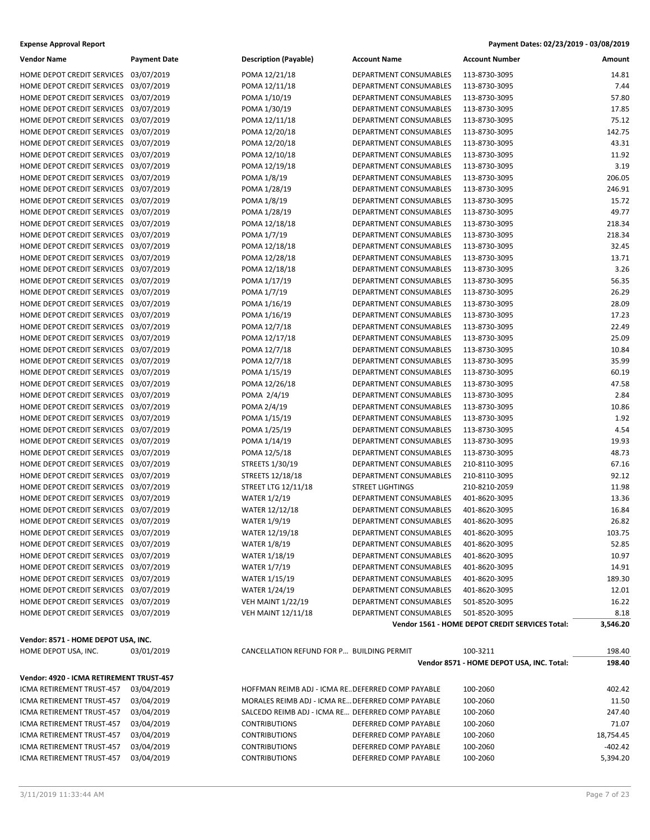| <b>Expense Approval Report</b> | Payment Dates: 02/23/2019 - 03/08/2019 |
|--------------------------------|----------------------------------------|
|                                |                                        |

| Vendor Name                              | <b>Payment Date</b> | <b>Description (Payable)</b>                      | <b>Account Name</b>           | <b>Account Number</b>                           | Amount    |
|------------------------------------------|---------------------|---------------------------------------------------|-------------------------------|-------------------------------------------------|-----------|
| HOME DEPOT CREDIT SERVICES 03/07/2019    |                     | POMA 12/21/18                                     | DEPARTMENT CONSUMABLES        | 113-8730-3095                                   | 14.81     |
| HOME DEPOT CREDIT SERVICES 03/07/2019    |                     | POMA 12/11/18                                     | DEPARTMENT CONSUMABLES        | 113-8730-3095                                   | 7.44      |
| HOME DEPOT CREDIT SERVICES 03/07/2019    |                     | POMA 1/10/19                                      | DEPARTMENT CONSUMABLES        | 113-8730-3095                                   | 57.80     |
| HOME DEPOT CREDIT SERVICES 03/07/2019    |                     | POMA 1/30/19                                      | DEPARTMENT CONSUMABLES        | 113-8730-3095                                   | 17.85     |
| HOME DEPOT CREDIT SERVICES 03/07/2019    |                     | POMA 12/11/18                                     | DEPARTMENT CONSUMABLES        | 113-8730-3095                                   | 75.12     |
| HOME DEPOT CREDIT SERVICES 03/07/2019    |                     | POMA 12/20/18                                     | DEPARTMENT CONSUMABLES        | 113-8730-3095                                   | 142.75    |
| HOME DEPOT CREDIT SERVICES 03/07/2019    |                     | POMA 12/20/18                                     | DEPARTMENT CONSUMABLES        | 113-8730-3095                                   | 43.31     |
| HOME DEPOT CREDIT SERVICES 03/07/2019    |                     | POMA 12/10/18                                     | DEPARTMENT CONSUMABLES        | 113-8730-3095                                   | 11.92     |
| HOME DEPOT CREDIT SERVICES 03/07/2019    |                     | POMA 12/19/18                                     | DEPARTMENT CONSUMABLES        | 113-8730-3095                                   | 3.19      |
| HOME DEPOT CREDIT SERVICES 03/07/2019    |                     | POMA 1/8/19                                       | <b>DEPARTMENT CONSUMABLES</b> | 113-8730-3095                                   | 206.05    |
| HOME DEPOT CREDIT SERVICES 03/07/2019    |                     | POMA 1/28/19                                      | DEPARTMENT CONSUMABLES        | 113-8730-3095                                   | 246.91    |
| HOME DEPOT CREDIT SERVICES 03/07/2019    |                     | POMA 1/8/19                                       | DEPARTMENT CONSUMABLES        | 113-8730-3095                                   | 15.72     |
| HOME DEPOT CREDIT SERVICES 03/07/2019    |                     | POMA 1/28/19                                      | DEPARTMENT CONSUMABLES        | 113-8730-3095                                   | 49.77     |
|                                          |                     |                                                   | DEPARTMENT CONSUMABLES        |                                                 | 218.34    |
| HOME DEPOT CREDIT SERVICES 03/07/2019    |                     | POMA 12/18/18                                     |                               | 113-8730-3095                                   |           |
| HOME DEPOT CREDIT SERVICES 03/07/2019    |                     | POMA 1/7/19                                       | DEPARTMENT CONSUMABLES        | 113-8730-3095                                   | 218.34    |
| HOME DEPOT CREDIT SERVICES 03/07/2019    |                     | POMA 12/18/18                                     | DEPARTMENT CONSUMABLES        | 113-8730-3095                                   | 32.45     |
| HOME DEPOT CREDIT SERVICES 03/07/2019    |                     | POMA 12/28/18                                     | DEPARTMENT CONSUMABLES        | 113-8730-3095                                   | 13.71     |
| HOME DEPOT CREDIT SERVICES 03/07/2019    |                     | POMA 12/18/18                                     | DEPARTMENT CONSUMABLES        | 113-8730-3095                                   | 3.26      |
| HOME DEPOT CREDIT SERVICES 03/07/2019    |                     | POMA 1/17/19                                      | DEPARTMENT CONSUMABLES        | 113-8730-3095                                   | 56.35     |
| HOME DEPOT CREDIT SERVICES 03/07/2019    |                     | POMA 1/7/19                                       | DEPARTMENT CONSUMABLES        | 113-8730-3095                                   | 26.29     |
| HOME DEPOT CREDIT SERVICES 03/07/2019    |                     | POMA 1/16/19                                      | DEPARTMENT CONSUMABLES        | 113-8730-3095                                   | 28.09     |
| HOME DEPOT CREDIT SERVICES 03/07/2019    |                     | POMA 1/16/19                                      | DEPARTMENT CONSUMABLES        | 113-8730-3095                                   | 17.23     |
| HOME DEPOT CREDIT SERVICES 03/07/2019    |                     | POMA 12/7/18                                      | DEPARTMENT CONSUMABLES        | 113-8730-3095                                   | 22.49     |
| HOME DEPOT CREDIT SERVICES 03/07/2019    |                     | POMA 12/17/18                                     | DEPARTMENT CONSUMABLES        | 113-8730-3095                                   | 25.09     |
| HOME DEPOT CREDIT SERVICES 03/07/2019    |                     | POMA 12/7/18                                      | DEPARTMENT CONSUMABLES        | 113-8730-3095                                   | 10.84     |
| HOME DEPOT CREDIT SERVICES 03/07/2019    |                     | POMA 12/7/18                                      | DEPARTMENT CONSUMABLES        | 113-8730-3095                                   | 35.99     |
| HOME DEPOT CREDIT SERVICES 03/07/2019    |                     | POMA 1/15/19                                      | DEPARTMENT CONSUMABLES        | 113-8730-3095                                   | 60.19     |
| HOME DEPOT CREDIT SERVICES 03/07/2019    |                     | POMA 12/26/18                                     | DEPARTMENT CONSUMABLES        | 113-8730-3095                                   | 47.58     |
| HOME DEPOT CREDIT SERVICES 03/07/2019    |                     | POMA 2/4/19                                       | DEPARTMENT CONSUMABLES        | 113-8730-3095                                   | 2.84      |
| HOME DEPOT CREDIT SERVICES 03/07/2019    |                     | POMA 2/4/19                                       | DEPARTMENT CONSUMABLES        | 113-8730-3095                                   | 10.86     |
| HOME DEPOT CREDIT SERVICES 03/07/2019    |                     | POMA 1/15/19                                      | DEPARTMENT CONSUMABLES        | 113-8730-3095                                   | 1.92      |
| HOME DEPOT CREDIT SERVICES 03/07/2019    |                     | POMA 1/25/19                                      | DEPARTMENT CONSUMABLES        | 113-8730-3095                                   | 4.54      |
| HOME DEPOT CREDIT SERVICES 03/07/2019    |                     | POMA 1/14/19                                      | DEPARTMENT CONSUMABLES        | 113-8730-3095                                   | 19.93     |
| HOME DEPOT CREDIT SERVICES 03/07/2019    |                     | POMA 12/5/18                                      | DEPARTMENT CONSUMABLES        | 113-8730-3095                                   | 48.73     |
| HOME DEPOT CREDIT SERVICES 03/07/2019    |                     | STREETS 1/30/19                                   | DEPARTMENT CONSUMABLES        | 210-8110-3095                                   | 67.16     |
| HOME DEPOT CREDIT SERVICES 03/07/2019    |                     | STREETS 12/18/18                                  | DEPARTMENT CONSUMABLES        | 210-8110-3095                                   | 92.12     |
| HOME DEPOT CREDIT SERVICES 03/07/2019    |                     | <b>STREET LTG 12/11/18</b>                        | <b>STREET LIGHTINGS</b>       | 210-8210-2059                                   | 11.98     |
| HOME DEPOT CREDIT SERVICES 03/07/2019    |                     | <b>WATER 1/2/19</b>                               | DEPARTMENT CONSUMABLES        | 401-8620-3095                                   | 13.36     |
| HOME DEPOT CREDIT SERVICES 03/07/2019    |                     | <b>WATER 12/12/18</b>                             | DEPARTMENT CONSUMABLES        | 401-8620-3095                                   | 16.84     |
| HOME DEPOT CREDIT SERVICES 03/07/2019    |                     | <b>WATER 1/9/19</b>                               | DEPARTMENT CONSUMABLES        | 401-8620-3095                                   | 26.82     |
| HOME DEPOT CREDIT SERVICES 03/07/2019    |                     | WATER 12/19/18                                    | DEPARTMENT CONSUMABLES        | 401-8620-3095                                   | 103.75    |
| HOME DEPOT CREDIT SERVICES 03/07/2019    |                     | <b>WATER 1/8/19</b>                               | DEPARTMENT CONSUMABLES        | 401-8620-3095                                   | 52.85     |
| HOME DEPOT CREDIT SERVICES 03/07/2019    |                     | <b>WATER 1/18/19</b>                              | DEPARTMENT CONSUMABLES        | 401-8620-3095                                   | 10.97     |
| HOME DEPOT CREDIT SERVICES 03/07/2019    |                     | <b>WATER 1/7/19</b>                               | DEPARTMENT CONSUMABLES        | 401-8620-3095                                   | 14.91     |
|                                          |                     |                                                   |                               | 401-8620-3095                                   |           |
| HOME DEPOT CREDIT SERVICES 03/07/2019    |                     | <b>WATER 1/15/19</b>                              | DEPARTMENT CONSUMABLES        |                                                 | 189.30    |
| HOME DEPOT CREDIT SERVICES 03/07/2019    |                     | <b>WATER 1/24/19</b>                              | DEPARTMENT CONSUMABLES        | 401-8620-3095                                   | 12.01     |
| HOME DEPOT CREDIT SERVICES 03/07/2019    |                     | <b>VEH MAINT 1/22/19</b>                          | DEPARTMENT CONSUMABLES        | 501-8520-3095                                   | 16.22     |
| HOME DEPOT CREDIT SERVICES 03/07/2019    |                     | <b>VEH MAINT 12/11/18</b>                         | DEPARTMENT CONSUMABLES        | 501-8520-3095                                   | 8.18      |
|                                          |                     |                                                   |                               | Vendor 1561 - HOME DEPOT CREDIT SERVICES Total: | 3,546.20  |
| Vendor: 8571 - HOME DEPOT USA, INC.      |                     |                                                   |                               |                                                 |           |
| HOME DEPOT USA, INC.                     | 03/01/2019          | CANCELLATION REFUND FOR P BUILDING PERMIT         |                               | 100-3211                                        | 198.40    |
|                                          |                     |                                                   |                               | Vendor 8571 - HOME DEPOT USA, INC. Total:       | 198.40    |
| Vendor: 4920 - ICMA RETIREMENT TRUST-457 |                     |                                                   |                               |                                                 |           |
| ICMA RETIREMENT TRUST-457                | 03/04/2019          | HOFFMAN REIMB ADJ - ICMA RE DEFERRED COMP PAYABLE |                               | 100-2060                                        | 402.42    |
| ICMA RETIREMENT TRUST-457                | 03/04/2019          | MORALES REIMB ADJ - ICMA RE DEFERRED COMP PAYABLE |                               | 100-2060                                        | 11.50     |
| ICMA RETIREMENT TRUST-457                | 03/04/2019          | SALCEDO REIMB ADJ - ICMA RE DEFERRED COMP PAYABLE |                               | 100-2060                                        | 247.40    |
| ICMA RETIREMENT TRUST-457                | 03/04/2019          | <b>CONTRIBUTIONS</b>                              | DEFERRED COMP PAYABLE         | 100-2060                                        | 71.07     |
| ICMA RETIREMENT TRUST-457                | 03/04/2019          | <b>CONTRIBUTIONS</b>                              | DEFERRED COMP PAYABLE         | 100-2060                                        | 18,754.45 |
| ICMA RETIREMENT TRUST-457                | 03/04/2019          | <b>CONTRIBUTIONS</b>                              | DEFERRED COMP PAYABLE         | 100-2060                                        | $-402.42$ |
|                                          |                     |                                                   |                               |                                                 |           |
| ICMA RETIREMENT TRUST-457                | 03/04/2019          | <b>CONTRIBUTIONS</b>                              | DEFERRED COMP PAYABLE         | 100-2060                                        | 5,394.20  |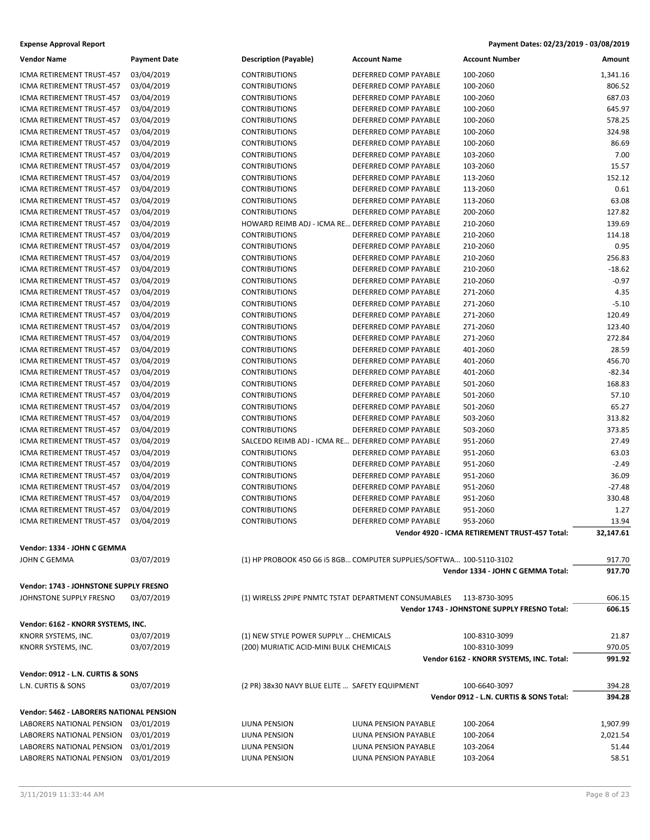| <b>Vendor Name</b>                              | <b>Payment Date</b> | <b>Description (Payable)</b>                         | <b>Account Name</b>                                                 | <b>Account Number</b>                          | Amount    |
|-------------------------------------------------|---------------------|------------------------------------------------------|---------------------------------------------------------------------|------------------------------------------------|-----------|
| ICMA RETIREMENT TRUST-457                       | 03/04/2019          | <b>CONTRIBUTIONS</b>                                 | DEFERRED COMP PAYABLE                                               | 100-2060                                       | 1,341.16  |
| <b>ICMA RETIREMENT TRUST-457</b>                | 03/04/2019          | <b>CONTRIBUTIONS</b>                                 | DEFERRED COMP PAYABLE                                               | 100-2060                                       | 806.52    |
| ICMA RETIREMENT TRUST-457                       | 03/04/2019          | <b>CONTRIBUTIONS</b>                                 | DEFERRED COMP PAYABLE                                               | 100-2060                                       | 687.03    |
| ICMA RETIREMENT TRUST-457                       | 03/04/2019          | <b>CONTRIBUTIONS</b>                                 | DEFERRED COMP PAYABLE                                               | 100-2060                                       | 645.97    |
| ICMA RETIREMENT TRUST-457                       | 03/04/2019          | <b>CONTRIBUTIONS</b>                                 | DEFERRED COMP PAYABLE                                               | 100-2060                                       | 578.25    |
| ICMA RETIREMENT TRUST-457                       | 03/04/2019          | <b>CONTRIBUTIONS</b>                                 | DEFERRED COMP PAYABLE                                               | 100-2060                                       | 324.98    |
| ICMA RETIREMENT TRUST-457                       | 03/04/2019          | <b>CONTRIBUTIONS</b>                                 | DEFERRED COMP PAYABLE                                               | 100-2060                                       | 86.69     |
| ICMA RETIREMENT TRUST-457                       | 03/04/2019          | <b>CONTRIBUTIONS</b>                                 | DEFERRED COMP PAYABLE                                               | 103-2060                                       | 7.00      |
| ICMA RETIREMENT TRUST-457                       | 03/04/2019          | <b>CONTRIBUTIONS</b>                                 | DEFERRED COMP PAYABLE                                               | 103-2060                                       | 15.57     |
| ICMA RETIREMENT TRUST-457                       | 03/04/2019          | <b>CONTRIBUTIONS</b>                                 | DEFERRED COMP PAYABLE                                               | 113-2060                                       | 152.12    |
| ICMA RETIREMENT TRUST-457                       | 03/04/2019          | <b>CONTRIBUTIONS</b>                                 | DEFERRED COMP PAYABLE                                               | 113-2060                                       | 0.61      |
| ICMA RETIREMENT TRUST-457                       | 03/04/2019          | <b>CONTRIBUTIONS</b>                                 | DEFERRED COMP PAYABLE                                               | 113-2060                                       | 63.08     |
| ICMA RETIREMENT TRUST-457                       | 03/04/2019          | <b>CONTRIBUTIONS</b>                                 | DEFERRED COMP PAYABLE                                               | 200-2060                                       | 127.82    |
| ICMA RETIREMENT TRUST-457                       | 03/04/2019          | HOWARD REIMB ADJ - ICMA RE DEFERRED COMP PAYABLE     |                                                                     | 210-2060                                       | 139.69    |
| ICMA RETIREMENT TRUST-457                       | 03/04/2019          | <b>CONTRIBUTIONS</b>                                 | DEFERRED COMP PAYABLE                                               | 210-2060                                       | 114.18    |
| ICMA RETIREMENT TRUST-457                       | 03/04/2019          | <b>CONTRIBUTIONS</b>                                 | DEFERRED COMP PAYABLE                                               | 210-2060                                       | 0.95      |
| ICMA RETIREMENT TRUST-457                       | 03/04/2019          | <b>CONTRIBUTIONS</b>                                 | DEFERRED COMP PAYABLE                                               | 210-2060                                       | 256.83    |
| ICMA RETIREMENT TRUST-457                       | 03/04/2019          | <b>CONTRIBUTIONS</b>                                 | DEFERRED COMP PAYABLE                                               | 210-2060                                       | $-18.62$  |
| ICMA RETIREMENT TRUST-457                       | 03/04/2019          | <b>CONTRIBUTIONS</b>                                 | DEFERRED COMP PAYABLE                                               | 210-2060                                       | $-0.97$   |
| ICMA RETIREMENT TRUST-457                       | 03/04/2019          | <b>CONTRIBUTIONS</b>                                 | DEFERRED COMP PAYABLE                                               | 271-2060                                       | 4.35      |
| ICMA RETIREMENT TRUST-457                       | 03/04/2019          | <b>CONTRIBUTIONS</b>                                 | DEFERRED COMP PAYABLE                                               | 271-2060                                       | $-5.10$   |
| ICMA RETIREMENT TRUST-457                       | 03/04/2019          | <b>CONTRIBUTIONS</b>                                 | DEFERRED COMP PAYABLE                                               | 271-2060                                       | 120.49    |
| ICMA RETIREMENT TRUST-457                       | 03/04/2019          | <b>CONTRIBUTIONS</b>                                 | DEFERRED COMP PAYABLE                                               | 271-2060                                       | 123.40    |
| ICMA RETIREMENT TRUST-457                       | 03/04/2019          | <b>CONTRIBUTIONS</b>                                 | DEFERRED COMP PAYABLE                                               | 271-2060                                       | 272.84    |
| ICMA RETIREMENT TRUST-457                       | 03/04/2019          | <b>CONTRIBUTIONS</b>                                 | DEFERRED COMP PAYABLE                                               | 401-2060                                       | 28.59     |
| ICMA RETIREMENT TRUST-457                       | 03/04/2019          | <b>CONTRIBUTIONS</b>                                 | DEFERRED COMP PAYABLE                                               | 401-2060                                       | 456.70    |
| ICMA RETIREMENT TRUST-457                       | 03/04/2019          | <b>CONTRIBUTIONS</b>                                 | DEFERRED COMP PAYABLE                                               | 401-2060                                       | $-82.34$  |
| ICMA RETIREMENT TRUST-457                       | 03/04/2019          | <b>CONTRIBUTIONS</b>                                 | DEFERRED COMP PAYABLE                                               | 501-2060                                       | 168.83    |
| ICMA RETIREMENT TRUST-457                       | 03/04/2019          | <b>CONTRIBUTIONS</b>                                 | DEFERRED COMP PAYABLE                                               | 501-2060                                       | 57.10     |
| ICMA RETIREMENT TRUST-457                       | 03/04/2019          | <b>CONTRIBUTIONS</b>                                 | DEFERRED COMP PAYABLE                                               | 501-2060                                       | 65.27     |
| ICMA RETIREMENT TRUST-457                       | 03/04/2019          | <b>CONTRIBUTIONS</b>                                 | DEFERRED COMP PAYABLE                                               | 503-2060                                       | 313.82    |
| ICMA RETIREMENT TRUST-457                       | 03/04/2019          | <b>CONTRIBUTIONS</b>                                 | DEFERRED COMP PAYABLE                                               | 503-2060                                       | 373.85    |
| ICMA RETIREMENT TRUST-457                       | 03/04/2019          | SALCEDO REIMB ADJ - ICMA RE DEFERRED COMP PAYABLE    |                                                                     | 951-2060                                       | 27.49     |
| ICMA RETIREMENT TRUST-457                       | 03/04/2019          | <b>CONTRIBUTIONS</b>                                 | DEFERRED COMP PAYABLE                                               | 951-2060                                       | 63.03     |
| ICMA RETIREMENT TRUST-457                       | 03/04/2019          | <b>CONTRIBUTIONS</b>                                 | DEFERRED COMP PAYABLE                                               | 951-2060                                       | $-2.49$   |
| <b>ICMA RETIREMENT TRUST-457</b>                | 03/04/2019          | <b>CONTRIBUTIONS</b>                                 | DEFERRED COMP PAYABLE                                               | 951-2060                                       | 36.09     |
| ICMA RETIREMENT TRUST-457                       | 03/04/2019          | <b>CONTRIBUTIONS</b>                                 | DEFERRED COMP PAYABLE                                               | 951-2060                                       | $-27.48$  |
| ICMA RETIREMENT TRUST-457                       | 03/04/2019          | <b>CONTRIBUTIONS</b>                                 | DEFERRED COMP PAYABLE                                               | 951-2060                                       | 330.48    |
| ICMA RETIREMENT TRUST-457                       | 03/04/2019          | <b>CONTRIBUTIONS</b>                                 | DEFERRED COMP PAYABLE                                               | 951-2060                                       | 1.27      |
| <b>ICMA RETIREMENT TRUST-457</b>                | 03/04/2019          | <b>CONTRIBUTIONS</b>                                 | DEFERRED COMP PAYABLE                                               | 953-2060                                       | 13.94     |
|                                                 |                     |                                                      |                                                                     | Vendor 4920 - ICMA RETIREMENT TRUST-457 Total: | 32,147.61 |
| Vendor: 1334 - JOHN C GEMMA                     |                     |                                                      |                                                                     |                                                |           |
| JOHN C GEMMA                                    | 03/07/2019          |                                                      | (1) HP PROBOOK 450 G6 i5 8GB COMPUTER SUPPLIES/SOFTWA 100-5110-3102 |                                                | 917.70    |
|                                                 |                     |                                                      |                                                                     | Vendor 1334 - JOHN C GEMMA Total:              | 917.70    |
| Vendor: 1743 - JOHNSTONE SUPPLY FRESNO          |                     |                                                      |                                                                     |                                                |           |
| JOHNSTONE SUPPLY FRESNO                         | 03/07/2019          | (1) WIRELSS 2PIPE PNMTC TSTAT DEPARTMENT CONSUMABLES |                                                                     | 113-8730-3095                                  | 606.15    |
|                                                 |                     |                                                      |                                                                     | Vendor 1743 - JOHNSTONE SUPPLY FRESNO Total:   | 606.15    |
|                                                 |                     |                                                      |                                                                     |                                                |           |
| Vendor: 6162 - KNORR SYSTEMS, INC.              |                     |                                                      |                                                                     |                                                |           |
| KNORR SYSTEMS, INC.                             | 03/07/2019          | (1) NEW STYLE POWER SUPPLY  CHEMICALS                |                                                                     | 100-8310-3099<br>100-8310-3099                 | 21.87     |
| KNORR SYSTEMS, INC.                             | 03/07/2019          | (200) MURIATIC ACID-MINI BULK CHEMICALS              |                                                                     |                                                | 970.05    |
|                                                 |                     |                                                      |                                                                     | Vendor 6162 - KNORR SYSTEMS, INC. Total:       | 991.92    |
| Vendor: 0912 - L.N. CURTIS & SONS               |                     |                                                      |                                                                     |                                                |           |
| L.N. CURTIS & SONS                              | 03/07/2019          | (2 PR) 38x30 NAVY BLUE ELITE  SAFETY EQUIPMENT       |                                                                     | 100-6640-3097                                  | 394.28    |
|                                                 |                     |                                                      |                                                                     | Vendor 0912 - L.N. CURTIS & SONS Total:        | 394.28    |
| <b>Vendor: 5462 - LABORERS NATIONAL PENSION</b> |                     |                                                      |                                                                     |                                                |           |
| LABORERS NATIONAL PENSION                       | 03/01/2019          | LIUNA PENSION                                        | LIUNA PENSION PAYABLE                                               | 100-2064                                       | 1,907.99  |
| LABORERS NATIONAL PENSION                       | 03/01/2019          | LIUNA PENSION                                        | LIUNA PENSION PAYABLE                                               | 100-2064                                       | 2,021.54  |
| LABORERS NATIONAL PENSION                       | 03/01/2019          | LIUNA PENSION                                        | LIUNA PENSION PAYABLE                                               | 103-2064                                       | 51.44     |
| LABORERS NATIONAL PENSION                       | 03/01/2019          | LIUNA PENSION                                        | LIUNA PENSION PAYABLE                                               | 103-2064                                       | 58.51     |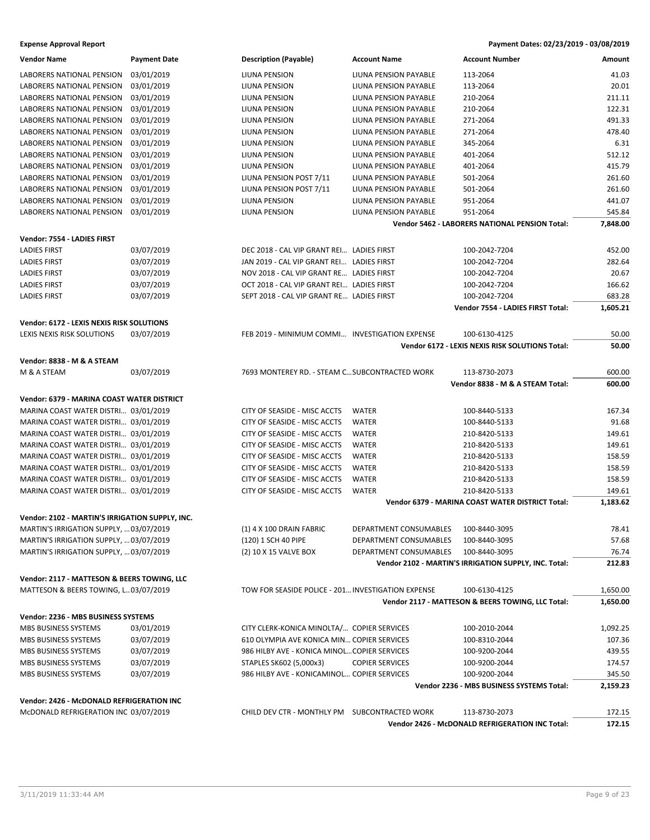| <b>Vendor Name</b>                                                                         | <b>Payment Date</b>      | <b>Description (Payable)</b>                       | <b>Account Name</b>                  | <b>Account Number</b>                                            | Amount           |
|--------------------------------------------------------------------------------------------|--------------------------|----------------------------------------------------|--------------------------------------|------------------------------------------------------------------|------------------|
| LABORERS NATIONAL PENSION                                                                  | 03/01/2019               | LIUNA PENSION                                      | LIUNA PENSION PAYABLE                | 113-2064                                                         | 41.03            |
| LABORERS NATIONAL PENSION                                                                  | 03/01/2019               | LIUNA PENSION                                      | LIUNA PENSION PAYABLE                | 113-2064                                                         | 20.01            |
| LABORERS NATIONAL PENSION                                                                  | 03/01/2019               | LIUNA PENSION                                      | LIUNA PENSION PAYABLE                | 210-2064                                                         | 211.11           |
| <b>LABORERS NATIONAL PENSION</b>                                                           | 03/01/2019               | LIUNA PENSION                                      | LIUNA PENSION PAYABLE                | 210-2064                                                         | 122.31           |
| LABORERS NATIONAL PENSION                                                                  | 03/01/2019               | LIUNA PENSION                                      | LIUNA PENSION PAYABLE                | 271-2064                                                         | 491.33           |
| LABORERS NATIONAL PENSION                                                                  | 03/01/2019               | LIUNA PENSION                                      | LIUNA PENSION PAYABLE                | 271-2064                                                         | 478.40           |
| LABORERS NATIONAL PENSION                                                                  | 03/01/2019               | LIUNA PENSION                                      | LIUNA PENSION PAYABLE                | 345-2064                                                         | 6.31             |
| LABORERS NATIONAL PENSION                                                                  | 03/01/2019               | LIUNA PENSION                                      | LIUNA PENSION PAYABLE                | 401-2064                                                         | 512.12           |
| <b>LABORERS NATIONAL PENSION</b>                                                           | 03/01/2019               | <b>LIUNA PENSION</b>                               | LIUNA PENSION PAYABLE                | 401-2064                                                         | 415.79           |
|                                                                                            |                          |                                                    |                                      |                                                                  |                  |
| LABORERS NATIONAL PENSION                                                                  | 03/01/2019<br>03/01/2019 | LIUNA PENSION POST 7/11                            | LIUNA PENSION PAYABLE                | 501-2064                                                         | 261.60           |
| LABORERS NATIONAL PENSION                                                                  |                          | LIUNA PENSION POST 7/11                            | LIUNA PENSION PAYABLE                | 501-2064                                                         | 261.60           |
| LABORERS NATIONAL PENSION                                                                  | 03/01/2019               | LIUNA PENSION                                      | LIUNA PENSION PAYABLE                | 951-2064                                                         | 441.07           |
| LABORERS NATIONAL PENSION                                                                  | 03/01/2019               | LIUNA PENSION                                      | LIUNA PENSION PAYABLE                | 951-2064                                                         | 545.84           |
|                                                                                            |                          |                                                    |                                      | Vendor 5462 - LABORERS NATIONAL PENSION Total:                   | 7,848.00         |
| Vendor: 7554 - LADIES FIRST                                                                |                          |                                                    |                                      |                                                                  |                  |
| <b>LADIES FIRST</b>                                                                        | 03/07/2019               | DEC 2018 - CAL VIP GRANT REI LADIES FIRST          |                                      | 100-2042-7204                                                    | 452.00           |
| <b>LADIES FIRST</b>                                                                        | 03/07/2019               | JAN 2019 - CAL VIP GRANT REI LADIES FIRST          |                                      | 100-2042-7204                                                    | 282.64           |
| <b>LADIES FIRST</b>                                                                        | 03/07/2019               | NOV 2018 - CAL VIP GRANT RE LADIES FIRST           |                                      | 100-2042-7204                                                    | 20.67            |
| <b>LADIES FIRST</b>                                                                        | 03/07/2019               | OCT 2018 - CAL VIP GRANT REI LADIES FIRST          |                                      | 100-2042-7204                                                    | 166.62           |
| <b>LADIES FIRST</b>                                                                        | 03/07/2019               | SEPT 2018 - CAL VIP GRANT RE LADIES FIRST          |                                      | 100-2042-7204                                                    | 683.28           |
|                                                                                            |                          |                                                    |                                      | Vendor 7554 - LADIES FIRST Total:                                | 1,605.21         |
| Vendor: 6172 - LEXIS NEXIS RISK SOLUTIONS                                                  |                          |                                                    |                                      |                                                                  |                  |
| LEXIS NEXIS RISK SOLUTIONS                                                                 | 03/07/2019               | FEB 2019 - MINIMUM COMMI INVESTIGATION EXPENSE     |                                      | 100-6130-4125                                                    | 50.00            |
|                                                                                            |                          |                                                    |                                      | Vendor 6172 - LEXIS NEXIS RISK SOLUTIONS Total:                  | 50.00            |
|                                                                                            |                          |                                                    |                                      |                                                                  |                  |
| Vendor: 8838 - M & A STEAM                                                                 |                          |                                                    |                                      |                                                                  |                  |
| M & A STEAM                                                                                | 03/07/2019               | 7693 MONTEREY RD. - STEAM C SUBCONTRACTED WORK     |                                      | 113-8730-2073                                                    | 600.00           |
|                                                                                            |                          |                                                    |                                      | Vendor 8838 - M & A STEAM Total:                                 | 600.00           |
| Vendor: 6379 - MARINA COAST WATER DISTRICT                                                 |                          |                                                    |                                      |                                                                  |                  |
| MARINA COAST WATER DISTRI 03/01/2019                                                       |                          | CITY OF SEASIDE - MISC ACCTS                       | <b>WATER</b>                         | 100-8440-5133                                                    | 167.34           |
| MARINA COAST WATER DISTRI 03/01/2019                                                       |                          | CITY OF SEASIDE - MISC ACCTS                       | <b>WATER</b>                         | 100-8440-5133                                                    | 91.68            |
| MARINA COAST WATER DISTRI 03/01/2019                                                       |                          | CITY OF SEASIDE - MISC ACCTS                       | <b>WATER</b>                         | 210-8420-5133                                                    | 149.61           |
| MARINA COAST WATER DISTRI 03/01/2019                                                       |                          | CITY OF SEASIDE - MISC ACCTS                       | <b>WATER</b>                         | 210-8420-5133                                                    | 149.61           |
| MARINA COAST WATER DISTRI 03/01/2019                                                       |                          | CITY OF SEASIDE - MISC ACCTS                       | <b>WATER</b>                         | 210-8420-5133                                                    | 158.59           |
| MARINA COAST WATER DISTRI 03/01/2019                                                       |                          | CITY OF SEASIDE - MISC ACCTS                       | <b>WATER</b>                         | 210-8420-5133                                                    | 158.59           |
| MARINA COAST WATER DISTRI 03/01/2019                                                       |                          | CITY OF SEASIDE - MISC ACCTS                       | <b>WATER</b>                         | 210-8420-5133                                                    | 158.59           |
| MARINA COAST WATER DISTRI 03/01/2019                                                       |                          | CITY OF SEASIDE - MISC ACCTS                       | <b>WATER</b>                         | 210-8420-5133                                                    | 149.61           |
|                                                                                            |                          |                                                    |                                      | <b>Vendor 6379 - MARINA COAST WATER DISTRICT Total:</b>          | 1,183.62         |
|                                                                                            |                          |                                                    |                                      |                                                                  |                  |
| Vendor: 2102 - MARTIN'S IRRIGATION SUPPLY, INC.<br>MARTIN'S IRRIGATION SUPPLY,  03/07/2019 |                          | (1) 4 X 100 DRAIN FABRIC                           | DEPARTMENT CONSUMABLES 100-8440-3095 |                                                                  |                  |
|                                                                                            |                          |                                                    |                                      |                                                                  | 78.41            |
| MARTIN'S IRRIGATION SUPPLY,  03/07/2019                                                    |                          | (120) 1 SCH 40 PIPE                                | DEPARTMENT CONSUMABLES               | 100-8440-3095                                                    | 57.68            |
| MARTIN'S IRRIGATION SUPPLY,  03/07/2019                                                    |                          | (2) 10 X 15 VALVE BOX                              | DEPARTMENT CONSUMABLES               | 100-8440-3095                                                    | 76.74            |
|                                                                                            |                          |                                                    |                                      | Vendor 2102 - MARTIN'S IRRIGATION SUPPLY, INC. Total:            | 212.83           |
| Vendor: 2117 - MATTESON & BEERS TOWING, LLC                                                |                          |                                                    |                                      |                                                                  |                  |
| MATTESON & BEERS TOWING, L03/07/2019                                                       |                          | TOW FOR SEASIDE POLICE - 201 INVESTIGATION EXPENSE |                                      | 100-6130-4125                                                    | 1,650.00         |
|                                                                                            |                          |                                                    |                                      | Vendor 2117 - MATTESON & BEERS TOWING, LLC Total:                | 1,650.00         |
| Vendor: 2236 - MBS BUSINESS SYSTEMS                                                        |                          |                                                    |                                      |                                                                  |                  |
| MBS BUSINESS SYSTEMS                                                                       | 03/01/2019               | CITY CLERK-KONICA MINOLTA/ COPIER SERVICES         |                                      | 100-2010-2044                                                    | 1,092.25         |
| MBS BUSINESS SYSTEMS                                                                       | 03/07/2019               | 610 OLYMPIA AVE KONICA MIN COPIER SERVICES         |                                      | 100-8310-2044                                                    | 107.36           |
| MBS BUSINESS SYSTEMS                                                                       | 03/07/2019               | 986 HILBY AVE - KONICA MINOLCOPIER SERVICES        |                                      | 100-9200-2044                                                    | 439.55           |
| MBS BUSINESS SYSTEMS                                                                       | 03/07/2019               | STAPLES SK602 (5,000x3)                            | <b>COPIER SERVICES</b>               | 100-9200-2044                                                    | 174.57           |
| MBS BUSINESS SYSTEMS                                                                       | 03/07/2019               | 986 HILBY AVE - KONICAMINOL COPIER SERVICES        |                                      | 100-9200-2044                                                    | 345.50           |
|                                                                                            |                          |                                                    |                                      | Vendor 2236 - MBS BUSINESS SYSTEMS Total:                        | 2,159.23         |
|                                                                                            |                          |                                                    |                                      |                                                                  |                  |
| Vendor: 2426 - McDONALD REFRIGERATION INC                                                  |                          |                                                    |                                      |                                                                  |                  |
| McDONALD REFRIGERATION INC 03/07/2019                                                      |                          | CHILD DEV CTR - MONTHLY PM SUBCONTRACTED WORK      |                                      | 113-8730-2073<br>Vendor 2426 - McDONALD REFRIGERATION INC Total: | 172.15<br>172.15 |
|                                                                                            |                          |                                                    |                                      |                                                                  |                  |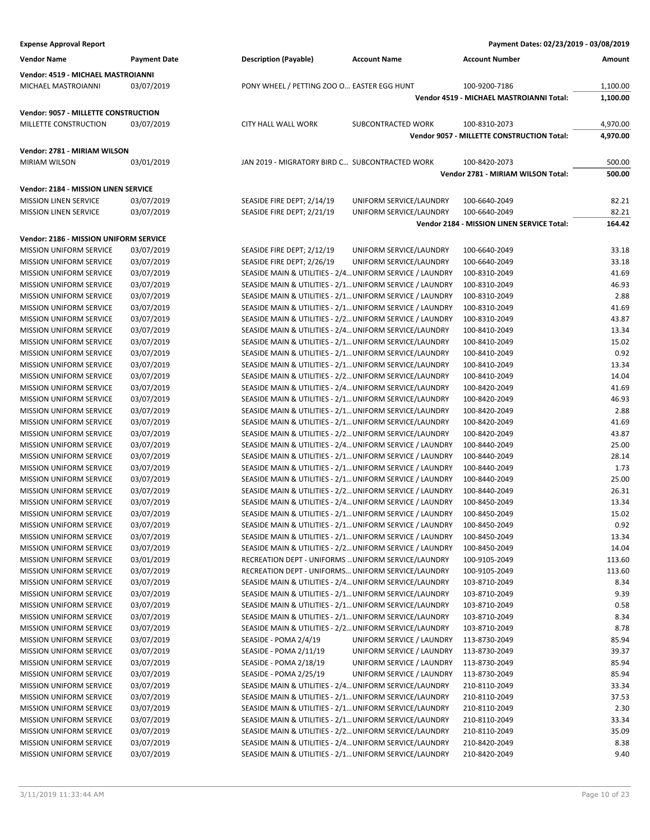**Vendor Name Payment Date Description (Payable) Account Name Account Number Amount Vendor: 4519 - MICHAEL MASTROIANNI** MICHAEL MASTROIANNI 03/07/2019 PONY WHEEL / PETTING ZOO O... EASTER EGG HUNT 100-9200-7186 1,100.00 **Vendor 4519 - MICHAEL MASTROIANNI Total: 1,100.00 Vendor: 9057 - MILLETTE CONSTRUCTION** MILLETTE CONSTRUCTION 03/07/2019 CITY HALL WALL WORK SUBCONTRACTED WORK 100-8310-2073 4,970.00 **Vendor 9057 - MILLETTE CONSTRUCTION Total: 4,970.00 Vendor: 2781 - MIRIAM WILSON** MIRIAM WILSON 03/01/2019 JAN 2019 - MIGRATORY BIRD C… SUBCONTRACTED WORK 100-8420-2073 500.00 **Vendor 2781 - MIRIAM WILSON Total: 500.00 Vendor: 2184 - MISSION LINEN SERVICE** MISSION LINEN SERVICE 03/07/2019 SEASIDE FIRE DEPT; 2/14/19 UNIFORM SERVICE/LAUNDRY 100-6640-2049 82.21 MISSION LINEN SERVICE 03/07/2019 SEASIDE FIRE DEPT; 2/21/19 UNIFORM SERVICE/LAUNDRY 100-6640-2049 82.21 **Vendor 2184 - MISSION LINEN SERVICE Total: 164.42 Vendor: 2186 - MISSION UNIFORM SERVICE** MISSION UNIFORM SERVICE 03/07/2019 SEASIDE FIRE DEPT; 2/12/19 UNIFORM SERVICE/LAUNDRY 100-6640-2049 33.18 MISSION UNIFORM SERVICE 03/07/2019 SEASIDE FIRE DEPT; 2/26/19 UNIFORM SERVICE/LAUNDRY 100-6640-2049 33.18 MISSION UNIFORM SERVICE 03/07/2019 SEASIDE MAIN & UTILITIES - 2/4…UNIFORM SERVICE / LAUNDRY 100-8310-2049 41.69 MISSION UNIFORM SERVICE 03/07/2019 SEASIDE MAIN & UTILITIES - 2/1…UNIFORM SERVICE / LAUNDRY 100-8310-2049 46.93 MISSION UNIFORM SERVICE 03/07/2019 SEASIDE MAIN & UTILITIES - 2/1…UNIFORM SERVICE / LAUNDRY 100-8310-2049 2.88 MISSION UNIFORM SERVICE 03/07/2019 SEASIDE MAIN & UTILITIES - 2/1…UNIFORM SERVICE / LAUNDRY 100-8310-2049 41.69 MISSION UNIFORM SERVICE 03/07/2019 SEASIDE MAIN & UTILITIES - 2/2…UNIFORM SERVICE / LAUNDRY 100-8310-2049 43.87 MISSION UNIFORM SERVICE 03/07/2019 SEASIDE MAIN & UTILITIES - 2/4... UNIFORM SERVICE/LAUNDRY 100-8410-2049 13.34 MISSION UNIFORM SERVICE 03/07/2019 SEASIDE MAIN & UTILITIES - 2/1…UNIFORM SERVICE/LAUNDRY 100-8410-2049 15.02 MISSION UNIFORM SERVICE 03/07/2019 SEASIDE MAIN & UTILITIES - 2/1…UNIFORM SERVICE/LAUNDRY 100-8410-2049 0.92 MISSION UNIFORM SERVICE 03/07/2019 SEASIDE MAIN & UTILITIES - 2/1…UNIFORM SERVICE/LAUNDRY 100-8410-2049 13.34 MISSION UNIFORM SERVICE 03/07/2019 SEASIDE MAIN & UTILITIES - 2/2…UNIFORM SERVICE/LAUNDRY 100-8410-2049 14.04 MISSION UNIFORM SERVICE 03/07/2019 SEASIDE MAIN & UTILITIES - 2/4…UNIFORM SERVICE/LAUNDRY 100-8420-2049 41.69 MISSION UNIFORM SERVICE 03/07/2019 SEASIDE MAIN & UTILITIES - 2/1…UNIFORM SERVICE/LAUNDRY 100-8420-2049 46.93 MISSION UNIFORM SERVICE 03/07/2019 SEASIDE MAIN & UTILITIES - 2/1…UNIFORM SERVICE/LAUNDRY 100-8420-2049 2.88 MISSION UNIFORM SERVICE 03/07/2019 SEASIDE MAIN & UTILITIES - 2/1…UNIFORM SERVICE/LAUNDRY 100-8420-2049 41.69 MISSION UNIFORM SERVICE 03/07/2019 SEASIDE MAIN & UTILITIES - 2/2…UNIFORM SERVICE/LAUNDRY 100-8420-2049 43.87 MISSION UNIFORM SERVICE 03/07/2019 SEASIDE MAIN & UTILITIES - 2/4…UNIFORM SERVICE / LAUNDRY 100-8440-2049 25.00 MISSION UNIFORM SERVICE 03/07/2019 SEASIDE MAIN & UTILITIES - 2/1…UNIFORM SERVICE / LAUNDRY 100-8440-2049 28.14 MISSION UNIFORM SERVICE 03/07/2019 SEASIDE MAIN & UTILITIES - 2/1... UNIFORM SERVICE / LAUNDRY 100-8440-2049 1.73 MISSION UNIFORM SERVICE 03/07/2019 SEASIDE MAIN & UTILITIES - 2/1…UNIFORM SERVICE / LAUNDRY 100-8440-2049 25.00 MISSION UNIFORM SERVICE 03/07/2019 SEASIDE MAIN & UTILITIES - 2/2…UNIFORM SERVICE / LAUNDRY 100-8440-2049 26.31 MISSION UNIFORM SERVICE 03/07/2019 SEASIDE MAIN & UTILITIES - 2/4…UNIFORM SERVICE / LAUNDRY 100-8450-2049 13.34 MISSION UNIFORM SERVICE 03/07/2019 SEASIDE MAIN & UTILITIES - 2/1…UNIFORM SERVICE / LAUNDRY 100-8450-2049 15.02 MISSION UNIFORM SERVICE 03/07/2019 SEASIDE MAIN & UTILITIES - 2/1…UNIFORM SERVICE / LAUNDRY 100-8450-2049 0.92 MISSION UNIFORM SERVICE 03/07/2019 SEASIDE MAIN & UTILITIES - 2/1…UNIFORM SERVICE / LAUNDRY 100-8450-2049 13.34 MISSION UNIFORM SERVICE 03/07/2019 SEASIDE MAIN & UTILITIES - 2/2…UNIFORM SERVICE / LAUNDRY 100-8450-2049 14.04 MISSION UNIFORM SERVICE 03/01/2019 RECREATION DEPT - UNIFORMS ... UNIFORM SERVICE/LAUNDRY 100-9105-2049 113.60 MISSION UNIFORM SERVICE 03/07/2019 RECREATION DEPT - UNIFORMS... UNIFORM SERVICE/LAUNDRY 100-9105-2049 113.60 MISSION UNIFORM SERVICE 03/07/2019 SEASIDE MAIN & UTILITIES - 2/4…UNIFORM SERVICE/LAUNDRY 103-8710-2049 8.34 MISSION UNIFORM SERVICE 03/07/2019 SEASIDE MAIN & UTILITIES - 2/1…UNIFORM SERVICE/LAUNDRY 103-8710-2049 9.39 MISSION UNIFORM SERVICE 03/07/2019 SEASIDE MAIN & UTILITIES - 2/1…UNIFORM SERVICE/LAUNDRY 103-8710-2049 0.58 MISSION UNIFORM SERVICE 03/07/2019 SEASIDE MAIN & UTILITIES - 2/1…UNIFORM SERVICE/LAUNDRY 103-8710-2049 8.34 MISSION UNIFORM SERVICE 03/07/2019 SEASIDE MAIN & UTILITIES - 2/2…UNIFORM SERVICE/LAUNDRY 103-8710-2049 8.78 MISSION UNIFORM SERVICE 03/07/2019 SEASIDE - POMA 2/4/19 UNIFORM SERVICE / LAUNDRY 113-8730-2049 85.94 MISSION UNIFORM SERVICE 03/07/2019 SEASIDE - POMA 2/11/19 UNIFORM SERVICE / LAUNDRY 113-8730-2049 39.37 MISSION UNIFORM SERVICE 03/07/2019 SEASIDE - POMA 2/18/19 UNIFORM SERVICE / LAUNDRY 113-8730-2049 85.94 MISSION UNIFORM SERVICE 03/07/2019 SEASIDE - POMA 2/25/19 UNIFORM SERVICE / LAUNDRY 113-8730-2049 85.94 MISSION UNIFORM SERVICE 03/07/2019 SEASIDE MAIN & UTILITIES - 2/4…UNIFORM SERVICE/LAUNDRY 210-8110-2049 33.34 MISSION UNIFORM SERVICE 03/07/2019 SEASIDE MAIN & UTILITIES - 2/1…UNIFORM SERVICE/LAUNDRY 210-8110-2049 37.53 MISSION UNIFORM SERVICE 03/07/2019 SEASIDE MAIN & UTILITIES - 2/1…UNIFORM SERVICE/LAUNDRY 210-8110-2049 2.30 MISSION UNIFORM SERVICE 03/07/2019 SEASIDE MAIN & UTILITIES - 2/1…UNIFORM SERVICE/LAUNDRY 210-8110-2049 33.34 MISSION UNIFORM SERVICE 03/07/2019 SEASIDE MAIN & UTILITIES - 2/2…UNIFORM SERVICE/LAUNDRY 210-8110-2049 35.09 MISSION UNIFORM SERVICE 03/07/2019 SEASIDE MAIN & UTILITIES - 2/4…UNIFORM SERVICE/LAUNDRY 210-8420-2049 8.38 MISSION UNIFORM SERVICE 03/07/2019 SEASIDE MAIN & UTILITIES - 2/1…UNIFORM SERVICE/LAUNDRY 210-8420-2049 9.40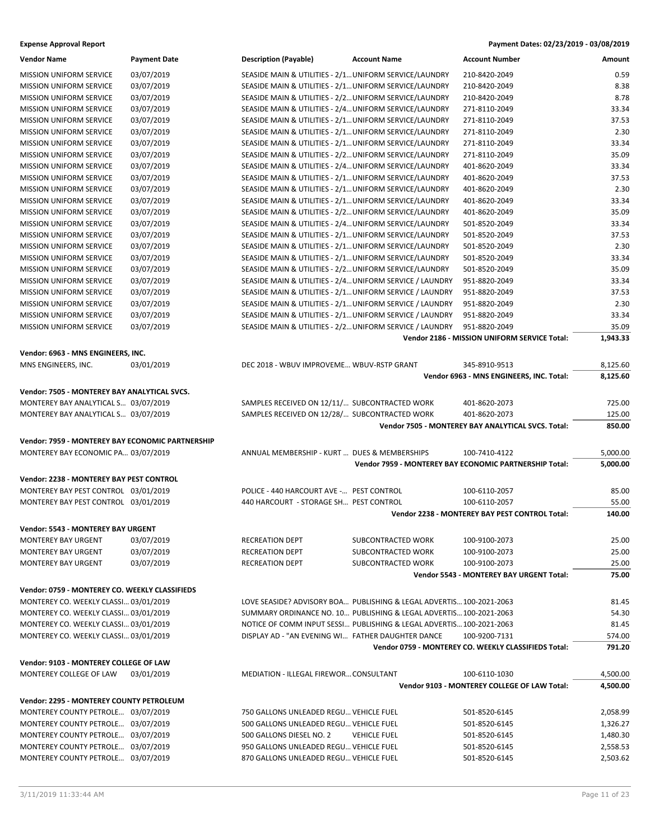| <b>Expense Approval Report</b> | Payment Dates: 02/23/2019 - 03/08/2019 |
|--------------------------------|----------------------------------------|
|                                |                                        |

| <b>Vendor Name</b>                               | <b>Payment Date</b> | <b>Description (Payable)</b>                           | <b>Account Name</b>                                                  | <b>Account Number</b>                                  | Amount   |
|--------------------------------------------------|---------------------|--------------------------------------------------------|----------------------------------------------------------------------|--------------------------------------------------------|----------|
| MISSION UNIFORM SERVICE                          | 03/07/2019          | SEASIDE MAIN & UTILITIES - 2/1 UNIFORM SERVICE/LAUNDRY |                                                                      | 210-8420-2049                                          | 0.59     |
| MISSION UNIFORM SERVICE                          | 03/07/2019          | SEASIDE MAIN & UTILITIES - 2/1 UNIFORM SERVICE/LAUNDRY |                                                                      | 210-8420-2049                                          | 8.38     |
| <b>MISSION UNIFORM SERVICE</b>                   | 03/07/2019          | SEASIDE MAIN & UTILITIES - 2/2 UNIFORM SERVICE/LAUNDRY |                                                                      | 210-8420-2049                                          | 8.78     |
| <b>MISSION UNIFORM SERVICE</b>                   | 03/07/2019          | SEASIDE MAIN & UTILITIES - 2/4 UNIFORM SERVICE/LAUNDRY |                                                                      | 271-8110-2049                                          | 33.34    |
| <b>MISSION UNIFORM SERVICE</b>                   | 03/07/2019          | SEASIDE MAIN & UTILITIES - 2/1 UNIFORM SERVICE/LAUNDRY |                                                                      | 271-8110-2049                                          | 37.53    |
| <b>MISSION UNIFORM SERVICE</b>                   | 03/07/2019          | SEASIDE MAIN & UTILITIES - 2/1 UNIFORM SERVICE/LAUNDRY |                                                                      | 271-8110-2049                                          | 2.30     |
| MISSION UNIFORM SERVICE                          | 03/07/2019          | SEASIDE MAIN & UTILITIES - 2/1 UNIFORM SERVICE/LAUNDRY |                                                                      | 271-8110-2049                                          | 33.34    |
| <b>MISSION UNIFORM SERVICE</b>                   | 03/07/2019          | SEASIDE MAIN & UTILITIES - 2/2 UNIFORM SERVICE/LAUNDRY |                                                                      | 271-8110-2049                                          | 35.09    |
| <b>MISSION UNIFORM SERVICE</b>                   | 03/07/2019          | SEASIDE MAIN & UTILITIES - 2/4 UNIFORM SERVICE/LAUNDRY |                                                                      | 401-8620-2049                                          | 33.34    |
| <b>MISSION UNIFORM SERVICE</b>                   | 03/07/2019          | SEASIDE MAIN & UTILITIES - 2/1 UNIFORM SERVICE/LAUNDRY |                                                                      | 401-8620-2049                                          | 37.53    |
| MISSION UNIFORM SERVICE                          | 03/07/2019          | SEASIDE MAIN & UTILITIES - 2/1 UNIFORM SERVICE/LAUNDRY |                                                                      | 401-8620-2049                                          | 2.30     |
| MISSION UNIFORM SERVICE                          | 03/07/2019          | SEASIDE MAIN & UTILITIES - 2/1 UNIFORM SERVICE/LAUNDRY |                                                                      | 401-8620-2049                                          | 33.34    |
| MISSION UNIFORM SERVICE                          | 03/07/2019          | SEASIDE MAIN & UTILITIES - 2/2 UNIFORM SERVICE/LAUNDRY |                                                                      | 401-8620-2049                                          | 35.09    |
| <b>MISSION UNIFORM SERVICE</b>                   | 03/07/2019          | SEASIDE MAIN & UTILITIES - 2/4 UNIFORM SERVICE/LAUNDRY |                                                                      | 501-8520-2049                                          | 33.34    |
| <b>MISSION UNIFORM SERVICE</b>                   | 03/07/2019          | SEASIDE MAIN & UTILITIES - 2/1 UNIFORM SERVICE/LAUNDRY |                                                                      | 501-8520-2049                                          | 37.53    |
| <b>MISSION UNIFORM SERVICE</b>                   | 03/07/2019          | SEASIDE MAIN & UTILITIES - 2/1 UNIFORM SERVICE/LAUNDRY |                                                                      | 501-8520-2049                                          | 2.30     |
| MISSION UNIFORM SERVICE                          | 03/07/2019          | SEASIDE MAIN & UTILITIES - 2/1 UNIFORM SERVICE/LAUNDRY |                                                                      | 501-8520-2049                                          | 33.34    |
| <b>MISSION UNIFORM SERVICE</b>                   | 03/07/2019          | SEASIDE MAIN & UTILITIES - 2/2 UNIFORM SERVICE/LAUNDRY |                                                                      | 501-8520-2049                                          | 35.09    |
| <b>MISSION UNIFORM SERVICE</b>                   | 03/07/2019          |                                                        | SEASIDE MAIN & UTILITIES - 2/4 UNIFORM SERVICE / LAUNDRY             | 951-8820-2049                                          | 33.34    |
| <b>MISSION UNIFORM SERVICE</b>                   | 03/07/2019          |                                                        | SEASIDE MAIN & UTILITIES - 2/1 UNIFORM SERVICE / LAUNDRY             | 951-8820-2049                                          | 37.53    |
| <b>MISSION UNIFORM SERVICE</b>                   | 03/07/2019          |                                                        | SEASIDE MAIN & UTILITIES - 2/1 UNIFORM SERVICE / LAUNDRY             | 951-8820-2049                                          | 2.30     |
| MISSION UNIFORM SERVICE                          | 03/07/2019          |                                                        | SEASIDE MAIN & UTILITIES - 2/1 UNIFORM SERVICE / LAUNDRY             | 951-8820-2049                                          | 33.34    |
| <b>MISSION UNIFORM SERVICE</b>                   | 03/07/2019          |                                                        | SEASIDE MAIN & UTILITIES - 2/2 UNIFORM SERVICE / LAUNDRY             | 951-8820-2049                                          | 35.09    |
|                                                  |                     |                                                        |                                                                      | Vendor 2186 - MISSION UNIFORM SERVICE Total:           | 1,943.33 |
| Vendor: 6963 - MNS ENGINEERS, INC.               |                     |                                                        |                                                                      |                                                        |          |
| MNS ENGINEERS, INC.                              | 03/01/2019          | DEC 2018 - WBUV IMPROVEME WBUV-RSTP GRANT              |                                                                      | 345-8910-9513                                          | 8,125.60 |
|                                                  |                     |                                                        |                                                                      | Vendor 6963 - MNS ENGINEERS, INC. Total:               | 8,125.60 |
| Vendor: 7505 - MONTEREY BAY ANALYTICAL SVCS.     |                     |                                                        |                                                                      |                                                        |          |
| MONTEREY BAY ANALYTICAL S 03/07/2019             |                     | SAMPLES RECEIVED ON 12/11/ SUBCONTRACTED WORK          |                                                                      | 401-8620-2073                                          | 725.00   |
| MONTEREY BAY ANALYTICAL S 03/07/2019             |                     | SAMPLES RECEIVED ON 12/28/ SUBCONTRACTED WORK          |                                                                      | 401-8620-2073                                          | 125.00   |
|                                                  |                     |                                                        |                                                                      | Vendor 7505 - MONTEREY BAY ANALYTICAL SVCS. Total:     | 850.00   |
| Vendor: 7959 - MONTEREY BAY ECONOMIC PARTNERSHIP |                     |                                                        |                                                                      |                                                        |          |
| MONTEREY BAY ECONOMIC PA 03/07/2019              |                     | ANNUAL MEMBERSHIP - KURT  DUES & MEMBERSHIPS           |                                                                      | 100-7410-4122                                          | 5,000.00 |
|                                                  |                     |                                                        |                                                                      | Vendor 7959 - MONTEREY BAY ECONOMIC PARTNERSHIP Total: | 5,000.00 |
| <b>Vendor: 2238 - MONTEREY BAY PEST CONTROL</b>  |                     |                                                        |                                                                      |                                                        |          |
| MONTEREY BAY PEST CONTROL 03/01/2019             |                     | POLICE - 440 HARCOURT AVE - PEST CONTROL               |                                                                      | 100-6110-2057                                          | 85.00    |
| MONTEREY BAY PEST CONTROL 03/01/2019             |                     | 440 HARCOURT - STORAGE SH PEST CONTROL                 |                                                                      | 100-6110-2057                                          | 55.00    |
|                                                  |                     |                                                        |                                                                      | Vendor 2238 - MONTEREY BAY PEST CONTROL Total:         | 140.00   |
|                                                  |                     |                                                        |                                                                      |                                                        |          |
| Vendor: 5543 - MONTEREY BAY URGENT               |                     |                                                        |                                                                      |                                                        |          |
| <b>MONTEREY BAY URGENT</b>                       | 03/07/2019          | RECREATION DEPT                                        | SUBCONTRACTED WORK                                                   | 100-9100-2073                                          | 25.00    |
| <b>MONTEREY BAY URGENT</b>                       | 03/07/2019          | RECREATION DEPT                                        | SUBCONTRACTED WORK                                                   | 100-9100-2073                                          | 25.00    |
| <b>MONTEREY BAY URGENT</b>                       | 03/07/2019          | <b>RECREATION DEPT</b>                                 | SUBCONTRACTED WORK                                                   | 100-9100-2073                                          | 25.00    |
|                                                  |                     |                                                        |                                                                      | Vendor 5543 - MONTEREY BAY URGENT Total:               | 75.00    |
| Vendor: 0759 - MONTEREY CO. WEEKLY CLASSIFIEDS   |                     |                                                        |                                                                      |                                                        |          |
| MONTEREY CO. WEEKLY CLASSI 03/01/2019            |                     |                                                        | LOVE SEASIDE? ADVISORY BOA PUBLISHING & LEGAL ADVERTIS 100-2021-2063 |                                                        | 81.45    |
| MONTEREY CO. WEEKLY CLASSI 03/01/2019            |                     |                                                        | SUMMARY ORDINANCE NO. 10 PUBLISHING & LEGAL ADVERTIS 100-2021-2063   |                                                        | 54.30    |
| MONTEREY CO. WEEKLY CLASSI 03/01/2019            |                     |                                                        | NOTICE OF COMM INPUT SESSI PUBLISHING & LEGAL ADVERTIS 100-2021-2063 |                                                        | 81.45    |
| MONTEREY CO. WEEKLY CLASSI 03/01/2019            |                     | DISPLAY AD - "AN EVENING WI FATHER DAUGHTER DANCE      |                                                                      | 100-9200-7131                                          | 574.00   |
|                                                  |                     |                                                        |                                                                      | Vendor 0759 - MONTEREY CO. WEEKLY CLASSIFIEDS Total:   | 791.20   |
| Vendor: 9103 - MONTEREY COLLEGE OF LAW           |                     |                                                        |                                                                      |                                                        |          |
| MONTEREY COLLEGE OF LAW                          | 03/01/2019          | MEDIATION - ILLEGAL FIREWOR CONSULTANT                 |                                                                      | 100-6110-1030                                          | 4,500.00 |
|                                                  |                     |                                                        |                                                                      | Vendor 9103 - MONTEREY COLLEGE OF LAW Total:           | 4,500.00 |
| Vendor: 2295 - MONTEREY COUNTY PETROLEUM         |                     |                                                        |                                                                      |                                                        |          |
| MONTEREY COUNTY PETROLE 03/07/2019               |                     | 750 GALLONS UNLEADED REGU VEHICLE FUEL                 |                                                                      | 501-8520-6145                                          | 2,058.99 |
| MONTEREY COUNTY PETROLE 03/07/2019               |                     | 500 GALLONS UNLEADED REGU VEHICLE FUEL                 |                                                                      | 501-8520-6145                                          | 1,326.27 |
| MONTEREY COUNTY PETROLE 03/07/2019               |                     | 500 GALLONS DIESEL NO. 2                               | <b>VEHICLE FUEL</b>                                                  | 501-8520-6145                                          | 1,480.30 |
| MONTEREY COUNTY PETROLE 03/07/2019               |                     | 950 GALLONS UNLEADED REGU VEHICLE FUEL                 |                                                                      | 501-8520-6145                                          | 2,558.53 |
| MONTEREY COUNTY PETROLE 03/07/2019               |                     | 870 GALLONS UNLEADED REGU VEHICLE FUEL                 |                                                                      | 501-8520-6145                                          | 2,503.62 |
|                                                  |                     |                                                        |                                                                      |                                                        |          |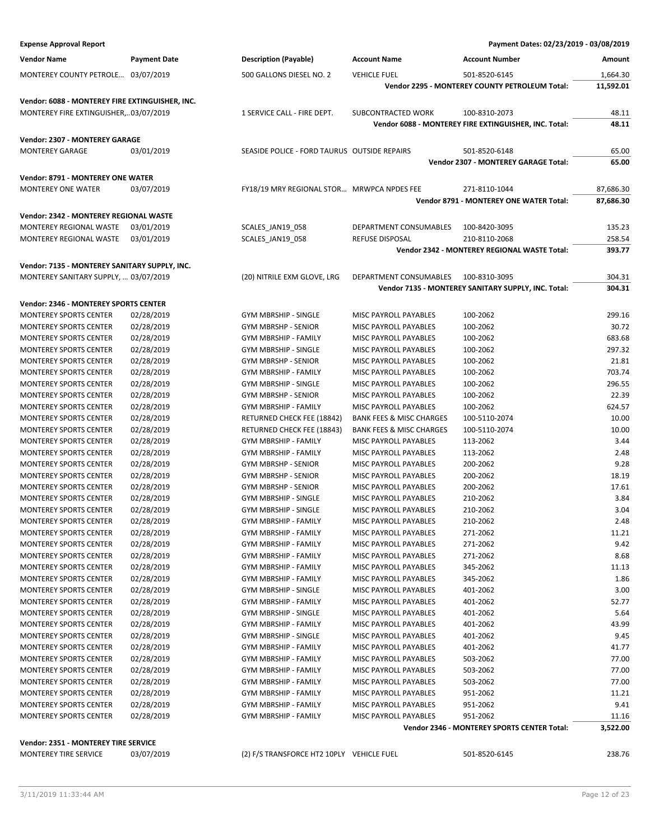| <b>Expense Approval Report</b>                           |                     |                                              |                                     | Payment Dates: 02/23/2019 - 03/08/2019                |                |
|----------------------------------------------------------|---------------------|----------------------------------------------|-------------------------------------|-------------------------------------------------------|----------------|
| <b>Vendor Name</b>                                       | <b>Payment Date</b> | <b>Description (Payable)</b>                 | <b>Account Name</b>                 | <b>Account Number</b>                                 | Amount         |
| MONTEREY COUNTY PETROLE 03/07/2019                       |                     | 500 GALLONS DIESEL NO. 2                     | <b>VEHICLE FUEL</b>                 | 501-8520-6145                                         | 1,664.30       |
|                                                          |                     |                                              |                                     | Vendor 2295 - MONTEREY COUNTY PETROLEUM Total:        | 11,592.01      |
| Vendor: 6088 - MONTEREY FIRE EXTINGUISHER, INC.          |                     |                                              |                                     |                                                       |                |
| MONTEREY FIRE EXTINGUISHER,03/07/2019                    |                     | 1 SERVICE CALL - FIRE DEPT.                  | SUBCONTRACTED WORK                  | 100-8310-2073                                         | 48.11          |
|                                                          |                     |                                              |                                     | Vendor 6088 - MONTEREY FIRE EXTINGUISHER, INC. Total: | 48.11          |
|                                                          |                     |                                              |                                     |                                                       |                |
| Vendor: 2307 - MONTEREY GARAGE<br><b>MONTEREY GARAGE</b> |                     |                                              |                                     |                                                       |                |
|                                                          | 03/01/2019          | SEASIDE POLICE - FORD TAURUS OUTSIDE REPAIRS |                                     | 501-8520-6148<br>Vendor 2307 - MONTEREY GARAGE Total: | 65.00<br>65.00 |
|                                                          |                     |                                              |                                     |                                                       |                |
| Vendor: 8791 - MONTEREY ONE WATER                        |                     |                                              |                                     |                                                       |                |
| <b>MONTEREY ONE WATER</b>                                | 03/07/2019          | FY18/19 MRY REGIONAL STOR MRWPCA NPDES FEE   |                                     | 271-8110-1044                                         | 87,686.30      |
|                                                          |                     |                                              |                                     | Vendor 8791 - MONTEREY ONE WATER Total:               | 87,686.30      |
| Vendor: 2342 - MONTEREY REGIONAL WASTE                   |                     |                                              |                                     |                                                       |                |
| MONTEREY REGIONAL WASTE                                  | 03/01/2019          | SCALES_JAN19_058                             | DEPARTMENT CONSUMABLES              | 100-8420-3095                                         | 135.23         |
| MONTEREY REGIONAL WASTE                                  | 03/01/2019          | SCALES_JAN19_058                             | REFUSE DISPOSAL                     | 210-8110-2068                                         | 258.54         |
|                                                          |                     |                                              |                                     | Vendor 2342 - MONTEREY REGIONAL WASTE Total:          | 393.77         |
| Vendor: 7135 - MONTEREY SANITARY SUPPLY, INC.            |                     |                                              |                                     |                                                       |                |
| MONTEREY SANITARY SUPPLY,  03/07/2019                    |                     | (20) NITRILE EXM GLOVE, LRG                  | DEPARTMENT CONSUMABLES              | 100-8310-3095                                         | 304.31         |
|                                                          |                     |                                              |                                     | Vendor 7135 - MONTEREY SANITARY SUPPLY, INC. Total:   | 304.31         |
| Vendor: 2346 - MONTEREY SPORTS CENTER                    |                     |                                              |                                     |                                                       |                |
| MONTEREY SPORTS CENTER                                   | 02/28/2019          | GYM MBRSHIP - SINGLE                         | MISC PAYROLL PAYABLES               | 100-2062                                              | 299.16         |
| <b>MONTEREY SPORTS CENTER</b>                            | 02/28/2019          | <b>GYM MBRSHP - SENIOR</b>                   | MISC PAYROLL PAYABLES               | 100-2062                                              | 30.72          |
| <b>MONTEREY SPORTS CENTER</b>                            | 02/28/2019          | <b>GYM MBRSHIP - FAMILY</b>                  | MISC PAYROLL PAYABLES               | 100-2062                                              | 683.68         |
| MONTEREY SPORTS CENTER                                   | 02/28/2019          | GYM MBRSHIP - SINGLE                         | MISC PAYROLL PAYABLES               | 100-2062                                              | 297.32         |
| <b>MONTEREY SPORTS CENTER</b>                            | 02/28/2019          | GYM MBRSHP - SENIOR                          | MISC PAYROLL PAYABLES               | 100-2062                                              | 21.81          |
| MONTEREY SPORTS CENTER                                   | 02/28/2019          | GYM MBRSHIP - FAMILY                         | MISC PAYROLL PAYABLES               | 100-2062                                              | 703.74         |
| <b>MONTEREY SPORTS CENTER</b>                            | 02/28/2019          | <b>GYM MBRSHIP - SINGLE</b>                  | MISC PAYROLL PAYABLES               | 100-2062                                              | 296.55         |
| <b>MONTEREY SPORTS CENTER</b>                            | 02/28/2019          | <b>GYM MBRSHP - SENIOR</b>                   | MISC PAYROLL PAYABLES               | 100-2062                                              | 22.39          |
| MONTEREY SPORTS CENTER                                   | 02/28/2019          | GYM MBRSHIP - FAMILY                         | MISC PAYROLL PAYABLES               | 100-2062                                              | 624.57         |
| <b>MONTEREY SPORTS CENTER</b>                            | 02/28/2019          | RETURNED CHECK FEE (18842)                   | <b>BANK FEES &amp; MISC CHARGES</b> | 100-5110-2074                                         | 10.00          |
| MONTEREY SPORTS CENTER                                   | 02/28/2019          | RETURNED CHECK FEE (18843)                   | <b>BANK FEES &amp; MISC CHARGES</b> | 100-5110-2074                                         | 10.00          |
| <b>MONTEREY SPORTS CENTER</b>                            | 02/28/2019          | <b>GYM MBRSHIP - FAMILY</b>                  | MISC PAYROLL PAYABLES               | 113-2062                                              | 3.44           |
| <b>MONTEREY SPORTS CENTER</b>                            | 02/28/2019          | <b>GYM MBRSHIP - FAMILY</b>                  | <b>MISC PAYROLL PAYABLES</b>        | 113-2062                                              | 2.48           |
| MONTEREY SPORTS CENTER                                   | 02/28/2019          | GYM MBRSHP - SENIOR                          | MISC PAYROLL PAYABLES               | 200-2062                                              | 9.28           |
| <b>MONTEREY SPORTS CENTER</b>                            | 02/28/2019          | <b>GYM MBRSHP - SENIOR</b>                   | MISC PAYROLL PAYABLES               | 200-2062                                              | 18.19          |
| MONTEREY SPORTS CENTER                                   | 02/28/2019          | GYM MBRSHP - SENIOR                          | MISC PAYROLL PAYABLES               | 200-2062                                              | 17.61          |
| <b>MONTEREY SPORTS CENTER</b>                            | 02/28/2019          | GYM MBRSHIP - SINGLE                         | MISC PAYROLL PAYABLES               | 210-2062                                              | 3.84           |
| MONTEREY SPORTS CENTER                                   | 02/28/2019          | GYM MBRSHIP - SINGLE                         | MISC PAYROLL PAYABLES               | 210-2062                                              | 3.04           |
| <b>MONTEREY SPORTS CENTER</b>                            | 02/28/2019          | <b>GYM MBRSHIP - FAMILY</b>                  | MISC PAYROLL PAYABLES               | 210-2062                                              | 2.48           |
| <b>MONTEREY SPORTS CENTER</b>                            | 02/28/2019          | GYM MBRSHIP - FAMILY                         | MISC PAYROLL PAYABLES               | 271-2062                                              | 11.21          |
| <b>MONTEREY SPORTS CENTER</b>                            | 02/28/2019          | GYM MBRSHIP - FAMILY                         | MISC PAYROLL PAYABLES               | 271-2062                                              | 9.42           |
| <b>MONTEREY SPORTS CENTER</b>                            | 02/28/2019          | <b>GYM MBRSHIP - FAMILY</b>                  | MISC PAYROLL PAYABLES               | 271-2062                                              | 8.68           |
| MONTEREY SPORTS CENTER                                   | 02/28/2019          | <b>GYM MBRSHIP - FAMILY</b>                  | MISC PAYROLL PAYABLES               | 345-2062                                              | 11.13          |
| MONTEREY SPORTS CENTER                                   | 02/28/2019          | GYM MBRSHIP - FAMILY                         | MISC PAYROLL PAYABLES               | 345-2062                                              | 1.86           |
| <b>MONTEREY SPORTS CENTER</b>                            | 02/28/2019          | <b>GYM MBRSHIP - SINGLE</b>                  | MISC PAYROLL PAYABLES               | 401-2062                                              | 3.00           |
| <b>MONTEREY SPORTS CENTER</b>                            | 02/28/2019          | GYM MBRSHIP - FAMILY                         | MISC PAYROLL PAYABLES               | 401-2062                                              | 52.77          |
| <b>MONTEREY SPORTS CENTER</b>                            | 02/28/2019          | <b>GYM MBRSHIP - SINGLE</b>                  | MISC PAYROLL PAYABLES               | 401-2062                                              | 5.64           |
| MONTEREY SPORTS CENTER                                   | 02/28/2019          | <b>GYM MBRSHIP - FAMILY</b>                  | MISC PAYROLL PAYABLES               | 401-2062                                              | 43.99          |
| MONTEREY SPORTS CENTER                                   | 02/28/2019          | GYM MBRSHIP - SINGLE                         | MISC PAYROLL PAYABLES               | 401-2062                                              | 9.45           |
| <b>MONTEREY SPORTS CENTER</b>                            | 02/28/2019          | GYM MBRSHIP - FAMILY                         | MISC PAYROLL PAYABLES               | 401-2062                                              | 41.77          |
| <b>MONTEREY SPORTS CENTER</b>                            | 02/28/2019          | GYM MBRSHIP - FAMILY                         | MISC PAYROLL PAYABLES               | 503-2062                                              | 77.00          |
| <b>MONTEREY SPORTS CENTER</b>                            | 02/28/2019          | <b>GYM MBRSHIP - FAMILY</b>                  | MISC PAYROLL PAYABLES               | 503-2062                                              | 77.00          |
| MONTEREY SPORTS CENTER                                   | 02/28/2019          | <b>GYM MBRSHIP - FAMILY</b>                  | MISC PAYROLL PAYABLES               | 503-2062                                              | 77.00          |
| MONTEREY SPORTS CENTER                                   | 02/28/2019          | GYM MBRSHIP - FAMILY                         | MISC PAYROLL PAYABLES               | 951-2062                                              | 11.21          |
| <b>MONTEREY SPORTS CENTER</b>                            | 02/28/2019          | <b>GYM MBRSHIP - FAMILY</b>                  | MISC PAYROLL PAYABLES               | 951-2062                                              | 9.41           |
| <b>MONTEREY SPORTS CENTER</b>                            | 02/28/2019          | <b>GYM MBRSHIP - FAMILY</b>                  | MISC PAYROLL PAYABLES               | 951-2062                                              | 11.16          |
|                                                          |                     |                                              |                                     | Vendor 2346 - MONTEREY SPORTS CENTER Total:           | 3,522.00       |
| Vendor: 2351 - MONTEREY TIRE SERVICE                     |                     |                                              |                                     |                                                       |                |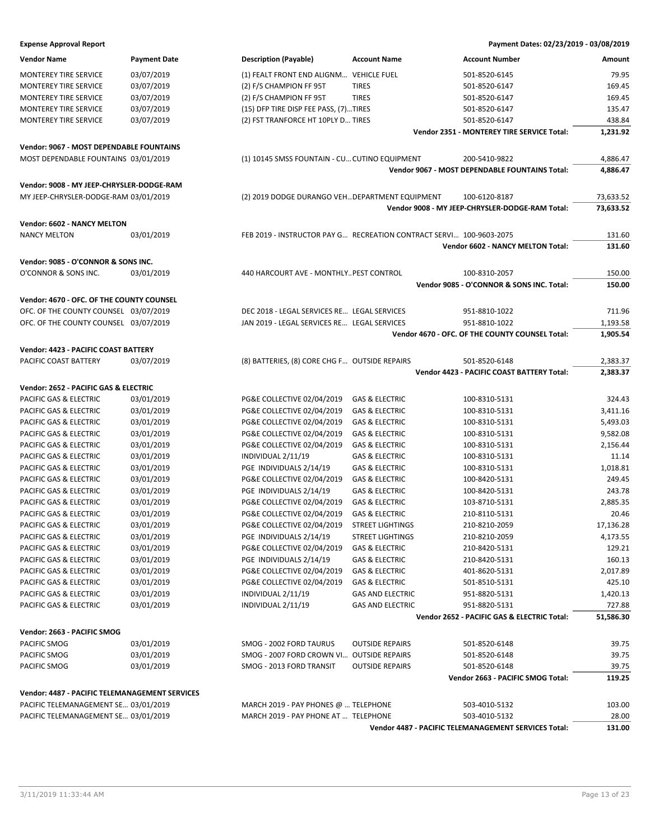| <b>Vendor Name</b>                               | <b>Payment Date</b>      | <b>Description (Payable)</b>                                        | <b>Account Name</b>                                  | <b>Account Number</b>                                | Amount             |
|--------------------------------------------------|--------------------------|---------------------------------------------------------------------|------------------------------------------------------|------------------------------------------------------|--------------------|
| <b>MONTEREY TIRE SERVICE</b>                     | 03/07/2019               | (1) FEALT FRONT END ALIGNM VEHICLE FUEL                             |                                                      | 501-8520-6145                                        | 79.95              |
| <b>MONTEREY TIRE SERVICE</b>                     | 03/07/2019               | (2) F/S CHAMPION FF 95T                                             | <b>TIRES</b>                                         | 501-8520-6147                                        | 169.45             |
| MONTEREY TIRE SERVICE                            | 03/07/2019               | (2) F/S CHAMPION FF 95T                                             | <b>TIRES</b>                                         | 501-8520-6147                                        | 169.45             |
| <b>MONTEREY TIRE SERVICE</b>                     | 03/07/2019               | (15) DFP TIRE DISP FEE PASS, (7)TIRES                               |                                                      | 501-8520-6147                                        | 135.47             |
| MONTEREY TIRE SERVICE                            | 03/07/2019               | (2) FST TRANFORCE HT 10PLY D TIRES                                  |                                                      | 501-8520-6147                                        | 438.84             |
|                                                  |                          |                                                                     |                                                      | Vendor 2351 - MONTEREY TIRE SERVICE Total:           | 1,231.92           |
| Vendor: 9067 - MOST DEPENDABLE FOUNTAINS         |                          |                                                                     |                                                      |                                                      |                    |
| MOST DEPENDABLE FOUNTAINS 03/01/2019             |                          | (1) 10145 SMSS FOUNTAIN - CU CUTINO EQUIPMENT                       |                                                      | 200-5410-9822                                        | 4,886.47           |
|                                                  |                          |                                                                     |                                                      | Vendor 9067 - MOST DEPENDABLE FOUNTAINS Total:       | 4,886.47           |
|                                                  |                          |                                                                     |                                                      |                                                      |                    |
| Vendor: 9008 - MY JEEP-CHRYSLER-DODGE-RAM        |                          |                                                                     |                                                      |                                                      |                    |
| MY JEEP-CHRYSLER-DODGE-RAM 03/01/2019            |                          | (2) 2019 DODGE DURANGO VEH DEPARTMENT EQUIPMENT                     |                                                      | 100-6120-8187                                        | 73,633.52          |
|                                                  |                          |                                                                     |                                                      | Vendor 9008 - MY JEEP-CHRYSLER-DODGE-RAM Total:      | 73,633.52          |
| Vendor: 6602 - NANCY MELTON                      |                          |                                                                     |                                                      |                                                      |                    |
| <b>NANCY MELTON</b>                              | 03/01/2019               | FEB 2019 - INSTRUCTOR PAY G RECREATION CONTRACT SERVI 100-9603-2075 |                                                      |                                                      | 131.60             |
|                                                  |                          |                                                                     |                                                      | Vendor 6602 - NANCY MELTON Total:                    | 131.60             |
| Vendor: 9085 - O'CONNOR & SONS INC.              |                          |                                                                     |                                                      |                                                      |                    |
| O'CONNOR & SONS INC.                             | 03/01/2019               | 440 HARCOURT AVE - MONTHLY PEST CONTROL                             |                                                      | 100-8310-2057                                        | 150.00             |
|                                                  |                          |                                                                     |                                                      | Vendor 9085 - O'CONNOR & SONS INC. Total:            | 150.00             |
| Vendor: 4670 - OFC. OF THE COUNTY COUNSEL        |                          |                                                                     |                                                      |                                                      |                    |
| OFC. OF THE COUNTY COUNSEL 03/07/2019            |                          | DEC 2018 - LEGAL SERVICES RE LEGAL SERVICES                         |                                                      | 951-8810-1022                                        | 711.96             |
| OFC. OF THE COUNTY COUNSEL 03/07/2019            |                          | JAN 2019 - LEGAL SERVICES RE LEGAL SERVICES                         |                                                      | 951-8810-1022                                        | 1,193.58           |
|                                                  |                          |                                                                     |                                                      | Vendor 4670 - OFC. OF THE COUNTY COUNSEL Total:      | 1,905.54           |
|                                                  |                          |                                                                     |                                                      |                                                      |                    |
| Vendor: 4423 - PACIFIC COAST BATTERY             |                          |                                                                     |                                                      |                                                      |                    |
| PACIFIC COAST BATTERY                            | 03/07/2019               | (8) BATTERIES, (8) CORE CHG F OUTSIDE REPAIRS                       |                                                      | 501-8520-6148                                        | 2,383.37           |
|                                                  |                          |                                                                     |                                                      | Vendor 4423 - PACIFIC COAST BATTERY Total:           | 2,383.37           |
| Vendor: 2652 - PACIFIC GAS & ELECTRIC            |                          |                                                                     |                                                      |                                                      |                    |
| PACIFIC GAS & ELECTRIC                           | 03/01/2019               | PG&E COLLECTIVE 02/04/2019                                          | <b>GAS &amp; ELECTRIC</b>                            | 100-8310-5131                                        | 324.43             |
| PACIFIC GAS & ELECTRIC                           | 03/01/2019               | PG&E COLLECTIVE 02/04/2019                                          | <b>GAS &amp; ELECTRIC</b>                            | 100-8310-5131                                        | 3,411.16           |
| PACIFIC GAS & ELECTRIC                           | 03/01/2019               | PG&E COLLECTIVE 02/04/2019                                          | <b>GAS &amp; ELECTRIC</b>                            | 100-8310-5131                                        | 5,493.03           |
| PACIFIC GAS & ELECTRIC                           | 03/01/2019               | PG&E COLLECTIVE 02/04/2019                                          | <b>GAS &amp; ELECTRIC</b>                            | 100-8310-5131                                        | 9,582.08           |
| PACIFIC GAS & ELECTRIC                           | 03/01/2019               | PG&E COLLECTIVE 02/04/2019                                          | <b>GAS &amp; ELECTRIC</b>                            | 100-8310-5131                                        | 2,156.44           |
| PACIFIC GAS & ELECTRIC                           | 03/01/2019               | INDIVIDUAL 2/11/19                                                  | <b>GAS &amp; ELECTRIC</b>                            | 100-8310-5131                                        | 11.14              |
| PACIFIC GAS & ELECTRIC                           | 03/01/2019               | PGE INDIVIDUALS 2/14/19                                             | <b>GAS &amp; ELECTRIC</b>                            | 100-8310-5131                                        | 1,018.81           |
| PACIFIC GAS & ELECTRIC                           | 03/01/2019               | PG&E COLLECTIVE 02/04/2019                                          | <b>GAS &amp; ELECTRIC</b>                            | 100-8420-5131                                        | 249.45             |
| PACIFIC GAS & ELECTRIC                           | 03/01/2019               | PGE INDIVIDUALS 2/14/19                                             | <b>GAS &amp; ELECTRIC</b>                            | 100-8420-5131                                        | 243.78             |
| PACIFIC GAS & ELECTRIC                           | 03/01/2019               | PG&E COLLECTIVE 02/04/2019                                          | <b>GAS &amp; ELECTRIC</b>                            | 103-8710-5131                                        | 2,885.35           |
| PACIFIC GAS & ELECTRIC<br>PACIFIC GAS & ELECTRIC | 03/01/2019               | PG&E COLLECTIVE 02/04/2019                                          | <b>GAS &amp; ELECTRIC</b><br><b>STREET LIGHTINGS</b> | 210-8110-5131<br>210-8210-2059                       | 20.46<br>17,136.28 |
| PACIFIC GAS & ELECTRIC                           | 03/01/2019<br>03/01/2019 | PG&E COLLECTIVE 02/04/2019<br>PGE INDIVIDUALS 2/14/19               | <b>STREET LIGHTINGS</b>                              | 210-8210-2059                                        | 4,173.55           |
| PACIFIC GAS & ELECTRIC                           | 03/01/2019               | PG&E COLLECTIVE 02/04/2019                                          | <b>GAS &amp; ELECTRIC</b>                            | 210-8420-5131                                        | 129.21             |
| PACIFIC GAS & ELECTRIC                           | 03/01/2019               | PGE INDIVIDUALS 2/14/19                                             | <b>GAS &amp; ELECTRIC</b>                            | 210-8420-5131                                        | 160.13             |
| PACIFIC GAS & ELECTRIC                           | 03/01/2019               | PG&E COLLECTIVE 02/04/2019                                          | <b>GAS &amp; ELECTRIC</b>                            | 401-8620-5131                                        | 2,017.89           |
| PACIFIC GAS & ELECTRIC                           | 03/01/2019               | PG&E COLLECTIVE 02/04/2019                                          | <b>GAS &amp; ELECTRIC</b>                            | 501-8510-5131                                        | 425.10             |
| PACIFIC GAS & ELECTRIC                           | 03/01/2019               | INDIVIDUAL 2/11/19                                                  | <b>GAS AND ELECTRIC</b>                              | 951-8820-5131                                        | 1,420.13           |
| PACIFIC GAS & ELECTRIC                           | 03/01/2019               | INDIVIDUAL 2/11/19                                                  | <b>GAS AND ELECTRIC</b>                              | 951-8820-5131                                        | 727.88             |
|                                                  |                          |                                                                     |                                                      | Vendor 2652 - PACIFIC GAS & ELECTRIC Total:          | 51,586.30          |
|                                                  |                          |                                                                     |                                                      |                                                      |                    |
| Vendor: 2663 - PACIFIC SMOG                      |                          |                                                                     |                                                      |                                                      |                    |
| PACIFIC SMOG                                     | 03/01/2019               | SMOG - 2002 FORD TAURUS                                             | <b>OUTSIDE REPAIRS</b>                               | 501-8520-6148                                        | 39.75              |
| PACIFIC SMOG                                     | 03/01/2019               | SMOG - 2007 FORD CROWN VI<br>SMOG - 2013 FORD TRANSIT               | <b>OUTSIDE REPAIRS</b><br><b>OUTSIDE REPAIRS</b>     | 501-8520-6148<br>501-8520-6148                       | 39.75<br>39.75     |
| PACIFIC SMOG                                     | 03/01/2019               |                                                                     |                                                      | Vendor 2663 - PACIFIC SMOG Total:                    | 119.25             |
|                                                  |                          |                                                                     |                                                      |                                                      |                    |
| Vendor: 4487 - PACIFIC TELEMANAGEMENT SERVICES   |                          |                                                                     |                                                      |                                                      |                    |
| PACIFIC TELEMANAGEMENT SE 03/01/2019             |                          | MARCH 2019 - PAY PHONES @  TELEPHONE                                |                                                      | 503-4010-5132                                        | 103.00             |
| PACIFIC TELEMANAGEMENT SE 03/01/2019             |                          | MARCH 2019 - PAY PHONE AT  TELEPHONE                                |                                                      | 503-4010-5132                                        | 28.00              |
|                                                  |                          |                                                                     |                                                      | Vendor 4487 - PACIFIC TELEMANAGEMENT SERVICES Total: | 131.00             |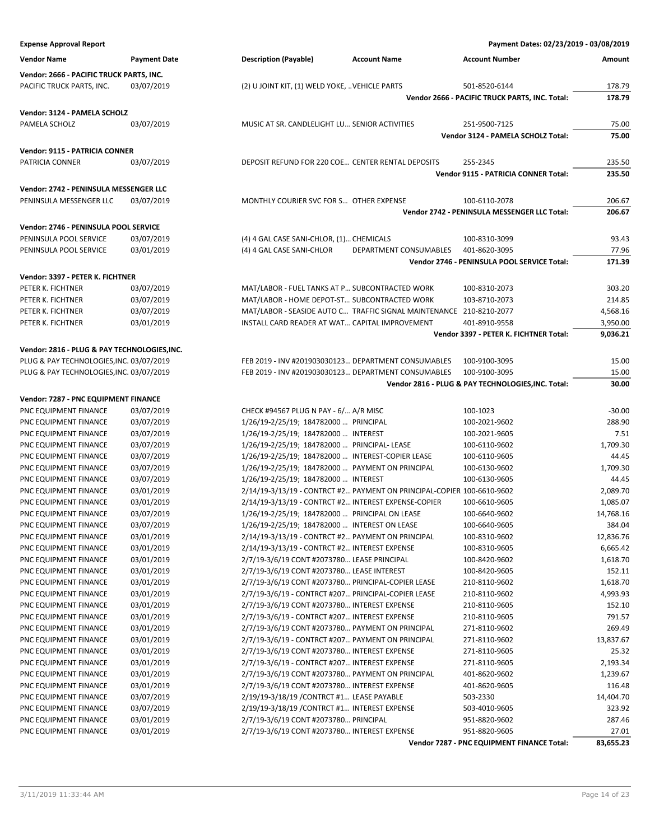| <b>Vendor Name</b>                       | <b>Payment Date</b> |
|------------------------------------------|---------------------|
| Vendor: 2666 - PACIFIC TRUCK PARTS, INC. |                     |
| <b>PACIFIC TRUCK PARTS, INC.</b>         | 03/07/2019          |

#### **Vendor: 3124 - PAMELA SCHOLZ**

PAMELA SCHOLZ 03/07/2019 MUSIC AT SR. CANDLELIGHT LU… SENIOR ACTIVITIES 251-9500-7125 75.00

**Vendor: 9115 - PATRICIA CONNER**

| PATRICIA CONNER | 72013 | DEPOSIT REFUND FOR 220 COE CENTER RENTAL DEPOSITS | 255-2345 | 235.50 |
|-----------------|-------|---------------------------------------------------|----------|--------|
|                 |       |                                                   |          |        |

**Vendor: 2742 - PENINSULA MESSENGER LLC**

PENINSULA MESSENGER LLC 03/07/2019 MONTHLY COURIER SVC FOR S... OTHER EXPENSE 100-6110-2078 206.67

### **Vendor: 2746 - PENINSULA POOL SERVICE**

| PENINSULA POOL SERVICE | 03/07/2019 | (4) 4 GAL CASE SANI-CHLOR, (1) CHEMICALS |                        | 100-8310-3099 | 93.43 |
|------------------------|------------|------------------------------------------|------------------------|---------------|-------|
| PENINSULA POOL SERVICE | 03/01/2019 | (4) 4 GAL CASE SANI-CHLOR                | DEPARTMENT CONSUMABLES | 401-8620-3095 | 77.96 |

#### **Vendor: 3397 - PETER K. FICHTNER**

| PETER K. FICHTNER | 03/07/2019 | MAT/LABOR - FUEL TANKS AT P SUBCONTRACTED WORK                      | 100-8310-2073 | 303.20   |
|-------------------|------------|---------------------------------------------------------------------|---------------|----------|
| PETER K. FICHTNER | 03/07/2019 | MAT/LABOR - HOME DEPOT-ST SUBCONTRACTED WORK                        | 103-8710-2073 | 214.85   |
| PETER K. FICHTNER | 03/07/2019 | MAT/LABOR - SEASIDE AUTO C TRAFFIC SIGNAL MAINTENANCE 210-8210-2077 |               | 4.568.16 |
| PETER K. FICHTNER | 03/01/2019 | INSTALL CARD READER AT WAT CAPITAL IMPROVEMENT                      | 401-8910-9558 | 3,950.00 |

#### **Vendor: 2816 - PLUG & PAY TECHNOLOGIES,INC.**

PLUG & PAY TECHNOLOGIES,INC. 03/07/2019 FEB 2019 - INV #201903030123… DEPARTMENT CONSUMABLES 100-9100-3095 15.00 PLUG & PAY TECHNOLOGIES,INC. 03/07/2019 FEB 2019 - INV #201903030123… DEPARTMENT CONSUMABLES 100-9100-3095 15.00

### **Vendor: 7287 - PNC EQUIPMENT FINANCE**

| Vendor: /28/ - PNC EQUIPMENT FINANCE |            |                                                                        |                                            |           |
|--------------------------------------|------------|------------------------------------------------------------------------|--------------------------------------------|-----------|
| PNC EQUIPMENT FINANCE                | 03/07/2019 | CHECK #94567 PLUG N PAY - 6/ A/R MISC                                  | 100-1023                                   | $-30.00$  |
| PNC EQUIPMENT FINANCE                | 03/07/2019 | 1/26/19-2/25/19; 184782000  PRINCIPAL                                  | 100-2021-9602                              | 288.90    |
| PNC EQUIPMENT FINANCE                | 03/07/2019 | 1/26/19-2/25/19; 184782000  INTEREST                                   | 100-2021-9605                              | 7.51      |
| PNC EQUIPMENT FINANCE                | 03/07/2019 | 1/26/19-2/25/19; 184782000  PRINCIPAL-LEASE                            | 100-6110-9602                              | 1,709.30  |
| PNC EQUIPMENT FINANCE                | 03/07/2019 | 1/26/19-2/25/19; 184782000  INTEREST-COPIER LEASE                      | 100-6110-9605                              | 44.45     |
| PNC EQUIPMENT FINANCE                | 03/07/2019 | 1/26/19-2/25/19; 184782000  PAYMENT ON PRINCIPAL                       | 100-6130-9602                              | 1,709.30  |
| PNC EQUIPMENT FINANCE                | 03/07/2019 | 1/26/19-2/25/19; 184782000  INTEREST                                   | 100-6130-9605                              | 44.45     |
| PNC EQUIPMENT FINANCE                | 03/01/2019 | 2/14/19-3/13/19 - CONTRCT #2 PAYMENT ON PRINCIPAL-COPIER 100-6610-9602 |                                            | 2,089.70  |
| PNC EQUIPMENT FINANCE                | 03/01/2019 | 2/14/19-3/13/19 - CONTRCT #2 INTEREST EXPENSE-COPIER                   | 100-6610-9605                              | 1,085.07  |
| PNC EQUIPMENT FINANCE                | 03/07/2019 | 1/26/19-2/25/19; 184782000  PRINCIPAL ON LEASE                         | 100-6640-9602                              | 14,768.16 |
| PNC EQUIPMENT FINANCE                | 03/07/2019 | 1/26/19-2/25/19; 184782000  INTEREST ON LEASE                          | 100-6640-9605                              | 384.04    |
| PNC EQUIPMENT FINANCE                | 03/01/2019 | 2/14/19-3/13/19 - CONTRCT #2 PAYMENT ON PRINCIPAL                      | 100-8310-9602                              | 12,836.76 |
| PNC EQUIPMENT FINANCE                | 03/01/2019 | 2/14/19-3/13/19 - CONTRCT #2 INTEREST EXPENSE                          | 100-8310-9605                              | 6,665.42  |
| PNC EQUIPMENT FINANCE                | 03/01/2019 | 2/7/19-3/6/19 CONT #2073780 LEASE PRINCIPAL                            | 100-8420-9602                              | 1,618.70  |
| PNC EQUIPMENT FINANCE                | 03/01/2019 | 2/7/19-3/6/19 CONT #2073780 LEASE INTEREST                             | 100-8420-9605                              | 152.11    |
| PNC EQUIPMENT FINANCE                | 03/01/2019 | 2/7/19-3/6/19 CONT #2073780 PRINCIPAL-COPIER LEASE                     | 210-8110-9602                              | 1,618.70  |
| PNC EQUIPMENT FINANCE                | 03/01/2019 | 2/7/19-3/6/19 - CONTRCT #207 PRINCIPAL-COPIER LEASE                    | 210-8110-9602                              | 4,993.93  |
| PNC EQUIPMENT FINANCE                | 03/01/2019 | 2/7/19-3/6/19 CONT #2073780 INTEREST EXPENSE                           | 210-8110-9605                              | 152.10    |
| PNC EQUIPMENT FINANCE                | 03/01/2019 | 2/7/19-3/6/19 - CONTRCT #207 INTEREST EXPENSE                          | 210-8110-9605                              | 791.57    |
| PNC EQUIPMENT FINANCE                | 03/01/2019 | 2/7/19-3/6/19 CONT #2073780 PAYMENT ON PRINCIPAL                       | 271-8110-9602                              | 269.49    |
| PNC EQUIPMENT FINANCE                | 03/01/2019 | 2/7/19-3/6/19 - CONTRCT #207 PAYMENT ON PRINCIPAL                      | 271-8110-9602                              | 13,837.67 |
| PNC EQUIPMENT FINANCE                | 03/01/2019 | 2/7/19-3/6/19 CONT #2073780 INTEREST EXPENSE                           | 271-8110-9605                              | 25.32     |
| PNC EQUIPMENT FINANCE                | 03/01/2019 | 2/7/19-3/6/19 - CONTRCT #207 INTEREST EXPENSE                          | 271-8110-9605                              | 2,193.34  |
| PNC EQUIPMENT FINANCE                | 03/01/2019 | 2/7/19-3/6/19 CONT #2073780 PAYMENT ON PRINCIPAL                       | 401-8620-9602                              | 1,239.67  |
| PNC EQUIPMENT FINANCE                | 03/01/2019 | 2/7/19-3/6/19 CONT #2073780 INTEREST EXPENSE                           | 401-8620-9605                              | 116.48    |
| PNC EQUIPMENT FINANCE                | 03/07/2019 | 2/19/19-3/18/19 / CONTRCT #1 LEASE PAYABLE                             | 503-2330                                   | 14,404.70 |
| PNC EQUIPMENT FINANCE                | 03/07/2019 | 2/19/19-3/18/19 / CONTRCT #1 INTEREST EXPENSE                          | 503-4010-9605                              | 323.92    |
| PNC EQUIPMENT FINANCE                | 03/01/2019 | 2/7/19-3/6/19 CONT #2073780 PRINCIPAL                                  | 951-8820-9602                              | 287.46    |
| PNC EQUIPMENT FINANCE                | 03/01/2019 | 2/7/19-3/6/19 CONT #2073780 INTEREST EXPENSE                           | 951-8820-9605                              | 27.01     |
|                                      |            |                                                                        | Vendor 7287 - PNC EQUIPMENT FINANCE Total: | 83,655.23 |

#### **Expense Approval Report Payment Dates: 02/23/2019 - 03/08/2019**

**Vendor 2666 - PACIFIC TRUCK PARTS, INC. Total: 178.79**

**Vendor 2742 - PENINSULA MESSENGER LLC Total: 206.67**

**Vendor 2746 - PENINSULA POOL SERVICE Total: 171.39**

**Vendor 3397 - PETER K. FICHTNER Total: 9,036.21**

**Vendor 2816 - PLUG & PAY TECHNOLOGIES,INC. Total: 30.00**

**Vendor 3124 - PAMELA SCHOLZ Total: 75.00**

**Vendor 9115 - PATRICIA CONNER Total: 235.50**

**Vendor Name Payment Date Description (Payable) Account Name Account Number Amount**

PACIFIC TRUCK PARTS, INC. 03/07/2019 (2) U JOINT KIT, (1) WELD YOKE, …VEHICLE PARTS 501-8520-6144 178.79

PENINSULA POOL SERVICE 03/07/2019 (4) 4 GAL CASE SANI-CHLOR, (1)…CHEMICALS 100-8310-3099 93.43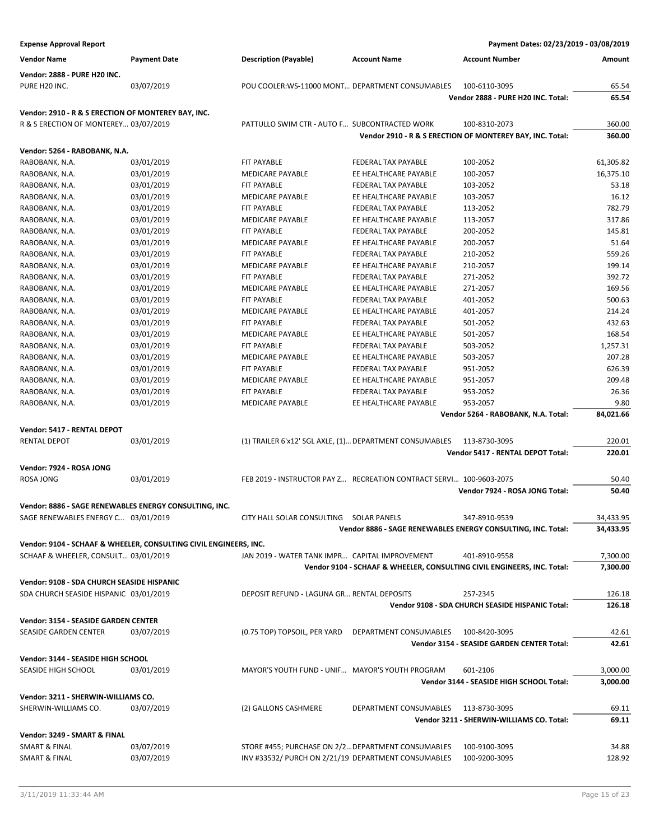| <b>Expense Approval Report</b>                                    |                     |                                                         |                                                                     | Payment Dates: 02/23/2019 - 03/08/2019                                  |           |
|-------------------------------------------------------------------|---------------------|---------------------------------------------------------|---------------------------------------------------------------------|-------------------------------------------------------------------------|-----------|
| <b>Vendor Name</b>                                                | <b>Payment Date</b> | <b>Description (Payable)</b>                            | <b>Account Name</b>                                                 | <b>Account Number</b>                                                   | Amount    |
| <b>Vendor: 2888 - PURE H20 INC.</b><br>PURE H20 INC.              | 03/07/2019          | POU COOLER:WS-11000 MONT DEPARTMENT CONSUMABLES         |                                                                     | 100-6110-3095                                                           | 65.54     |
|                                                                   |                     |                                                         |                                                                     | Vendor 2888 - PURE H20 INC. Total:                                      | 65.54     |
| Vendor: 2910 - R & S ERECTION OF MONTEREY BAY, INC.               |                     |                                                         |                                                                     |                                                                         |           |
| R & S ERECTION OF MONTEREY 03/07/2019                             |                     | PATTULLO SWIM CTR - AUTO F SUBCONTRACTED WORK           |                                                                     | 100-8310-2073                                                           | 360.00    |
|                                                                   |                     |                                                         |                                                                     | Vendor 2910 - R & S ERECTION OF MONTEREY BAY, INC. Total:               | 360.00    |
| Vendor: 5264 - RABOBANK, N.A.                                     |                     |                                                         |                                                                     |                                                                         |           |
| RABOBANK, N.A.                                                    | 03/01/2019          | FIT PAYABLE                                             | FEDERAL TAX PAYABLE                                                 | 100-2052                                                                | 61,305.82 |
| RABOBANK, N.A.                                                    | 03/01/2019          | <b>MEDICARE PAYABLE</b>                                 | EE HEALTHCARE PAYABLE                                               | 100-2057                                                                | 16,375.10 |
| RABOBANK, N.A.                                                    | 03/01/2019          | FIT PAYABLE                                             | FEDERAL TAX PAYABLE                                                 | 103-2052                                                                | 53.18     |
| RABOBANK, N.A.                                                    | 03/01/2019          | <b>MEDICARE PAYABLE</b>                                 | EE HEALTHCARE PAYABLE                                               | 103-2057                                                                | 16.12     |
| RABOBANK, N.A.                                                    | 03/01/2019          | FIT PAYABLE                                             | FEDERAL TAX PAYABLE                                                 | 113-2052                                                                | 782.79    |
| RABOBANK, N.A.                                                    | 03/01/2019          | MEDICARE PAYABLE                                        | EE HEALTHCARE PAYABLE                                               | 113-2057                                                                | 317.86    |
| RABOBANK, N.A.                                                    | 03/01/2019          | FIT PAYABLE                                             | FEDERAL TAX PAYABLE                                                 | 200-2052                                                                | 145.81    |
| RABOBANK, N.A.                                                    | 03/01/2019          | <b>MEDICARE PAYABLE</b>                                 | EE HEALTHCARE PAYABLE                                               | 200-2057                                                                | 51.64     |
| RABOBANK, N.A.                                                    | 03/01/2019          | FIT PAYABLE                                             | FEDERAL TAX PAYABLE                                                 | 210-2052                                                                | 559.26    |
| RABOBANK, N.A.                                                    | 03/01/2019          | MEDICARE PAYABLE                                        | EE HEALTHCARE PAYABLE                                               | 210-2057                                                                | 199.14    |
| RABOBANK, N.A.                                                    | 03/01/2019          | FIT PAYABLE                                             | FEDERAL TAX PAYABLE                                                 | 271-2052                                                                | 392.72    |
| RABOBANK, N.A.                                                    | 03/01/2019          | <b>MEDICARE PAYABLE</b>                                 | EE HEALTHCARE PAYABLE                                               | 271-2057                                                                | 169.56    |
| RABOBANK, N.A.                                                    | 03/01/2019          | FIT PAYABLE                                             | FEDERAL TAX PAYABLE                                                 | 401-2052                                                                | 500.63    |
| RABOBANK, N.A.                                                    | 03/01/2019          | <b>MEDICARE PAYABLE</b>                                 | EE HEALTHCARE PAYABLE                                               | 401-2057                                                                | 214.24    |
| RABOBANK, N.A.                                                    | 03/01/2019          | FIT PAYABLE                                             | FEDERAL TAX PAYABLE                                                 | 501-2052                                                                | 432.63    |
| RABOBANK, N.A.                                                    | 03/01/2019          | <b>MEDICARE PAYABLE</b>                                 | EE HEALTHCARE PAYABLE                                               | 501-2057                                                                | 168.54    |
| RABOBANK, N.A.                                                    | 03/01/2019          | FIT PAYABLE                                             | FEDERAL TAX PAYABLE                                                 | 503-2052                                                                | 1,257.31  |
| RABOBANK, N.A.                                                    | 03/01/2019          | MEDICARE PAYABLE                                        | EE HEALTHCARE PAYABLE                                               | 503-2057                                                                | 207.28    |
| RABOBANK, N.A.                                                    | 03/01/2019          | FIT PAYABLE                                             | FEDERAL TAX PAYABLE                                                 | 951-2052                                                                | 626.39    |
| RABOBANK, N.A.                                                    | 03/01/2019          | MEDICARE PAYABLE                                        | EE HEALTHCARE PAYABLE                                               | 951-2057                                                                | 209.48    |
| RABOBANK, N.A.                                                    | 03/01/2019          | FIT PAYABLE                                             | FEDERAL TAX PAYABLE                                                 | 953-2052                                                                | 26.36     |
| RABOBANK, N.A.                                                    | 03/01/2019          | <b>MEDICARE PAYABLE</b>                                 | EE HEALTHCARE PAYABLE                                               | 953-2057                                                                | 9.80      |
|                                                                   |                     |                                                         |                                                                     | Vendor 5264 - RABOBANK, N.A. Total:                                     | 84,021.66 |
| Vendor: 5417 - RENTAL DEPOT                                       |                     |                                                         |                                                                     |                                                                         |           |
| <b>RENTAL DEPOT</b>                                               | 03/01/2019          | (1) TRAILER 6'x12' SGL AXLE, (1) DEPARTMENT CONSUMABLES |                                                                     | 113-8730-3095                                                           | 220.01    |
|                                                                   |                     |                                                         |                                                                     | <b>Vendor 5417 - RENTAL DEPOT Total:</b>                                | 220.01    |
|                                                                   |                     |                                                         |                                                                     |                                                                         |           |
| Vendor: 7924 - ROSA JONG                                          |                     |                                                         |                                                                     |                                                                         |           |
| <b>ROSA JONG</b>                                                  | 03/01/2019          |                                                         | FEB 2019 - INSTRUCTOR PAY Z RECREATION CONTRACT SERVI 100-9603-2075 |                                                                         | 50.40     |
|                                                                   |                     |                                                         |                                                                     | Vendor 7924 - ROSA JONG Total:                                          | 50.40     |
| Vendor: 8886 - SAGE RENEWABLES ENERGY CONSULTING, INC.            |                     |                                                         |                                                                     |                                                                         |           |
| SAGE RENEWABLES ENERGY C 03/01/2019                               |                     | CITY HALL SOLAR CONSULTING SOLAR PANELS                 |                                                                     | 347-8910-9539                                                           | 34,433.95 |
|                                                                   |                     |                                                         |                                                                     | Vendor 8886 - SAGE RENEWABLES ENERGY CONSULTING, INC. Total:            | 34,433.95 |
| Vendor: 9104 - SCHAAF & WHEELER, CONSULTING CIVIL ENGINEERS, INC. |                     |                                                         |                                                                     |                                                                         |           |
| SCHAAF & WHEELER, CONSULT 03/01/2019                              |                     | JAN 2019 - WATER TANK IMPR CAPITAL IMPROVEMENT          |                                                                     | 401-8910-9558                                                           | 7,300.00  |
|                                                                   |                     |                                                         |                                                                     | Vendor 9104 - SCHAAF & WHEELER, CONSULTING CIVIL ENGINEERS, INC. Total: | 7,300.00  |
| Vendor: 9108 - SDA CHURCH SEASIDE HISPANIC                        |                     |                                                         |                                                                     |                                                                         |           |
| SDA CHURCH SEASIDE HISPANIC 03/01/2019                            |                     | DEPOSIT REFUND - LAGUNA GR RENTAL DEPOSITS              |                                                                     | 257-2345                                                                | 126.18    |
|                                                                   |                     |                                                         |                                                                     | Vendor 9108 - SDA CHURCH SEASIDE HISPANIC Total:                        | 126.18    |
|                                                                   |                     |                                                         |                                                                     |                                                                         |           |
| Vendor: 3154 - SEASIDE GARDEN CENTER                              |                     |                                                         |                                                                     |                                                                         |           |
| SEASIDE GARDEN CENTER                                             | 03/07/2019          | (0.75 TOP) TOPSOIL, PER YARD                            | DEPARTMENT CONSUMABLES                                              | 100-8420-3095                                                           | 42.61     |
|                                                                   |                     |                                                         |                                                                     | <b>Vendor 3154 - SEASIDE GARDEN CENTER Total:</b>                       | 42.61     |
| Vendor: 3144 - SEASIDE HIGH SCHOOL                                |                     |                                                         |                                                                     |                                                                         |           |
| SEASIDE HIGH SCHOOL                                               | 03/01/2019          | MAYOR'S YOUTH FUND - UNIF MAYOR'S YOUTH PROGRAM         |                                                                     | 601-2106                                                                | 3,000.00  |
|                                                                   |                     |                                                         |                                                                     | Vendor 3144 - SEASIDE HIGH SCHOOL Total:                                | 3,000.00  |
| Vendor: 3211 - SHERWIN-WILLIAMS CO.                               |                     |                                                         |                                                                     |                                                                         |           |
| SHERWIN-WILLIAMS CO.                                              | 03/07/2019          | (2) GALLONS CASHMERE                                    | DEPARTMENT CONSUMABLES                                              | 113-8730-3095                                                           | 69.11     |
|                                                                   |                     |                                                         |                                                                     | Vendor 3211 - SHERWIN-WILLIAMS CO. Total:                               | 69.11     |
|                                                                   |                     |                                                         |                                                                     |                                                                         |           |
| Vendor: 3249 - SMART & FINAL                                      |                     |                                                         |                                                                     |                                                                         |           |
| <b>SMART &amp; FINAL</b>                                          | 03/07/2019          | STORE #455; PURCHASE ON 2/2 DEPARTMENT CONSUMABLES      |                                                                     | 100-9100-3095                                                           | 34.88     |
| <b>SMART &amp; FINAL</b>                                          | 03/07/2019          | INV #33532/ PURCH ON 2/21/19 DEPARTMENT CONSUMABLES     |                                                                     | 100-9200-3095                                                           | 128.92    |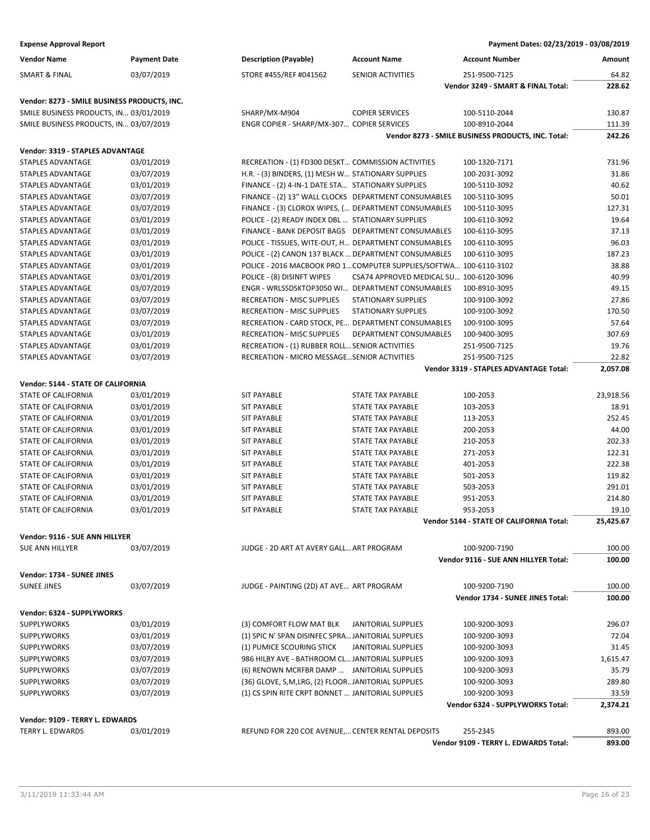| <b>Vendor Name</b>                           | <b>Payment Date</b> | <b>Description (Payable)</b>                                       | <b>Account Name</b>                     | <b>Account Number</b>                              | Amount    |
|----------------------------------------------|---------------------|--------------------------------------------------------------------|-----------------------------------------|----------------------------------------------------|-----------|
| <b>SMART &amp; FINAL</b>                     | 03/07/2019          | STORE #455/REF #041562                                             | SENIOR ACTIVITIES                       | 251-9500-7125                                      | 64.82     |
|                                              |                     |                                                                    |                                         | Vendor 3249 - SMART & FINAL Total:                 | 228.62    |
| Vendor: 8273 - SMILE BUSINESS PRODUCTS, INC. |                     |                                                                    |                                         |                                                    |           |
| SMILE BUSINESS PRODUCTS, IN 03/01/2019       |                     | SHARP/MX-M904                                                      | <b>COPIER SERVICES</b>                  | 100-5110-2044                                      | 130.87    |
| SMILE BUSINESS PRODUCTS, IN 03/07/2019       |                     | ENGR COPIER - SHARP/MX-307 COPIER SERVICES                         |                                         | 100-8910-2044                                      | 111.39    |
|                                              |                     |                                                                    |                                         | Vendor 8273 - SMILE BUSINESS PRODUCTS, INC. Total: | 242.26    |
| Vendor: 3319 - STAPLES ADVANTAGE             |                     |                                                                    |                                         |                                                    |           |
| STAPLES ADVANTAGE                            | 03/01/2019          | RECREATION - (1) FD300 DESKT COMMISSION ACTIVITIES                 |                                         | 100-1320-7171                                      | 731.96    |
| STAPLES ADVANTAGE                            | 03/07/2019          | H.R. - (3) BINDERS, (1) MESH W STATIONARY SUPPLIES                 |                                         | 100-2031-3092                                      | 31.86     |
| <b>STAPLES ADVANTAGE</b>                     | 03/01/2019          | FINANCE - (2) 4-IN-1 DATE STA STATIONARY SUPPLIES                  |                                         | 100-5110-3092                                      | 40.62     |
| STAPLES ADVANTAGE                            | 03/07/2019          | FINANCE - (2) 13" WALL CLOCKS DEPARTMENT CONSUMABLES               |                                         | 100-5110-3095                                      | 50.01     |
| STAPLES ADVANTAGE                            | 03/07/2019          | FINANCE - (3) CLOROX WIPES, ( DEPARTMENT CONSUMABLES               |                                         | 100-5110-3095                                      | 127.31    |
| STAPLES ADVANTAGE                            | 03/01/2019          | POLICE - (2) READY INDEX DBL  STATIONARY SUPPLIES                  |                                         | 100-6110-3092                                      | 19.64     |
| STAPLES ADVANTAGE                            | 03/01/2019          | FINANCE - BANK DEPOSIT BAGS DEPARTMENT CONSUMABLES                 |                                         | 100-6110-3095                                      | 37.13     |
| STAPLES ADVANTAGE                            | 03/01/2019          | POLICE - TISSUES, WITE-OUT, H DEPARTMENT CONSUMABLES               |                                         | 100-6110-3095                                      | 96.03     |
| STAPLES ADVANTAGE                            | 03/01/2019          | POLICE - (2) CANON 137 BLACK  DEPARTMENT CONSUMABLES               |                                         | 100-6110-3095                                      | 187.23    |
| STAPLES ADVANTAGE                            | 03/01/2019          | POLICE - 2016 MACBOOK PRO 1 COMPUTER SUPPLIES/SOFTWA 100-6110-3102 |                                         |                                                    | 38.88     |
| STAPLES ADVANTAGE                            | 03/01/2019          | POLICE - (8) DISINFT WIPES                                         | CSA74 APPROVED MEDICAL SU 100-6120-3096 |                                                    | 40.99     |
| STAPLES ADVANTAGE                            | 03/07/2019          | ENGR - WRLSSDSKTOP3050 WI DEPARTMENT CONSUMABLES                   |                                         | 100-8910-3095                                      | 49.15     |
| <b>STAPLES ADVANTAGE</b>                     | 03/07/2019          | <b>RECREATION - MISC SUPPLIES</b>                                  | <b>STATIONARY SUPPLIES</b>              | 100-9100-3092                                      | 27.86     |
| <b>STAPLES ADVANTAGE</b>                     | 03/07/2019          | <b>RECREATION - MISC SUPPLIES</b>                                  | <b>STATIONARY SUPPLIES</b>              | 100-9100-3092                                      | 170.50    |
| STAPLES ADVANTAGE                            | 03/07/2019          | RECREATION - CARD STOCK, PE DEPARTMENT CONSUMABLES                 |                                         | 100-9100-3095                                      | 57.64     |
| STAPLES ADVANTAGE                            | 03/01/2019          | <b>RECREATION - MISC SUPPLIES</b>                                  | DEPARTMENT CONSUMABLES                  | 100-9400-3095                                      | 307.69    |
| STAPLES ADVANTAGE                            | 03/01/2019          | RECREATION - (1) RUBBER ROLL SENIOR ACTIVITIES                     |                                         | 251-9500-7125                                      | 19.76     |
| STAPLES ADVANTAGE                            | 03/07/2019          | RECREATION - MICRO MESSAGE SENIOR ACTIVITIES                       |                                         | 251-9500-7125                                      | 22.82     |
|                                              |                     |                                                                    |                                         | Vendor 3319 - STAPLES ADVANTAGE Total:             | 2,057.08  |
|                                              |                     |                                                                    |                                         |                                                    |           |
| Vendor: 5144 - STATE OF CALIFORNIA           |                     |                                                                    |                                         |                                                    |           |
| <b>STATE OF CALIFORNIA</b>                   | 03/01/2019          | <b>SIT PAYABLE</b>                                                 | <b>STATE TAX PAYABLE</b>                | 100-2053                                           | 23,918.56 |
| <b>STATE OF CALIFORNIA</b>                   | 03/01/2019          | <b>SIT PAYABLE</b>                                                 | <b>STATE TAX PAYABLE</b>                | 103-2053                                           | 18.91     |
| STATE OF CALIFORNIA                          | 03/01/2019          | SIT PAYABLE                                                        | STATE TAX PAYABLE                       | 113-2053                                           | 252.45    |
| STATE OF CALIFORNIA                          | 03/01/2019          | SIT PAYABLE                                                        | STATE TAX PAYABLE                       | 200-2053                                           | 44.00     |
| STATE OF CALIFORNIA                          | 03/01/2019          | <b>SIT PAYABLE</b>                                                 | STATE TAX PAYABLE                       | 210-2053                                           | 202.33    |
| <b>STATE OF CALIFORNIA</b>                   | 03/01/2019          | <b>SIT PAYABLE</b>                                                 | STATE TAX PAYABLE                       | 271-2053                                           | 122.31    |
| <b>STATE OF CALIFORNIA</b>                   | 03/01/2019          | <b>SIT PAYABLE</b>                                                 | <b>STATE TAX PAYABLE</b>                | 401-2053                                           | 222.38    |
| STATE OF CALIFORNIA                          | 03/01/2019          | <b>SIT PAYABLE</b>                                                 | <b>STATE TAX PAYABLE</b>                | 501-2053                                           | 119.82    |
| STATE OF CALIFORNIA                          | 03/01/2019          | <b>SIT PAYABLE</b>                                                 | STATE TAX PAYABLE                       | 503-2053                                           | 291.01    |
| STATE OF CALIFORNIA                          | 03/01/2019          | <b>SIT PAYABLE</b>                                                 | STATE TAX PAYABLE                       | 951-2053                                           | 214.80    |
| <b>STATE OF CALIFORNIA</b>                   | 03/01/2019          | <b>SIT PAYABLE</b>                                                 | <b>STATE TAX PAYABLE</b>                | 953-2053                                           | 19.10     |
|                                              |                     |                                                                    |                                         | Vendor 5144 - STATE OF CALIFORNIA Total:           | 25,425.67 |
| Vendor: 9116 - SUE ANN HILLYER               |                     |                                                                    |                                         |                                                    |           |
| <b>SUE ANN HILLYER</b>                       | 03/07/2019          | JUDGE - 2D ART AT AVERY GALL ART PROGRAM                           |                                         | 100-9200-7190                                      | 100.00    |
|                                              |                     |                                                                    |                                         | Vendor 9116 - SUE ANN HILLYER Total:               | 100.00    |
| Vendor: 1734 - SUNEE JINES                   |                     |                                                                    |                                         |                                                    |           |
| <b>SUNEE JINES</b>                           | 03/07/2019          | JUDGE - PAINTING (2D) AT AVE ART PROGRAM                           |                                         | 100-9200-7190                                      | 100.00    |
|                                              |                     |                                                                    |                                         | Vendor 1734 - SUNEE JINES Total:                   | 100.00    |
| Vendor: 6324 - SUPPLYWORKS                   |                     |                                                                    |                                         |                                                    |           |
| <b>SUPPLYWORKS</b>                           | 03/01/2019          | (3) COMFORT FLOW MAT BLK                                           | <b>JANITORIAL SUPPLIES</b>              | 100-9200-3093                                      | 296.07    |
| <b>SUPPLYWORKS</b>                           | 03/01/2019          | (1) SPIC N' SPAN DISINFEC SPRA JANITORIAL SUPPLIES                 |                                         | 100-9200-3093                                      | 72.04     |
| <b>SUPPLYWORKS</b>                           | 03/07/2019          | (1) PUMICE SCOURING STICK                                          | JANITORIAL SUPPLIES                     | 100-9200-3093                                      | 31.45     |
| <b>SUPPLYWORKS</b>                           | 03/07/2019          | 986 HILBY AVE - BATHROOM CL JANITORIAL SUPPLIES                    |                                         | 100-9200-3093                                      | 1,615.47  |
| <b>SUPPLYWORKS</b>                           | 03/07/2019          | (6) RENOWN MCRFBR DAMP  JANITORIAL SUPPLIES                        |                                         | 100-9200-3093                                      | 35.79     |
| <b>SUPPLYWORKS</b>                           | 03/07/2019          | (36) GLOVE, S,M,LRG, (2) FLOORJANITORIAL SUPPLIES                  |                                         | 100-9200-3093                                      | 289.80    |
| <b>SUPPLYWORKS</b>                           | 03/07/2019          | (1) CS SPIN RITE CRPT BONNET  JANITORIAL SUPPLIES                  |                                         | 100-9200-3093                                      | 33.59     |
|                                              |                     |                                                                    |                                         | Vendor 6324 - SUPPLYWORKS Total:                   | 2,374.21  |
|                                              |                     |                                                                    |                                         |                                                    |           |
| Vendor: 9109 - TERRY L. EDWARDS              |                     |                                                                    |                                         |                                                    |           |
| TERRY L. EDWARDS                             | 03/01/2019          | REFUND FOR 220 COE AVENUE, CENTER RENTAL DEPOSITS                  |                                         | 255-2345                                           | 893.00    |
|                                              |                     |                                                                    |                                         | Vendor 9109 - TERRY L. EDWARDS Total:              | 893.00    |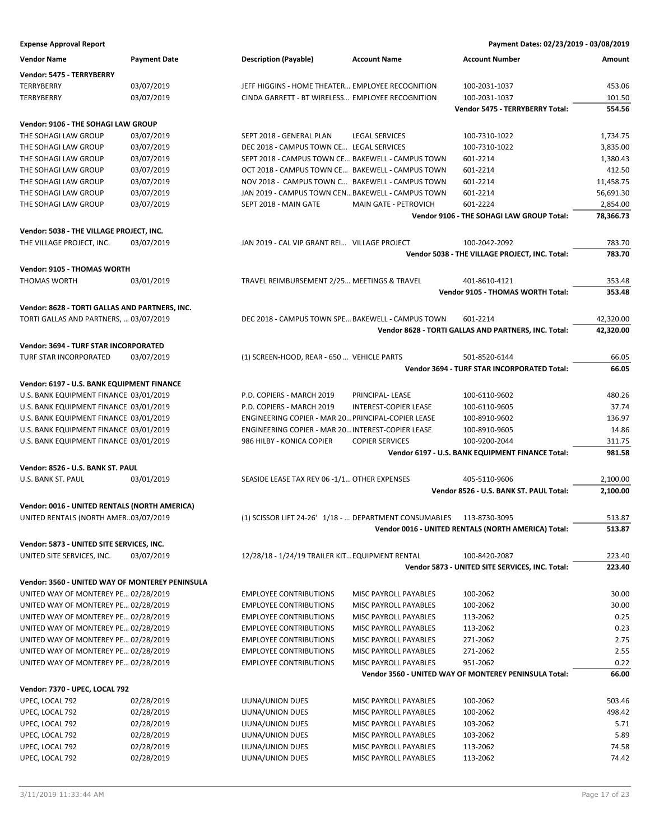| <b>Vendor Name</b>                              | <b>Payment Date</b> | <b>Description (Payable)</b>                                         | <b>Account Name</b>          | <b>Account Number</b>                                 | Amount           |
|-------------------------------------------------|---------------------|----------------------------------------------------------------------|------------------------------|-------------------------------------------------------|------------------|
| Vendor: 5475 - TERRYBERRY                       |                     |                                                                      |                              |                                                       |                  |
| <b>TERRYBERRY</b>                               | 03/07/2019          | JEFF HIGGINS - HOME THEATER EMPLOYEE RECOGNITION                     |                              | 100-2031-1037                                         | 453.06           |
| <b>TERRYBERRY</b>                               | 03/07/2019          | CINDA GARRETT - BT WIRELESS EMPLOYEE RECOGNITION                     |                              | 100-2031-1037                                         | 101.50           |
|                                                 |                     |                                                                      |                              | Vendor 5475 - TERRYBERRY Total:                       | 554.56           |
| Vendor: 9106 - THE SOHAGI LAW GROUP             |                     |                                                                      |                              |                                                       |                  |
| THE SOHAGI LAW GROUP                            | 03/07/2019          | SEPT 2018 - GENERAL PLAN                                             | <b>LEGAL SERVICES</b>        | 100-7310-1022                                         | 1,734.75         |
| THE SOHAGI LAW GROUP                            | 03/07/2019          | DEC 2018 - CAMPUS TOWN CE LEGAL SERVICES                             |                              | 100-7310-1022                                         | 3,835.00         |
| THE SOHAGI LAW GROUP                            | 03/07/2019          | SEPT 2018 - CAMPUS TOWN CE BAKEWELL - CAMPUS TOWN                    |                              | 601-2214                                              | 1,380.43         |
| THE SOHAGI LAW GROUP                            | 03/07/2019          | OCT 2018 - CAMPUS TOWN CE BAKEWELL - CAMPUS TOWN                     |                              | 601-2214                                              | 412.50           |
| THE SOHAGI LAW GROUP                            | 03/07/2019          | NOV 2018 - CAMPUS TOWN C BAKEWELL - CAMPUS TOWN                      |                              | 601-2214                                              | 11,458.75        |
| THE SOHAGI LAW GROUP                            | 03/07/2019          | JAN 2019 - CAMPUS TOWN CENBAKEWELL - CAMPUS TOWN                     |                              | 601-2214                                              | 56,691.30        |
| THE SOHAGI LAW GROUP                            | 03/07/2019          | SEPT 2018 - MAIN GATE                                                | MAIN GATE - PETROVICH        | 601-2224                                              | 2,854.00         |
|                                                 |                     |                                                                      |                              | Vendor 9106 - THE SOHAGI LAW GROUP Total:             | 78,366.73        |
| Vendor: 5038 - THE VILLAGE PROJECT, INC.        |                     |                                                                      |                              |                                                       |                  |
| THE VILLAGE PROJECT, INC.                       | 03/07/2019          | JAN 2019 - CAL VIP GRANT REI VILLAGE PROJECT                         |                              | 100-2042-2092                                         | 783.70           |
|                                                 |                     |                                                                      |                              | Vendor 5038 - THE VILLAGE PROJECT, INC. Total:        | 783.70           |
| Vendor: 9105 - THOMAS WORTH                     |                     |                                                                      |                              |                                                       |                  |
| <b>THOMAS WORTH</b>                             | 03/01/2019          | TRAVEL REIMBURSEMENT 2/25 MEETINGS & TRAVEL                          |                              | 401-8610-4121                                         | 353.48           |
|                                                 |                     |                                                                      |                              | Vendor 9105 - THOMAS WORTH Total:                     | 353.48           |
| Vendor: 8628 - TORTI GALLAS AND PARTNERS, INC.  |                     |                                                                      |                              |                                                       |                  |
| TORTI GALLAS AND PARTNERS,  03/07/2019          |                     | DEC 2018 - CAMPUS TOWN SPE BAKEWELL - CAMPUS TOWN                    |                              | 601-2214                                              | 42,320.00        |
|                                                 |                     |                                                                      |                              | Vendor 8628 - TORTI GALLAS AND PARTNERS, INC. Total:  | 42,320.00        |
| Vendor: 3694 - TURF STAR INCORPORATED           |                     |                                                                      |                              |                                                       |                  |
| TURF STAR INCORPORATED                          | 03/07/2019          | (1) SCREEN-HOOD, REAR - 650  VEHICLE PARTS                           |                              | 501-8520-6144                                         | 66.05            |
|                                                 |                     |                                                                      |                              | Vendor 3694 - TURF STAR INCORPORATED Total:           | 66.05            |
| Vendor: 6197 - U.S. BANK EQUIPMENT FINANCE      |                     |                                                                      |                              |                                                       |                  |
| U.S. BANK EQUIPMENT FINANCE 03/01/2019          |                     | P.D. COPIERS - MARCH 2019                                            | PRINCIPAL-LEASE              | 100-6110-9602                                         | 480.26           |
| U.S. BANK EQUIPMENT FINANCE 03/01/2019          |                     | P.D. COPIERS - MARCH 2019                                            | <b>INTEREST-COPIER LEASE</b> | 100-6110-9605                                         | 37.74            |
| U.S. BANK EQUIPMENT FINANCE 03/01/2019          |                     | ENGINEERING COPIER - MAR 20 PRINCIPAL-COPIER LEASE                   |                              | 100-8910-9602                                         | 136.97           |
| U.S. BANK EQUIPMENT FINANCE 03/01/2019          |                     | ENGINEERING COPIER - MAR 20 INTEREST-COPIER LEASE                    |                              | 100-8910-9605                                         | 14.86            |
| U.S. BANK EQUIPMENT FINANCE 03/01/2019          |                     | 986 HILBY - KONICA COPIER                                            | <b>COPIER SERVICES</b>       | 100-9200-2044                                         | 311.75           |
|                                                 |                     |                                                                      |                              | Vendor 6197 - U.S. BANK EQUIPMENT FINANCE Total:      | 981.58           |
| Vendor: 8526 - U.S. BANK ST. PAUL               |                     |                                                                      |                              |                                                       |                  |
| U.S. BANK ST. PAUL                              | 03/01/2019          | SEASIDE LEASE TAX REV 06 -1/1 OTHER EXPENSES                         |                              | 405-5110-9606                                         | 2,100.00         |
|                                                 |                     |                                                                      |                              | Vendor 8526 - U.S. BANK ST. PAUL Total:               | 2,100.00         |
| Vendor: 0016 - UNITED RENTALS (NORTH AMERICA)   |                     |                                                                      |                              |                                                       |                  |
| UNITED RENTALS (NORTH AMER03/07/2019            |                     | (1) SCISSOR LIFT 24-26' 1/18 -  DEPARTMENT CONSUMABLES 113-8730-3095 |                              |                                                       | 513.87           |
|                                                 |                     |                                                                      |                              | Vendor 0016 - UNITED RENTALS (NORTH AMERICA) Total:   | 513.87           |
| Vendor: 5873 - UNITED SITE SERVICES, INC.       |                     |                                                                      |                              |                                                       |                  |
| UNITED SITE SERVICES, INC.                      | 03/07/2019          | 12/28/18 - 1/24/19 TRAILER KIT EQUIPMENT RENTAL                      |                              | 100-8420-2087                                         | 223.40           |
|                                                 |                     |                                                                      |                              | Vendor 5873 - UNITED SITE SERVICES, INC. Total:       | 223.40           |
| Vendor: 3560 - UNITED WAY OF MONTEREY PENINSULA |                     |                                                                      |                              |                                                       |                  |
| UNITED WAY OF MONTEREY PE 02/28/2019            |                     | <b>EMPLOYEE CONTRIBUTIONS</b>                                        | MISC PAYROLL PAYABLES        | 100-2062                                              | 30.00            |
| UNITED WAY OF MONTEREY PE 02/28/2019            |                     | <b>EMPLOYEE CONTRIBUTIONS</b>                                        | MISC PAYROLL PAYABLES        | 100-2062                                              | 30.00            |
| UNITED WAY OF MONTEREY PE 02/28/2019            |                     | <b>EMPLOYEE CONTRIBUTIONS</b>                                        | MISC PAYROLL PAYABLES        | 113-2062                                              | 0.25             |
| UNITED WAY OF MONTEREY PE 02/28/2019            |                     | <b>EMPLOYEE CONTRIBUTIONS</b>                                        | MISC PAYROLL PAYABLES        | 113-2062                                              | 0.23             |
| UNITED WAY OF MONTEREY PE 02/28/2019            |                     | <b>EMPLOYEE CONTRIBUTIONS</b>                                        | MISC PAYROLL PAYABLES        | 271-2062                                              | 2.75             |
| UNITED WAY OF MONTEREY PE 02/28/2019            |                     | <b>EMPLOYEE CONTRIBUTIONS</b>                                        | MISC PAYROLL PAYABLES        | 271-2062                                              | 2.55             |
| UNITED WAY OF MONTEREY PE 02/28/2019            |                     | <b>EMPLOYEE CONTRIBUTIONS</b>                                        | MISC PAYROLL PAYABLES        | 951-2062                                              | 0.22             |
|                                                 |                     |                                                                      |                              | Vendor 3560 - UNITED WAY OF MONTEREY PENINSULA Total: | 66.00            |
| Vendor: 7370 - UPEC, LOCAL 792                  |                     |                                                                      |                              |                                                       |                  |
| UPEC, LOCAL 792                                 |                     | LIUNA/UNION DUES                                                     |                              |                                                       |                  |
|                                                 | 02/28/2019          |                                                                      | MISC PAYROLL PAYABLES        | 100-2062                                              | 503.46<br>498.42 |
| UPEC, LOCAL 792                                 | 02/28/2019          | LIUNA/UNION DUES                                                     | MISC PAYROLL PAYABLES        | 100-2062                                              |                  |
| UPEC, LOCAL 792                                 | 02/28/2019          | LIUNA/UNION DUES                                                     | MISC PAYROLL PAYABLES        | 103-2062                                              | 5.71             |
| UPEC, LOCAL 792                                 | 02/28/2019          | LIUNA/UNION DUES                                                     | MISC PAYROLL PAYABLES        | 103-2062                                              | 5.89             |
| UPEC, LOCAL 792                                 | 02/28/2019          | LIUNA/UNION DUES                                                     | MISC PAYROLL PAYABLES        | 113-2062                                              | 74.58            |
| UPEC, LOCAL 792                                 | 02/28/2019          | LIUNA/UNION DUES                                                     | MISC PAYROLL PAYABLES        | 113-2062                                              | 74.42            |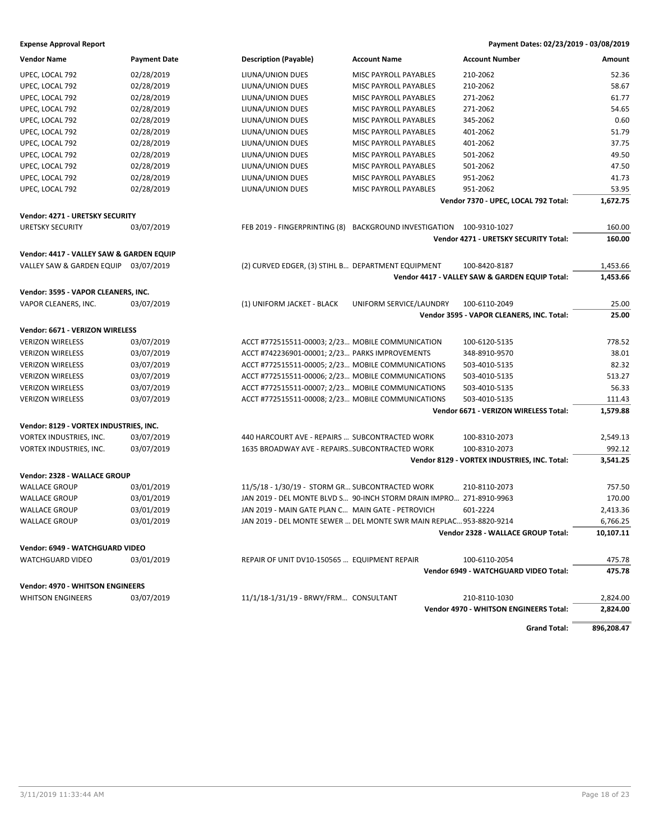| <b>Vendor Name</b>                       | <b>Payment Date</b> | <b>Description (Payable)</b>                       | <b>Account Name</b>                                                 | <b>Account Number</b>                          | Amount     |
|------------------------------------------|---------------------|----------------------------------------------------|---------------------------------------------------------------------|------------------------------------------------|------------|
| UPEC, LOCAL 792                          | 02/28/2019          | LIUNA/UNION DUES                                   | MISC PAYROLL PAYABLES                                               | 210-2062                                       | 52.36      |
| UPEC, LOCAL 792                          | 02/28/2019          | LIUNA/UNION DUES                                   | MISC PAYROLL PAYABLES                                               | 210-2062                                       | 58.67      |
| UPEC, LOCAL 792                          | 02/28/2019          | LIUNA/UNION DUES                                   | MISC PAYROLL PAYABLES                                               | 271-2062                                       | 61.77      |
| UPEC, LOCAL 792                          | 02/28/2019          | LIUNA/UNION DUES                                   | MISC PAYROLL PAYABLES                                               | 271-2062                                       | 54.65      |
| UPEC, LOCAL 792                          | 02/28/2019          | LIUNA/UNION DUES                                   | MISC PAYROLL PAYABLES                                               | 345-2062                                       | 0.60       |
| UPEC, LOCAL 792                          | 02/28/2019          | LIUNA/UNION DUES                                   | MISC PAYROLL PAYABLES                                               | 401-2062                                       | 51.79      |
| UPEC, LOCAL 792                          | 02/28/2019          | LIUNA/UNION DUES                                   | MISC PAYROLL PAYABLES                                               | 401-2062                                       | 37.75      |
| UPEC, LOCAL 792                          | 02/28/2019          | LIUNA/UNION DUES                                   | MISC PAYROLL PAYABLES                                               | 501-2062                                       | 49.50      |
| UPEC, LOCAL 792                          | 02/28/2019          | LIUNA/UNION DUES                                   | MISC PAYROLL PAYABLES                                               | 501-2062                                       | 47.50      |
| UPEC, LOCAL 792                          | 02/28/2019          | LIUNA/UNION DUES                                   | MISC PAYROLL PAYABLES                                               | 951-2062                                       | 41.73      |
| UPEC, LOCAL 792                          | 02/28/2019          | LIUNA/UNION DUES                                   | MISC PAYROLL PAYABLES                                               | 951-2062                                       | 53.95      |
|                                          |                     |                                                    |                                                                     | Vendor 7370 - UPEC, LOCAL 792 Total:           | 1,672.75   |
| Vendor: 4271 - URETSKY SECURITY          |                     |                                                    |                                                                     |                                                |            |
| <b>URETSKY SECURITY</b>                  | 03/07/2019          | FEB 2019 - FINGERPRINTING (8)                      | BACKGROUND INVESTIGATION 100-9310-1027                              |                                                | 160.00     |
|                                          |                     |                                                    |                                                                     | Vendor 4271 - URETSKY SECURITY Total:          | 160.00     |
|                                          |                     |                                                    |                                                                     |                                                |            |
| Vendor: 4417 - VALLEY SAW & GARDEN EQUIP |                     |                                                    |                                                                     |                                                |            |
| VALLEY SAW & GARDEN EQUIP 03/07/2019     |                     | (2) CURVED EDGER, (3) STIHL B DEPARTMENT EQUIPMENT |                                                                     | 100-8420-8187                                  | 1,453.66   |
|                                          |                     |                                                    |                                                                     | Vendor 4417 - VALLEY SAW & GARDEN EQUIP Total: | 1,453.66   |
| Vendor: 3595 - VAPOR CLEANERS, INC.      |                     |                                                    |                                                                     |                                                |            |
| VAPOR CLEANERS, INC.                     | 03/07/2019          | (1) UNIFORM JACKET - BLACK                         | UNIFORM SERVICE/LAUNDRY                                             | 100-6110-2049                                  | 25.00      |
|                                          |                     |                                                    |                                                                     | Vendor 3595 - VAPOR CLEANERS, INC. Total:      | 25.00      |
| Vendor: 6671 - VERIZON WIRELESS          |                     |                                                    |                                                                     |                                                |            |
| <b>VERIZON WIRELESS</b>                  | 03/07/2019          | ACCT #772515511-00003; 2/23 MOBILE COMMUNICATION   |                                                                     | 100-6120-5135                                  | 778.52     |
| <b>VERIZON WIRELESS</b>                  | 03/07/2019          | ACCT #742236901-00001; 2/23 PARKS IMPROVEMENTS     |                                                                     | 348-8910-9570                                  | 38.01      |
| <b>VERIZON WIRELESS</b>                  | 03/07/2019          | ACCT #772515511-00005; 2/23 MOBILE COMMUNICATIONS  |                                                                     | 503-4010-5135                                  | 82.32      |
| <b>VERIZON WIRELESS</b>                  | 03/07/2019          | ACCT #772515511-00006; 2/23 MOBILE COMMUNICATIONS  |                                                                     | 503-4010-5135                                  | 513.27     |
|                                          |                     |                                                    |                                                                     |                                                | 56.33      |
| <b>VERIZON WIRELESS</b>                  | 03/07/2019          | ACCT #772515511-00007; 2/23 MOBILE COMMUNICATIONS  |                                                                     | 503-4010-5135                                  |            |
| <b>VERIZON WIRELESS</b>                  | 03/07/2019          | ACCT #772515511-00008; 2/23 MOBILE COMMUNICATIONS  |                                                                     | 503-4010-5135                                  | 111.43     |
|                                          |                     |                                                    |                                                                     | Vendor 6671 - VERIZON WIRELESS Total:          | 1,579.88   |
| Vendor: 8129 - VORTEX INDUSTRIES, INC.   |                     |                                                    |                                                                     |                                                |            |
| VORTEX INDUSTRIES, INC.                  | 03/07/2019          | 440 HARCOURT AVE - REPAIRS  SUBCONTRACTED WORK     |                                                                     | 100-8310-2073                                  | 2,549.13   |
| VORTEX INDUSTRIES, INC.                  | 03/07/2019          | 1635 BROADWAY AVE - REPAIRSSUBCONTRACTED WORK      |                                                                     | 100-8310-2073                                  | 992.12     |
|                                          |                     |                                                    |                                                                     | Vendor 8129 - VORTEX INDUSTRIES, INC. Total:   | 3,541.25   |
| Vendor: 2328 - WALLACE GROUP             |                     |                                                    |                                                                     |                                                |            |
| <b>WALLACE GROUP</b>                     | 03/01/2019          | 11/5/18 - 1/30/19 - STORM GR SUBCONTRACTED WORK    |                                                                     | 210-8110-2073                                  | 757.50     |
| <b>WALLACE GROUP</b>                     | 03/01/2019          |                                                    | JAN 2019 - DEL MONTE BLVD S 90-INCH STORM DRAIN IMPRO 271-8910-9963 |                                                | 170.00     |
| <b>WALLACE GROUP</b>                     | 03/01/2019          | JAN 2019 - MAIN GATE PLAN C MAIN GATE - PETROVICH  |                                                                     | 601-2224                                       | 2,413.36   |
| <b>WALLACE GROUP</b>                     | 03/01/2019          |                                                    | JAN 2019 - DEL MONTE SEWER  DEL MONTE SWR MAIN REPLAC 953-8820-9214 |                                                | 6,766.25   |
|                                          |                     |                                                    |                                                                     | Vendor 2328 - WALLACE GROUP Total:             | 10,107.11  |
|                                          |                     |                                                    |                                                                     |                                                |            |
| <b>Vendor: 6949 - WATCHGUARD VIDEO</b>   |                     |                                                    |                                                                     |                                                |            |
| WATCHGUARD VIDEO                         | 03/01/2019          | REPAIR OF UNIT DV10-150565  EQUIPMENT REPAIR       |                                                                     | 100-6110-2054                                  | 475.78     |
|                                          |                     |                                                    |                                                                     | Vendor 6949 - WATCHGUARD VIDEO Total:          | 475.78     |
| <b>Vendor: 4970 - WHITSON ENGINEERS</b>  |                     |                                                    |                                                                     |                                                |            |
| <b>WHITSON ENGINEERS</b>                 | 03/07/2019          | 11/1/18-1/31/19 - BRWY/FRM CONSULTANT              |                                                                     | 210-8110-1030                                  | 2,824.00   |
|                                          |                     |                                                    |                                                                     | Vendor 4970 - WHITSON ENGINEERS Total:         | 2,824.00   |
|                                          |                     |                                                    |                                                                     | <b>Grand Total:</b>                            | 896,208.47 |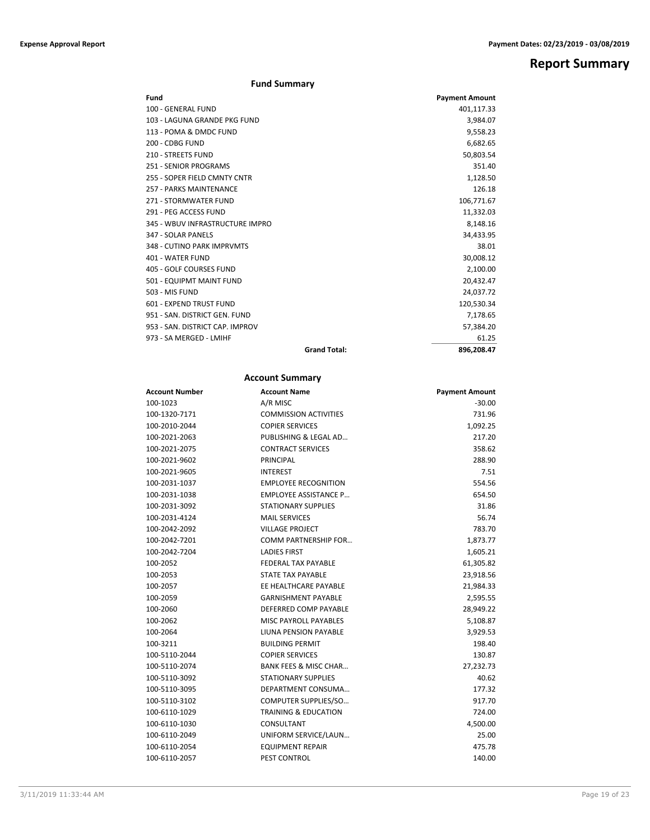**Report Summary**

# **Fund Summary**

| Fund                            |                     | <b>Payment Amount</b> |
|---------------------------------|---------------------|-----------------------|
| 100 - GENERAL FUND              |                     | 401,117.33            |
| 103 - LAGUNA GRANDE PKG FUND    |                     | 3,984.07              |
| 113 - POMA & DMDC FUND          |                     | 9,558.23              |
| 200 - CDBG FUND                 |                     | 6,682.65              |
| <b>210 - STREETS FUND</b>       |                     | 50,803.54             |
| 251 - SENIOR PROGRAMS           |                     | 351.40                |
| 255 - SOPER FIELD CMNTY CNTR    |                     | 1,128.50              |
| 257 - PARKS MAINTENANCE         |                     | 126.18                |
| 271 - STORMWATER FUND           |                     | 106,771.67            |
| 291 - PEG ACCESS FUND           |                     | 11,332.03             |
| 345 - WBUV INFRASTRUCTURE IMPRO |                     | 8,148.16              |
| 347 - SOLAR PANELS              |                     | 34,433.95             |
| 348 - CUTINO PARK IMPRVMTS      |                     | 38.01                 |
| 401 - WATER FUND                |                     | 30,008.12             |
| <b>405 - GOLF COURSES FUND</b>  |                     | 2,100.00              |
| 501 - EQUIPMT MAINT FUND        |                     | 20,432.47             |
| 503 - MIS FUND                  |                     | 24,037.72             |
| 601 - EXPEND TRUST FUND         |                     | 120,530.34            |
| 951 - SAN, DISTRICT GEN, FUND   |                     | 7,178.65              |
| 953 - SAN, DISTRICT CAP, IMPROV |                     | 57,384.20             |
| 973 - SA MERGED - LMIHF         |                     | 61.25                 |
|                                 | <b>Grand Total:</b> | 896,208.47            |

# **Account Summary**

| Account Number | <b>Account Name</b>              | <b>Payment Amount</b> |
|----------------|----------------------------------|-----------------------|
| 100-1023       | A/R MISC                         | $-30.00$              |
| 100-1320-7171  | <b>COMMISSION ACTIVITIES</b>     | 731.96                |
| 100-2010-2044  | <b>COPIER SERVICES</b>           | 1,092.25              |
| 100-2021-2063  | PUBLISHING & LEGAL AD            | 217.20                |
| 100-2021-2075  | <b>CONTRACT SERVICES</b>         | 358.62                |
| 100-2021-9602  | PRINCIPAL                        | 288.90                |
| 100-2021-9605  | <b>INTEREST</b>                  | 7.51                  |
| 100-2031-1037  | <b>EMPLOYEE RECOGNITION</b>      | 554.56                |
| 100-2031-1038  | <b>EMPLOYEE ASSISTANCE P</b>     | 654.50                |
| 100-2031-3092  | <b>STATIONARY SUPPLIES</b>       | 31.86                 |
| 100-2031-4124  | <b>MAIL SERVICES</b>             | 56.74                 |
| 100-2042-2092  | <b>VILLAGE PROJECT</b>           | 783.70                |
| 100-2042-7201  | <b>COMM PARTNERSHIP FOR</b>      | 1,873.77              |
| 100-2042-7204  | <b>LADIES FIRST</b>              | 1,605.21              |
| 100-2052       | <b>FEDERAL TAX PAYABLE</b>       | 61,305.82             |
| 100-2053       | STATE TAX PAYABLE                | 23,918.56             |
| 100-2057       | EE HEALTHCARE PAYABLE            | 21,984.33             |
| 100-2059       | <b>GARNISHMENT PAYABLE</b>       | 2,595.55              |
| 100-2060       | DEFERRED COMP PAYABLE            | 28,949.22             |
| 100-2062       | MISC PAYROLL PAYABLES            | 5,108.87              |
| 100-2064       | LIUNA PENSION PAYABLE            | 3,929.53              |
| 100-3211       | <b>BUILDING PERMIT</b>           | 198.40                |
| 100-5110-2044  | <b>COPIER SERVICES</b>           | 130.87                |
| 100-5110-2074  | <b>BANK FEES &amp; MISC CHAR</b> | 27,232.73             |
| 100-5110-3092  | <b>STATIONARY SUPPLIES</b>       | 40.62                 |
| 100-5110-3095  | DEPARTMENT CONSUMA               | 177.32                |
| 100-5110-3102  | COMPUTER SUPPLIES/SO             | 917.70                |
| 100-6110-1029  | <b>TRAINING &amp; EDUCATION</b>  | 724.00                |
| 100-6110-1030  | CONSULTANT                       | 4,500.00              |
| 100-6110-2049  | UNIFORM SERVICE/LAUN             | 25.00                 |
| 100-6110-2054  | <b>EQUIPMENT REPAIR</b>          | 475.78                |
| 100-6110-2057  | PEST CONTROL                     | 140.00                |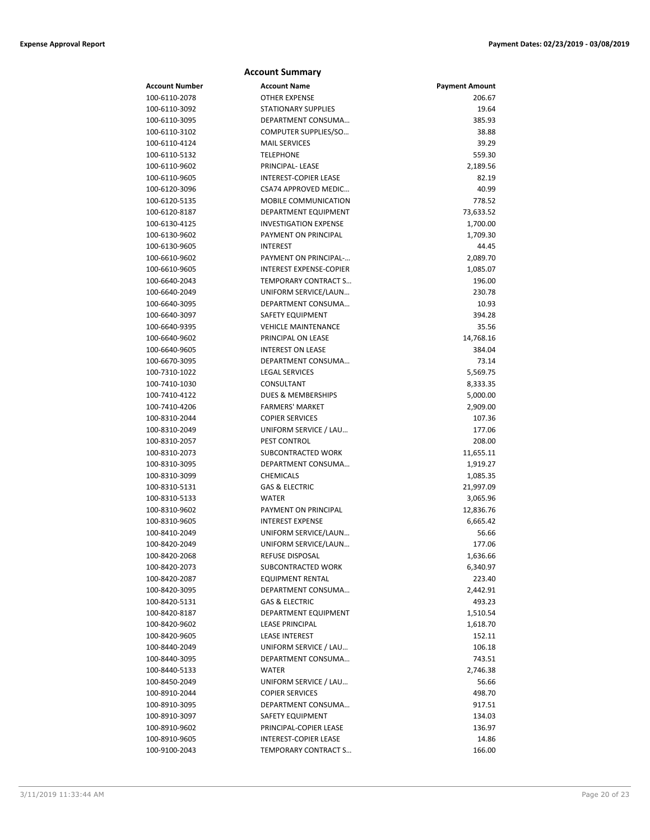### **Account Summary Account Number Account Name Payment Amount** 100-6110-2078 OTHER EXPENSE 206.67 100-6110-3092 STATIONARY SUPPLIES 19.64 100-6110-3095 DEPARTMENT CONSUMA… 385.93 100-6110-3102 COMPUTER SUPPLIES/SO… 38.88 100-6110-4124 MAIL SERVICES 39.29 100-6110-5132 TELEPHONE 559.30 100-6110-9602 PRINCIPAL- LEASE 2,189.56 100-6110-9605 INTEREST-COPIER LEASE 82.19 100-6120-3096 CSA74 APPROVED MEDIC… 40.99 100-6120-5135 MOBILE COMMUNICATION 778.52 100-6120-8187 DEPARTMENT EQUIPMENT 73,633.52 100-6130-4125 INVESTIGATION EXPENSE 1,700.00 100-6130-9602 PAYMENT ON PRINCIPAL 1,709.30 100-6130-9605 INTEREST 44.45 100-6610-9602 PAYMENT ON PRINCIPAL-… 2,089.70 100-6610-9605 INTEREST EXPENSE-COPIER 1,085.07 100-6640-2043 TEMPORARY CONTRACT S… 196.00 100-6640-2049 UNIFORM SERVICE/LAUN… 230.78 100-6640-3095 DEPARTMENT CONSUMA… 10.93 100-6640-3097 SAFETY EQUIPMENT 394.28 100-6640-9395 VEHICLE MAINTENANCE 35.56 100-6640-9602 PRINCIPAL ON LEASE 14,768.16 100-6640-9605 INTEREST ON LEASE 384.04 100-6670-3095 DEPARTMENT CONSUMA… 73.14 100-7310-1022 LEGAL SERVICES 5,569.75 100-7410-1030 CONSULTANT 8,333.35 100-7410-4122 DUES & MEMBERSHIPS 5,000.00 100-7410-4206 FARMERS' MARKET 2,909.00 100-8310-2044 COPIER SERVICES 107.36 100-8310-2049 UNIFORM SERVICE / LAU… 177.06 100-8310-2057 PEST CONTROL 208.00 100-8310-2073 SUBCONTRACTED WORK 11,655.11 100-8310-3095 DEPARTMENT CONSUMA… 1,919.27 100-8310-3099 CHEMICALS 1,085.35 100-8310-5131 GAS & ELECTRIC 21,997.09 100-8310-5133 WATER 3,065.96 100-8310-9602 PAYMENT ON PRINCIPAL 12,836.76 100-8310-9605 INTEREST EXPENSE 6,665.42 100-8410-2049 UNIFORM SERVICE/LAUN… 56.66 100-8420-2049 UNIFORM SERVICE/LAUN… 177.06 100-8420-2068 REFUSE DISPOSAL 1,636.66 100-8420-2073 SUBCONTRACTED WORK 6,340.97 100-8420-2087 EQUIPMENT RENTAL 223.40 100-8420-3095 DEPARTMENT CONSUMA… 2,442.91

100-8420-5131 GAS & ELECTRIC 493.23 100-8420-8187 DEPARTMENT EQUIPMENT 1,510.54 100-8420-9602 LEASE PRINCIPAL 1,618.70 100-8420-9605 LEASE INTEREST 152.11 100-8440-2049 UNIFORM SERVICE / LAU… 106.18 100-8440-3095 DEPARTMENT CONSUMA… 743.51 100-8440-5133 WATER 2,746.38 100-8450-2049 UNIFORM SERVICE / LAU… 56.66 100-8910-2044 COPIER SERVICES 498.70 100-8910-3095 DEPARTMENT CONSUMA… 917.51 100-8910-3097 SAFETY EQUIPMENT 134.03 100-8910-9602 PRINCIPAL-COPIER LEASE 136.97 100-8910-9605 INTEREST-COPIER LEASE 14.86 100-9100-2043 TEMPORARY CONTRACT S… 166.00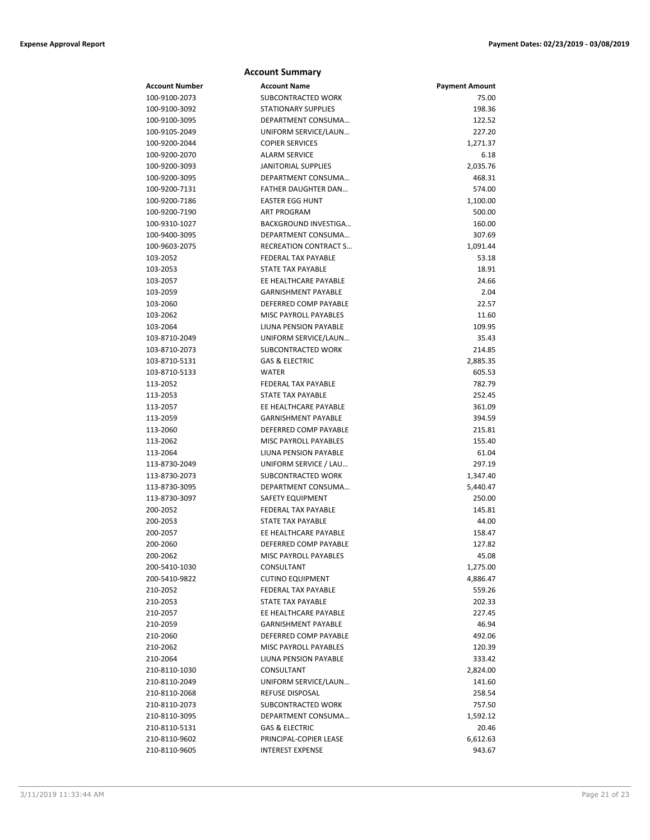|                                | <b>Account Summary</b>                          |                       |
|--------------------------------|-------------------------------------------------|-----------------------|
| <b>Account Number</b>          | <b>Account Name</b>                             | <b>Payment Amount</b> |
| 100-9100-2073                  | <b>SUBCONTRACTED WORK</b>                       | 75.00                 |
| 100-9100-3092                  | <b>STATIONARY SUPPLIES</b>                      | 198.36                |
| 100-9100-3095                  | DEPARTMENT CONSUMA                              | 122.52                |
| 100-9105-2049                  | UNIFORM SERVICE/LAUN                            | 227.20                |
| 100-9200-2044                  | <b>COPIER SERVICES</b>                          | 1,271.37              |
| 100-9200-2070                  | <b>ALARM SERVICE</b>                            | 6.18                  |
| 100-9200-3093                  | <b>JANITORIAL SUPPLIES</b>                      | 2,035.76              |
| 100-9200-3095                  | DEPARTMENT CONSUMA                              | 468.31                |
| 100-9200-7131                  | <b>FATHER DAUGHTER DAN</b>                      | 574.00                |
| 100-9200-7186                  | <b>EASTER EGG HUNT</b>                          | 1,100.00              |
| 100-9200-7190                  | <b>ART PROGRAM</b>                              | 500.00                |
| 100-9310-1027                  | <b>BACKGROUND INVESTIGA</b>                     | 160.00                |
| 100-9400-3095                  | DEPARTMENT CONSUMA                              | 307.69                |
| 100-9603-2075                  | <b>RECREATION CONTRACT S</b>                    | 1,091.44              |
| 103-2052                       | FEDERAL TAX PAYABLE                             | 53.18                 |
| 103-2053                       | STATE TAX PAYABLE                               | 18.91                 |
| 103-2057                       | EE HEALTHCARE PAYABLE                           | 24.66                 |
| 103-2059                       | <b>GARNISHMENT PAYABLE</b>                      | 2.04                  |
| 103-2060                       | DEFERRED COMP PAYABLE                           | 22.57                 |
| 103-2062                       | <b>MISC PAYROLL PAYABLES</b>                    | 11.60                 |
| 103-2064                       | LIUNA PENSION PAYABLE                           | 109.95                |
| 103-8710-2049                  | UNIFORM SERVICE/LAUN                            | 35.43                 |
| 103-8710-2073<br>103-8710-5131 | SUBCONTRACTED WORK                              | 214.85                |
| 103-8710-5133                  | <b>GAS &amp; ELECTRIC</b><br><b>WATER</b>       | 2,885.35              |
| 113-2052                       | <b>FEDERAL TAX PAYABLE</b>                      | 605.53<br>782.79      |
| 113-2053                       | STATE TAX PAYABLE                               | 252.45                |
| 113-2057                       | EE HEALTHCARE PAYABLE                           | 361.09                |
| 113-2059                       | <b>GARNISHMENT PAYABLE</b>                      | 394.59                |
| 113-2060                       | DEFERRED COMP PAYABLE                           | 215.81                |
| 113-2062                       | <b>MISC PAYROLL PAYABLES</b>                    | 155.40                |
| 113-2064                       | LIUNA PENSION PAYABLE                           | 61.04                 |
| 113-8730-2049                  | UNIFORM SERVICE / LAU                           | 297.19                |
| 113-8730-2073                  | SUBCONTRACTED WORK                              | 1,347.40              |
| 113-8730-3095                  | DEPARTMENT CONSUMA                              | 5,440.47              |
| 113-8730-3097                  | <b>SAFETY EQUIPMENT</b>                         | 250.00                |
| 200-2052                       | <b>FEDERAL TAX PAYABLE</b>                      | 145.81                |
| 200-2053                       | STATE TAX PAYABLE                               | 44.00                 |
| 200-2057                       | EE HEALTHCARE PAYABLE                           | 158.47                |
| 200-2060                       | DEFERRED COMP PAYABLE                           | 127.82                |
| 200-2062                       | MISC PAYROLL PAYABLES                           | 45.08                 |
| 200-5410-1030                  | CONSULTANT                                      | 1,275.00              |
| 200-5410-9822                  | <b>CUTINO EQUIPMENT</b>                         | 4,886.47              |
| 210-2052                       | FEDERAL TAX PAYABLE                             | 559.26                |
| 210-2053                       | STATE TAX PAYABLE                               | 202.33                |
| 210-2057                       | EE HEALTHCARE PAYABLE                           | 227.45                |
| 210-2059                       | <b>GARNISHMENT PAYABLE</b>                      | 46.94                 |
| 210-2060                       | DEFERRED COMP PAYABLE                           | 492.06                |
| 210-2062                       | MISC PAYROLL PAYABLES                           | 120.39                |
| 210-2064                       | LIUNA PENSION PAYABLE                           | 333.42                |
| 210-8110-1030                  | CONSULTANT                                      | 2,824.00              |
| 210-8110-2049                  | UNIFORM SERVICE/LAUN                            | 141.60                |
| 210-8110-2068                  | REFUSE DISPOSAL                                 | 258.54                |
| 210-8110-2073                  | SUBCONTRACTED WORK                              | 757.50                |
| 210-8110-3095                  | DEPARTMENT CONSUMA<br><b>GAS &amp; ELECTRIC</b> | 1,592.12              |
| 210-8110-5131<br>210-8110-9602 | PRINCIPAL-COPIER LEASE                          | 20.46                 |
| 210-8110-9605                  | <b>INTEREST EXPENSE</b>                         | 6,612.63<br>943.67    |
|                                |                                                 |                       |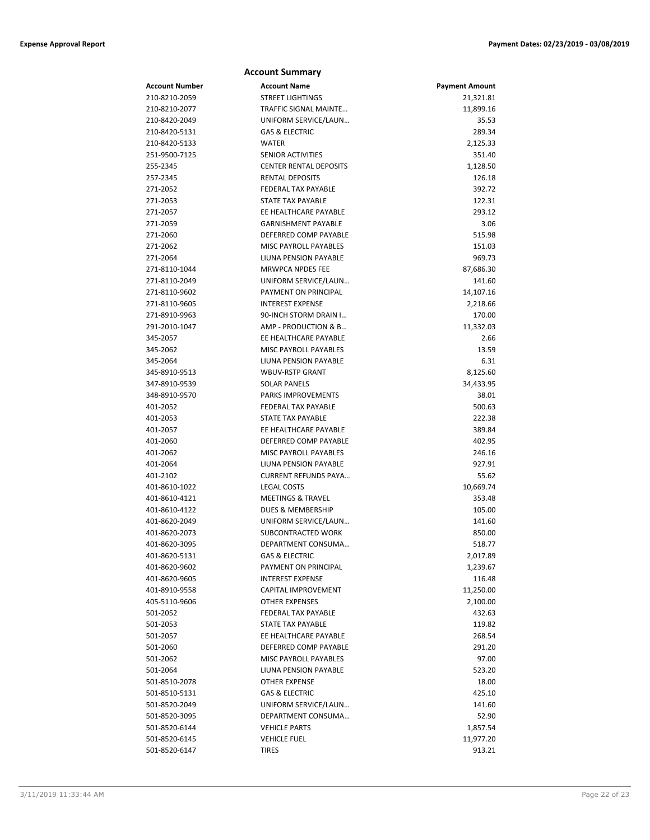|                | <b>Account Summary</b>        |                       |
|----------------|-------------------------------|-----------------------|
| Account Number | <b>Account Name</b>           | <b>Payment Amount</b> |
| 210-8210-2059  | STREET LIGHTINGS              | 21,321.81             |
| 210-8210-2077  | TRAFFIC SIGNAL MAINTE         | 11,899.16             |
| 210-8420-2049  | UNIFORM SERVICE/LAUN          | 35.53                 |
| 210-8420-5131  | <b>GAS &amp; ELECTRIC</b>     | 289.34                |
| 210-8420-5133  | WATER                         | 2,125.33              |
| 251-9500-7125  | <b>SENIOR ACTIVITIES</b>      | 351.40                |
| 255-2345       | <b>CENTER RENTAL DEPOSITS</b> | 1,128.50              |
| 257-2345       | <b>RENTAL DEPOSITS</b>        | 126.18                |
| 271-2052       | FEDERAL TAX PAYABLE           | 392.72                |
| 271-2053       | STATE TAX PAYABLE             | 122.31                |
| 271-2057       | EE HEALTHCARE PAYABLE         | 293.12                |
| 271-2059       | <b>GARNISHMENT PAYABLE</b>    | 3.06                  |
| 271-2060       | DEFERRED COMP PAYABLE         | 515.98                |
| 271-2062       | MISC PAYROLL PAYABLES         | 151.03                |
| 271-2064       | LIUNA PENSION PAYABLE         | 969.73                |
| 271-8110-1044  | <b>MRWPCA NPDES FEE</b>       | 87,686.30             |
| 271-8110-2049  | UNIFORM SERVICE/LAUN          | 141.60                |
| 271-8110-9602  | PAYMENT ON PRINCIPAL          | 14,107.16             |
| 271-8110-9605  | <b>INTEREST EXPENSE</b>       | 2,218.66              |
| 271-8910-9963  | 90-INCH STORM DRAIN I         | 170.00                |
| 291-2010-1047  | AMP - PRODUCTION & B          | 11,332.03             |
| 345-2057       | EE HEALTHCARE PAYABLE         | 2.66                  |
| 345-2062       | MISC PAYROLL PAYABLES         | 13.59                 |
| 345-2064       | <b>LIUNA PENSION PAYABLE</b>  | 6.31                  |
| 345-8910-9513  | <b>WBUV-RSTP GRANT</b>        | 8,125.60              |
| 347-8910-9539  | <b>SOLAR PANELS</b>           | 34,433.95             |
| 348-8910-9570  | <b>PARKS IMPROVEMENTS</b>     | 38.01                 |
| 401-2052       | FEDERAL TAX PAYABLE           | 500.63                |
| 401-2053       | STATE TAX PAYABLE             | 222.38                |
| 401-2057       | EE HEALTHCARE PAYABLE         | 389.84                |
| 401-2060       | DEFERRED COMP PAYABLE         | 402.95                |
| 401-2062       | <b>MISC PAYROLL PAYABLES</b>  | 246.16                |
| 401-2064       | LIUNA PENSION PAYABLE         | 927.91                |
| 401-2102       | <b>CURRENT REFUNDS PAYA</b>   | 55.62                 |
| 401-8610-1022  | <b>LEGAL COSTS</b>            | 10,669.74             |
| 401-8610-4121  | <b>MEETINGS &amp; TRAVEL</b>  | 353.48                |
| 401-8610-4122  | <b>DUES &amp; MEMBERSHIP</b>  | 105.00                |
| 401-8620-2049  | UNIFORM SERVICE/LAUN          | 141.60                |
| 401-8620-2073  | SUBCONTRACTED WORK            | 850.00                |
| 401-8620-3095  | DEPARTMENT CONSUMA            | 518.77                |
| 401-8620-5131  | <b>GAS &amp; ELECTRIC</b>     | 2,017.89              |
| 401-8620-9602  | PAYMENT ON PRINCIPAL          | 1,239.67              |
| 401-8620-9605  | <b>INTEREST EXPENSE</b>       | 116.48                |
| 401-8910-9558  | CAPITAL IMPROVEMENT           | 11,250.00             |
| 405-5110-9606  | <b>OTHER EXPENSES</b>         | 2,100.00              |
| 501-2052       | FEDERAL TAX PAYABLE           | 432.63                |
| 501-2053       | <b>STATE TAX PAYABLE</b>      | 119.82                |
| 501-2057       | EE HEALTHCARE PAYABLE         | 268.54                |
| 501-2060       | DEFERRED COMP PAYABLE         | 291.20                |
| 501-2062       | MISC PAYROLL PAYABLES         | 97.00                 |
| 501-2064       | LIUNA PENSION PAYABLE         | 523.20                |
| 501-8510-2078  | OTHER EXPENSE                 | 18.00                 |
| 501-8510-5131  | <b>GAS &amp; ELECTRIC</b>     | 425.10                |
| 501-8520-2049  | UNIFORM SERVICE/LAUN          | 141.60                |
| 501-8520-3095  | DEPARTMENT CONSUMA            | 52.90                 |
| 501-8520-6144  | <b>VEHICLE PARTS</b>          | 1,857.54              |
| 501-8520-6145  | <b>VEHICLE FUEL</b>           | 11,977.20             |
| 501-8520-6147  | <b>TIRES</b>                  | 913.21                |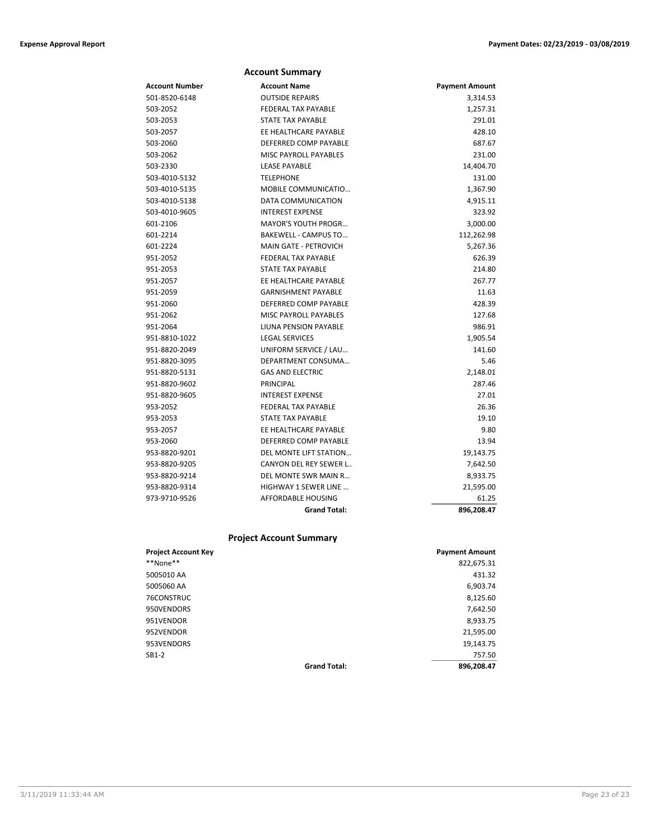|                | <b>Account Summary</b>       |                       |
|----------------|------------------------------|-----------------------|
| Account Number | <b>Account Name</b>          | <b>Payment Amount</b> |
| 501-8520-6148  | <b>OUTSIDE REPAIRS</b>       | 3,314.53              |
| 503-2052       | <b>FEDERAL TAX PAYABLE</b>   | 1,257.31              |
| 503-2053       | <b>STATE TAX PAYABLE</b>     | 291.01                |
| 503-2057       | EE HEALTHCARE PAYABLE        | 428.10                |
| 503-2060       | DEFERRED COMP PAYABLE        | 687.67                |
| 503-2062       | <b>MISC PAYROLL PAYABLES</b> | 231.00                |
| 503-2330       | <b>LEASE PAYABLE</b>         | 14,404.70             |
| 503-4010-5132  | <b>TELEPHONE</b>             | 131.00                |
| 503-4010-5135  | MOBILE COMMUNICATIO          | 1,367.90              |
| 503-4010-5138  | DATA COMMUNICATION           | 4,915.11              |
| 503-4010-9605  | <b>INTEREST EXPENSE</b>      | 323.92                |
| 601-2106       | <b>MAYOR'S YOUTH PROGR</b>   | 3,000.00              |
| 601-2214       | <b>BAKEWELL - CAMPUS TO</b>  | 112,262.98            |
| 601-2224       | <b>MAIN GATE - PETROVICH</b> | 5,267.36              |
| 951-2052       | <b>FEDERAL TAX PAYABLE</b>   | 626.39                |
| 951-2053       | <b>STATE TAX PAYABLE</b>     | 214.80                |
| 951-2057       | EE HEALTHCARE PAYABLE        | 267.77                |
| 951-2059       | <b>GARNISHMENT PAYABLE</b>   | 11.63                 |
| 951-2060       | DEFERRED COMP PAYABLE        | 428.39                |
| 951-2062       | <b>MISC PAYROLL PAYABLES</b> | 127.68                |
| 951-2064       | LIUNA PENSION PAYABLE        | 986.91                |
| 951-8810-1022  | <b>LEGAL SERVICES</b>        | 1,905.54              |
| 951-8820-2049  | UNIFORM SERVICE / LAU        | 141.60                |
| 951-8820-3095  | DEPARTMENT CONSUMA           | 5.46                  |
| 951-8820-5131  | <b>GAS AND ELECTRIC</b>      | 2,148.01              |
| 951-8820-9602  | <b>PRINCIPAL</b>             | 287.46                |
| 951-8820-9605  | <b>INTEREST EXPENSE</b>      | 27.01                 |
| 953-2052       | <b>FEDERAL TAX PAYABLE</b>   | 26.36                 |
| 953-2053       | <b>STATE TAX PAYABLE</b>     | 19.10                 |
| 953-2057       | EE HEALTHCARE PAYABLE        | 9.80                  |
| 953-2060       | DEFERRED COMP PAYABLE        | 13.94                 |
| 953-8820-9201  | DEL MONTE LIFT STATION       | 19,143.75             |
| 953-8820-9205  | CANYON DEL REY SEWER L       | 7,642.50              |
| 953-8820-9214  | DEL MONTE SWR MAIN R         | 8,933.75              |
| 953-8820-9314  | <b>HIGHWAY 1 SEWER LINE</b>  | 21,595.00             |
| 973-9710-9526  | <b>AFFORDABLE HOUSING</b>    | 61.25                 |
|                | <b>Grand Total:</b>          | 896,208.47            |

# **Project Account Summary**

| <b>Project Account Key</b> |                     | <b>Payment Amount</b> |
|----------------------------|---------------------|-----------------------|
| **None**                   |                     | 822,675.31            |
| 5005010 AA                 |                     | 431.32                |
| 5005060 AA                 |                     | 6,903.74              |
| 76CONSTRUC                 |                     | 8,125.60              |
| 950VENDORS                 |                     | 7,642.50              |
| 951VENDOR                  |                     | 8,933.75              |
| 952VENDOR                  |                     | 21,595.00             |
| 953VENDORS                 |                     | 19,143.75             |
| $SB1-2$                    |                     | 757.50                |
|                            | <b>Grand Total:</b> | 896,208.47            |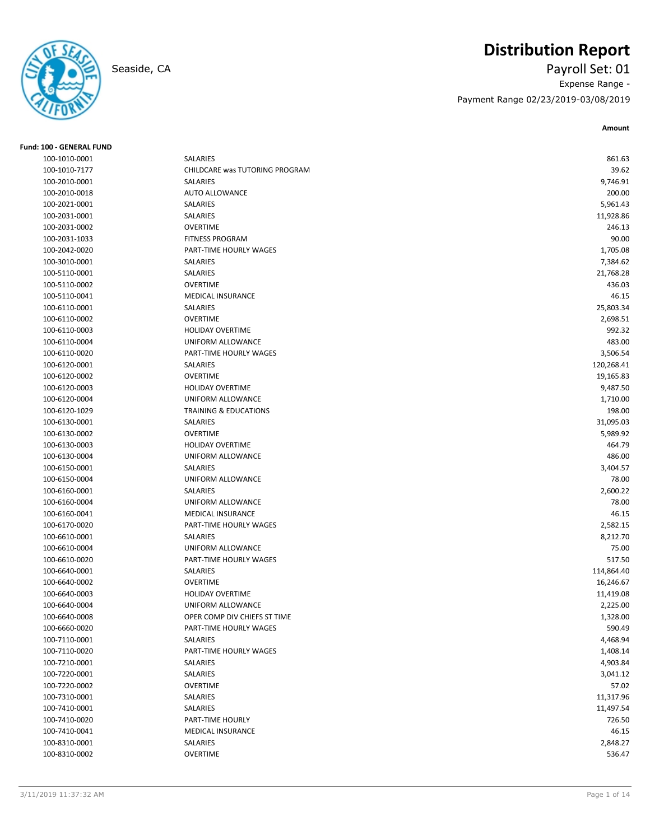# **Distribution Report**

Seaside, CA Payroll Set: 01 Expense Range - Payment Range 02/23/2019-03/08/2019

**Amount**

| <b>Fund: 100 - GENERAL FUND</b> |                                  |            |
|---------------------------------|----------------------------------|------------|
| 100-1010-0001                   | SALARIES                         | 861.63     |
| 100-1010-7177                   | CHILDCARE was TUTORING PROGRAM   | 39.62      |
| 100-2010-0001                   | SALARIES                         | 9,746.91   |
| 100-2010-0018                   | <b>AUTO ALLOWANCE</b>            | 200.00     |
| 100-2021-0001                   | SALARIES                         | 5,961.43   |
| 100-2031-0001                   | SALARIES                         | 11,928.86  |
| 100-2031-0002                   | <b>OVERTIME</b>                  | 246.13     |
| 100-2031-1033                   | <b>FITNESS PROGRAM</b>           | 90.00      |
| 100-2042-0020                   | PART-TIME HOURLY WAGES           | 1,705.08   |
| 100-3010-0001                   | SALARIES                         | 7,384.62   |
| 100-5110-0001                   | SALARIES                         | 21,768.28  |
| 100-5110-0002                   | <b>OVERTIME</b>                  | 436.03     |
| 100-5110-0041                   | MEDICAL INSURANCE                | 46.15      |
| 100-6110-0001                   | SALARIES                         | 25,803.34  |
| 100-6110-0002                   | <b>OVERTIME</b>                  | 2,698.51   |
| 100-6110-0003                   | <b>HOLIDAY OVERTIME</b>          | 992.32     |
| 100-6110-0004                   | UNIFORM ALLOWANCE                | 483.00     |
| 100-6110-0020                   | PART-TIME HOURLY WAGES           | 3,506.54   |
| 100-6120-0001                   | SALARIES                         | 120,268.41 |
| 100-6120-0002                   | <b>OVERTIME</b>                  | 19,165.83  |
| 100-6120-0003                   | <b>HOLIDAY OVERTIME</b>          | 9,487.50   |
| 100-6120-0004                   | UNIFORM ALLOWANCE                | 1,710.00   |
| 100-6120-1029                   | <b>TRAINING &amp; EDUCATIONS</b> | 198.00     |
| 100-6130-0001                   | SALARIES                         | 31,095.03  |
| 100-6130-0002                   | <b>OVERTIME</b>                  | 5,989.92   |
| 100-6130-0003                   | <b>HOLIDAY OVERTIME</b>          | 464.79     |
| 100-6130-0004                   | UNIFORM ALLOWANCE                | 486.00     |
| 100-6150-0001                   | SALARIES                         | 3,404.57   |
| 100-6150-0004                   | UNIFORM ALLOWANCE                | 78.00      |
| 100-6160-0001                   | SALARIES                         | 2,600.22   |
| 100-6160-0004                   | UNIFORM ALLOWANCE                | 78.00      |
| 100-6160-0041                   | <b>MEDICAL INSURANCE</b>         | 46.15      |
| 100-6170-0020                   | PART-TIME HOURLY WAGES           | 2,582.15   |
| 100-6610-0001                   | SALARIES                         | 8,212.70   |
| 100-6610-0004                   | UNIFORM ALLOWANCE                | 75.00      |
| 100-6610-0020                   | PART-TIME HOURLY WAGES           | 517.50     |
| 100-6640-0001                   | SALARIES                         | 114,864.40 |
| 100-6640-0002                   | <b>OVERTIME</b>                  | 16,246.67  |
| 100-6640-0003                   | <b>HOLIDAY OVERTIME</b>          | 11,419.08  |
| 100-6640-0004                   | UNIFORM ALLOWANCE                | 2,225.00   |
| 100-6640-0008                   | OPER COMP DIV CHIEFS ST TIME     | 1,328.00   |
| 100-6660-0020                   | PART-TIME HOURLY WAGES           | 590.49     |
| 100-7110-0001                   | SALARIES                         | 4,468.94   |
| 100-7110-0020                   | PART-TIME HOURLY WAGES           | 1,408.14   |
| 100-7210-0001                   | SALARIES                         | 4,903.84   |
| 100-7220-0001                   | SALARIES                         | 3,041.12   |
| 100-7220-0002                   | OVERTIME                         | 57.02      |
| 100-7310-0001                   | SALARIES                         | 11,317.96  |
| 100-7410-0001                   | SALARIES                         | 11,497.54  |
| 100-7410-0020                   | PART-TIME HOURLY                 | 726.50     |
|                                 |                                  |            |
| 100-7410-0041                   | MEDICAL INSURANCE                | 46.15      |
| 100-8310-0001                   | SALARIES                         | 2,848.27   |
| 100-8310-0002                   | <b>OVERTIME</b>                  | 536.47     |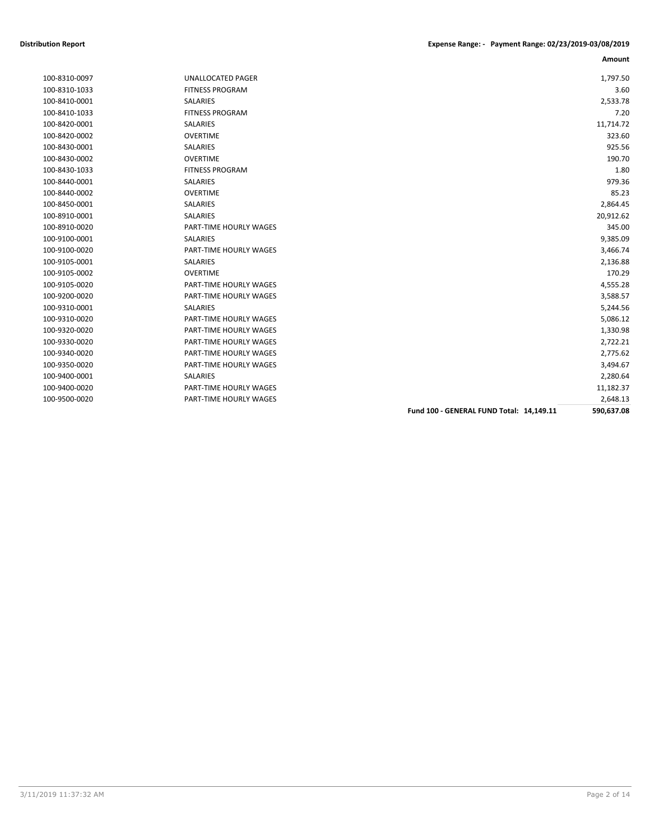|               |                          | Fund 100 - GENERAL FUND Total: 14,149.11 | 590,637.08 |
|---------------|--------------------------|------------------------------------------|------------|
| 100-9500-0020 | PART-TIME HOURLY WAGES   |                                          | 2,648.13   |
| 100-9400-0020 | PART-TIME HOURLY WAGES   |                                          | 11,182.37  |
| 100-9400-0001 | <b>SALARIES</b>          |                                          | 2,280.64   |
| 100-9350-0020 | PART-TIME HOURLY WAGES   |                                          | 3,494.67   |
| 100-9340-0020 | PART-TIME HOURLY WAGES   |                                          | 2,775.62   |
| 100-9330-0020 | PART-TIME HOURLY WAGES   |                                          | 2,722.21   |
| 100-9320-0020 | PART-TIME HOURLY WAGES   |                                          | 1,330.98   |
| 100-9310-0020 | PART-TIME HOURLY WAGES   |                                          | 5,086.12   |
| 100-9310-0001 | <b>SALARIES</b>          |                                          | 5,244.56   |
| 100-9200-0020 | PART-TIME HOURLY WAGES   |                                          | 3,588.57   |
| 100-9105-0020 | PART-TIME HOURLY WAGES   |                                          | 4,555.28   |
| 100-9105-0002 | <b>OVERTIME</b>          |                                          | 170.29     |
| 100-9105-0001 | <b>SALARIES</b>          |                                          | 2,136.88   |
| 100-9100-0020 | PART-TIME HOURLY WAGES   |                                          | 3,466.74   |
| 100-9100-0001 | <b>SALARIES</b>          |                                          | 9,385.09   |
| 100-8910-0020 | PART-TIME HOURLY WAGES   |                                          | 345.00     |
| 100-8910-0001 | <b>SALARIES</b>          |                                          | 20,912.62  |
| 100-8450-0001 | <b>SALARIES</b>          |                                          | 2,864.45   |
| 100-8440-0002 | <b>OVERTIME</b>          |                                          | 85.23      |
| 100-8440-0001 | <b>SALARIES</b>          |                                          | 979.36     |
| 100-8430-1033 | <b>FITNESS PROGRAM</b>   |                                          | 1.80       |
| 100-8430-0002 | <b>OVERTIME</b>          |                                          | 190.70     |
| 100-8430-0001 | <b>SALARIES</b>          |                                          | 925.56     |
| 100-8420-0002 | <b>OVERTIME</b>          |                                          | 323.60     |
| 100-8420-0001 | SALARIES                 |                                          | 11,714.72  |
| 100-8410-1033 | <b>FITNESS PROGRAM</b>   |                                          | 7.20       |
| 100-8410-0001 | <b>SALARIES</b>          |                                          | 2,533.78   |
| 100-8310-1033 | <b>FITNESS PROGRAM</b>   |                                          | 3.60       |
| 100-8310-0097 | <b>UNALLOCATED PAGER</b> |                                          | 1,797.50   |
|               |                          |                                          |            |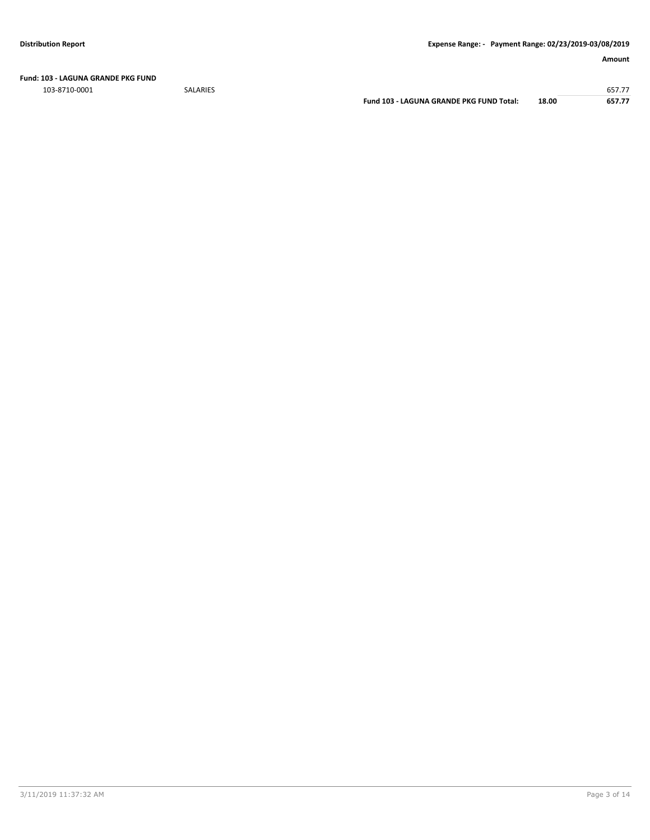**Fund: 103 - LAGUNA GRANDE PKG FUND**

103-8710-0001 SALARIES 657.77

**Fund 103 - LAGUNA GRANDE PKG FUND Total: 18.00 657.77**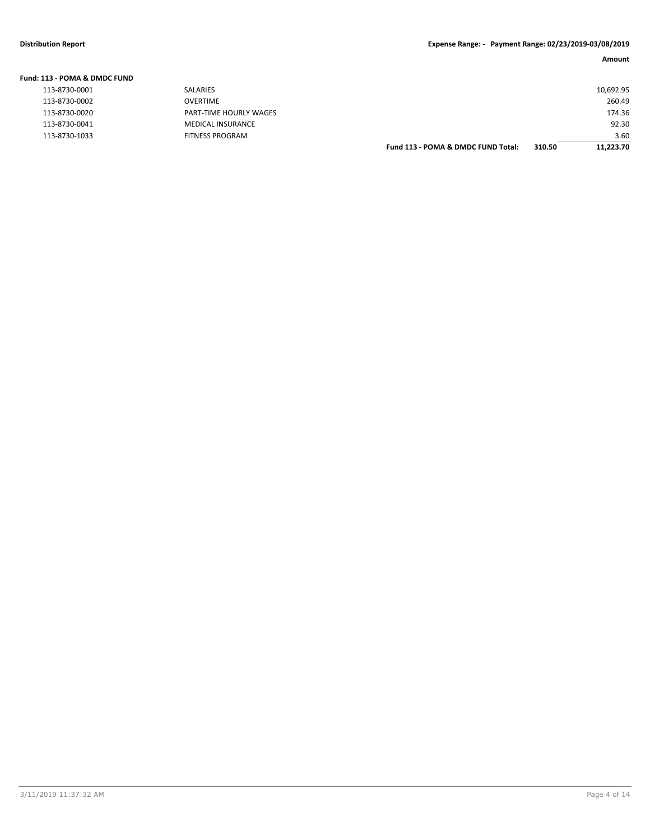| Fund: 113 - POMA & DMDC FUND |                          |                                    |        |           |
|------------------------------|--------------------------|------------------------------------|--------|-----------|
| 113-8730-0001                | <b>SALARIES</b>          |                                    |        | 10,692.95 |
| 113-8730-0002                | OVERTIME                 |                                    |        | 260.49    |
| 113-8730-0020                | PART-TIME HOURLY WAGES   |                                    |        | 174.36    |
| 113-8730-0041                | <b>MEDICAL INSURANCE</b> |                                    |        | 92.30     |
| 113-8730-1033                | <b>FITNESS PROGRAM</b>   |                                    |        | 3.60      |
|                              |                          | Fund 113 - POMA & DMDC FUND Total: | 310.50 | 11.223.70 |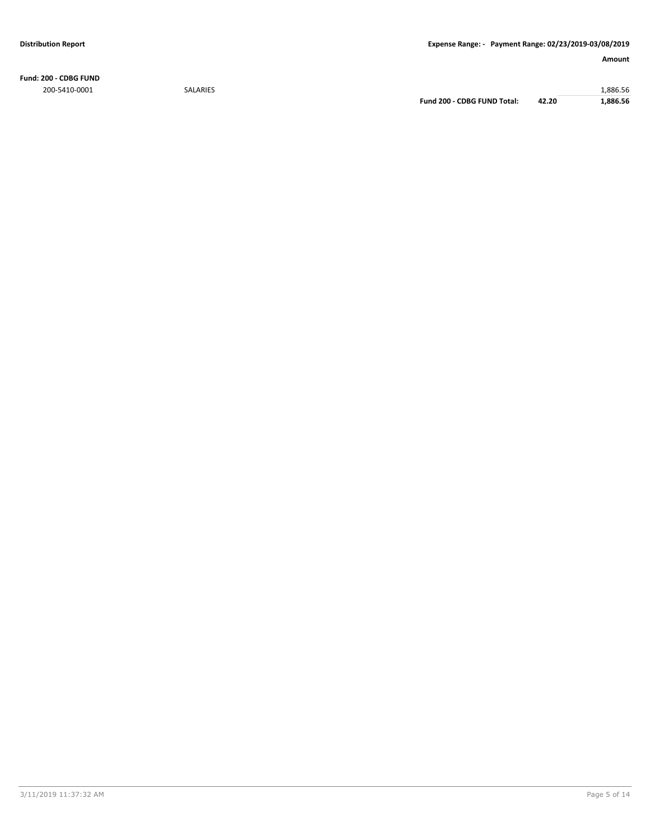**Fund: 200 - CDBG FUND** 200-5410-0001 SALARIES 1,886.56

**Fund 200 - CDBG FUND Total: 42.20 1,886.56**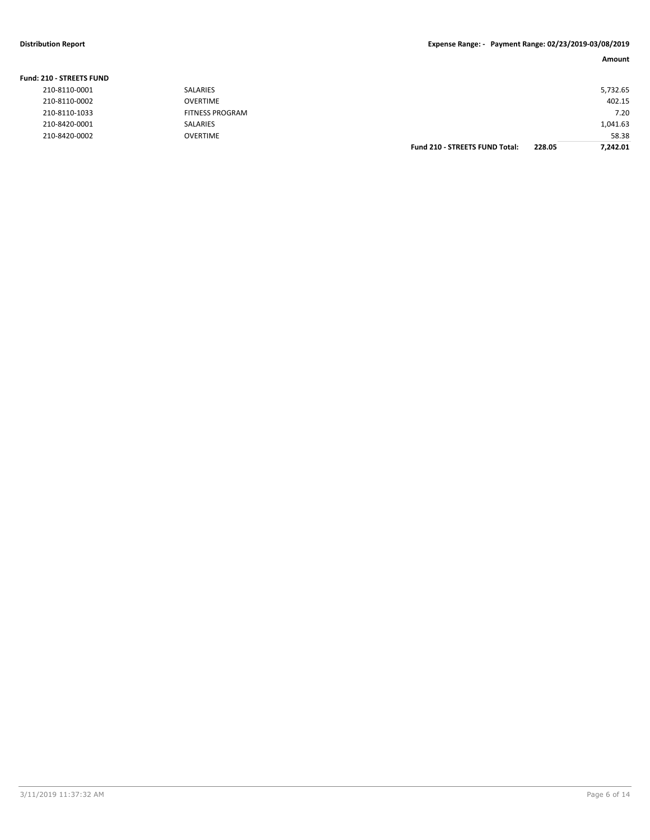| Fund: 210 - STREETS FUND |                        |                                       |        |          |
|--------------------------|------------------------|---------------------------------------|--------|----------|
| 210-8110-0001            | SALARIES               |                                       |        | 5,732.65 |
| 210-8110-0002            | OVERTIME               |                                       |        | 402.15   |
| 210-8110-1033            | <b>FITNESS PROGRAM</b> |                                       |        | 7.20     |
| 210-8420-0001            | <b>SALARIES</b>        |                                       |        | 1,041.63 |
| 210-8420-0002            | <b>OVERTIME</b>        |                                       |        | 58.38    |
|                          |                        | <b>Fund 210 - STREETS FUND Total:</b> | 228.05 | 7.242.01 |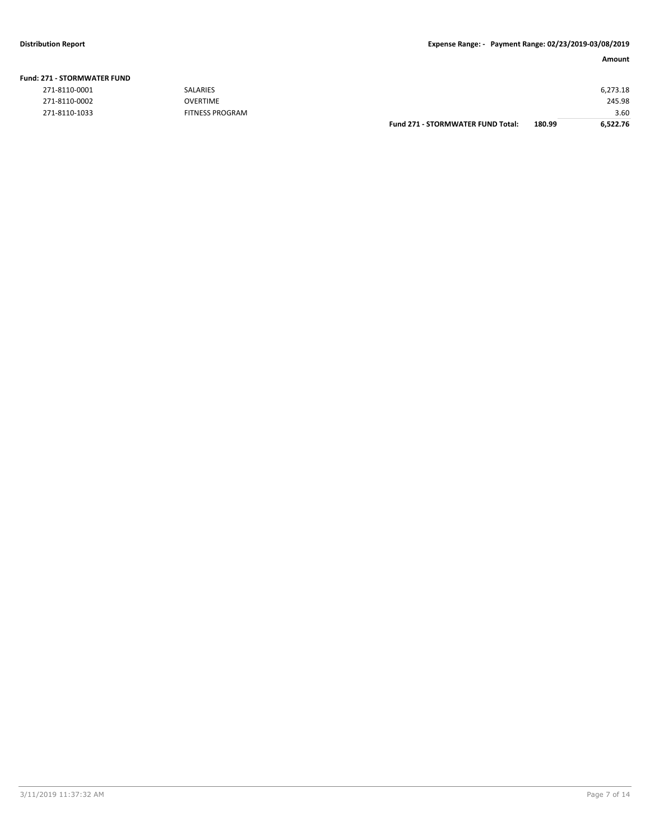| <b>271 - STORMWATER FUND</b> |                 |                                          |        |          |
|------------------------------|-----------------|------------------------------------------|--------|----------|
| 271-8110-0001                | SALARIES        |                                          |        | 6,273.18 |
| 271-8110-0002                | <b>OVERTIME</b> |                                          |        | 245.98   |
| 271-8110-1033                | FITNESS PROGRAM |                                          |        | 3.60     |
|                              |                 | <b>Fund 271 - STORMWATER FUND Total:</b> | 180.99 | 6,522.76 |

# **Fund: 271 - STORMWATER FUND**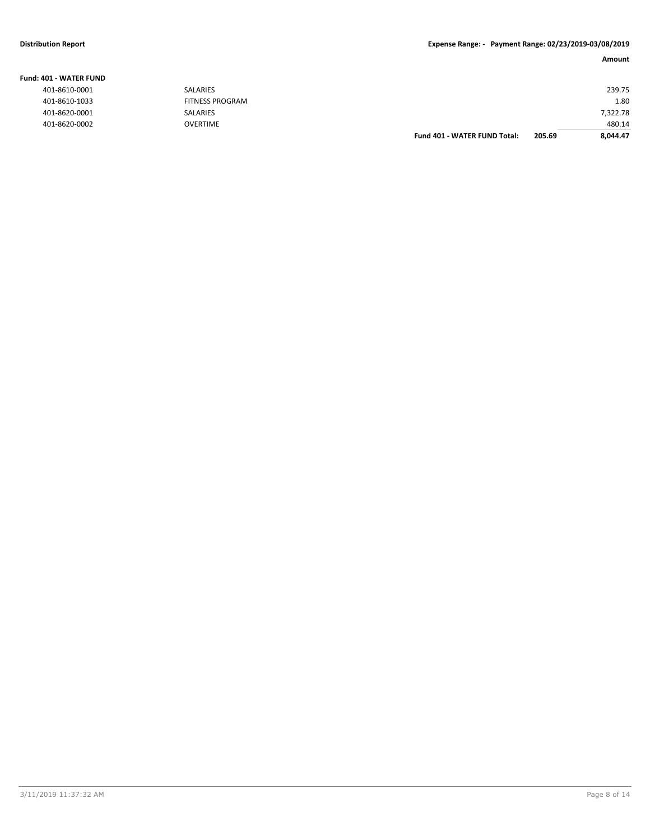# **Distribution Report Expense Range: - Payment Range: 02/23/2019-03/08/2019**

### **Amount**

|                  |                        | <b>Fund 401 - WATER FUND Total:</b> | 205.69 | 8,044.47 |
|------------------|------------------------|-------------------------------------|--------|----------|
| 401-8620-0002    | <b>OVERTIME</b>        |                                     |        | 480.14   |
| 401-8620-0001    | <b>SALARIES</b>        |                                     |        | 7,322.78 |
| 401-8610-1033    | <b>FITNESS PROGRAM</b> |                                     |        | 1.80     |
| 401-8610-0001    | SALARIES               |                                     |        | 239.75   |
| IO1 - WATER FUND |                        |                                     |        |          |

### **Fund: 401 - WATER FUND**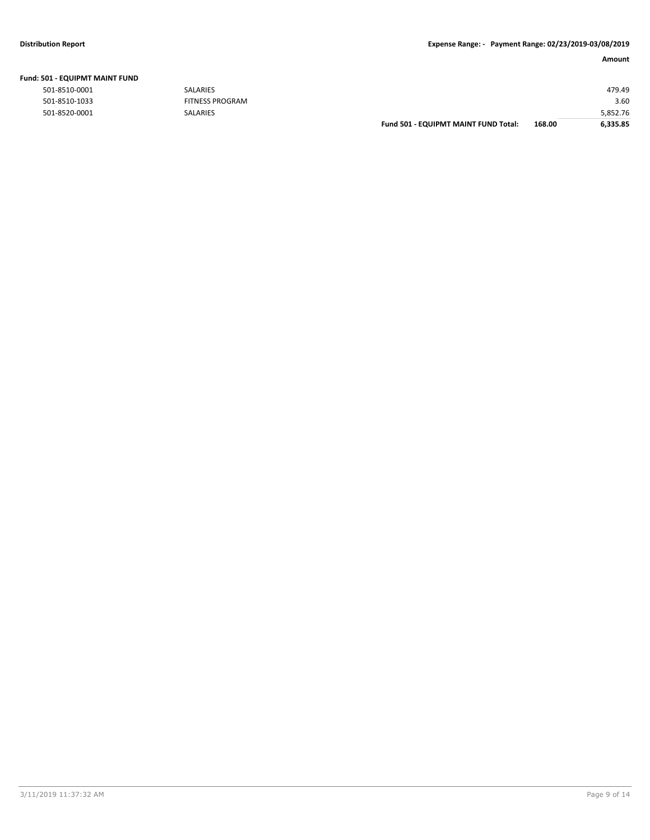| 501 - EQUIPMT MAINT FUND |                        |                                      |        |          |
|--------------------------|------------------------|--------------------------------------|--------|----------|
| 501-8510-0001            | <b>SALARIES</b>        |                                      |        | 479.49   |
| 501-8510-1033            | <b>FITNESS PROGRAM</b> |                                      |        | 3.60     |
| 501-8520-0001            | <b>SALARIES</b>        |                                      |        | 5,852.76 |
|                          |                        | Fund 501 - EQUIPMT MAINT FUND Total: | 168.00 | 6,335.85 |

### **Fund: 501 - EQUIPMT MAINT FUND**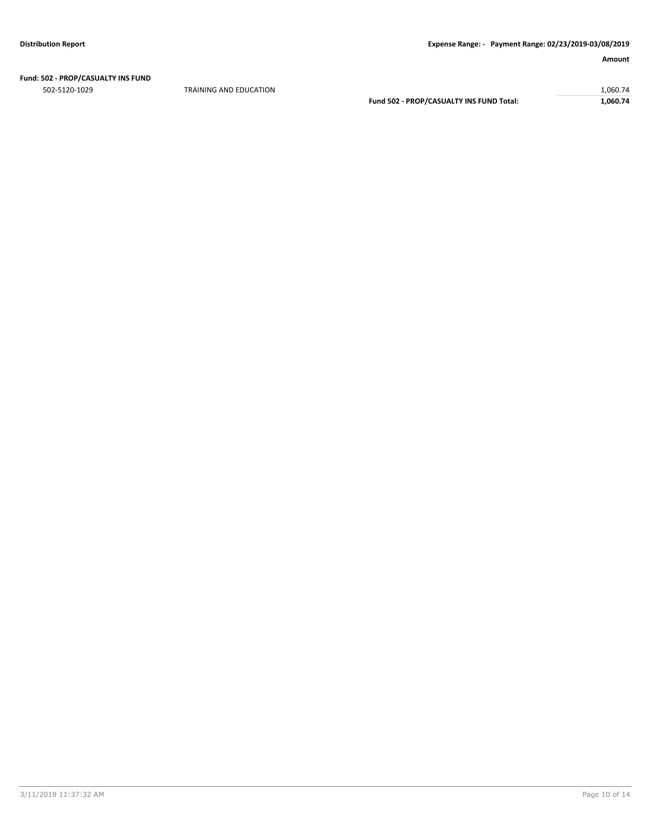# **Fund: 502 - PROP/CASUALTY INS FUND**

TRAINING AND EDUCATION 1,060.74 **Fund 502 - PROP/CASUALTY INS FUND Total: 1,060.74**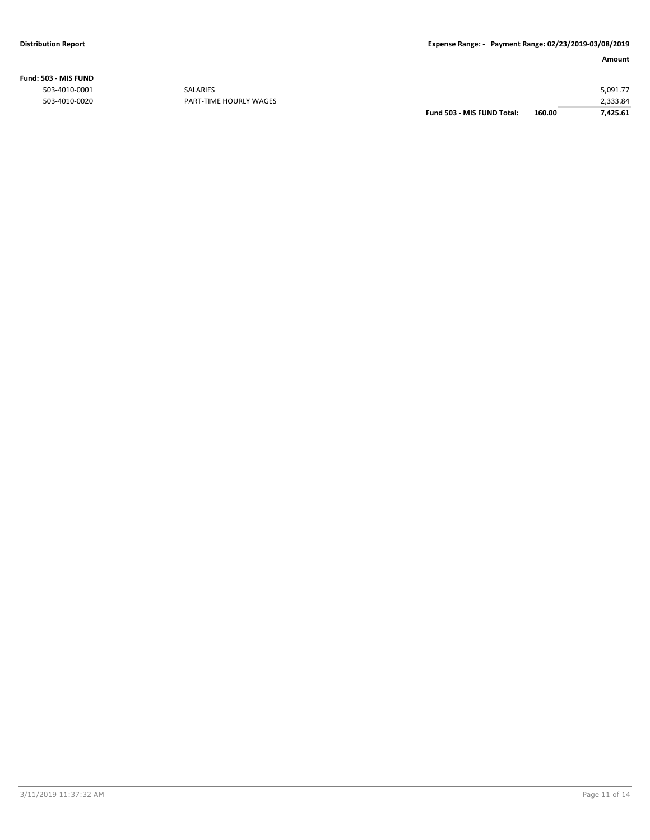**Fund: 503 - MIS FUND**

|               |                        | Fund 503 - MIS FUND Total: | 160.00 | 7,425.61 |
|---------------|------------------------|----------------------------|--------|----------|
| 503-4010-0020 | PART-TIME HOURLY WAGES |                            |        | 2.333.84 |
| 503-4010-0001 | SALARIES               |                            |        | 5,091.77 |
|               |                        |                            |        |          |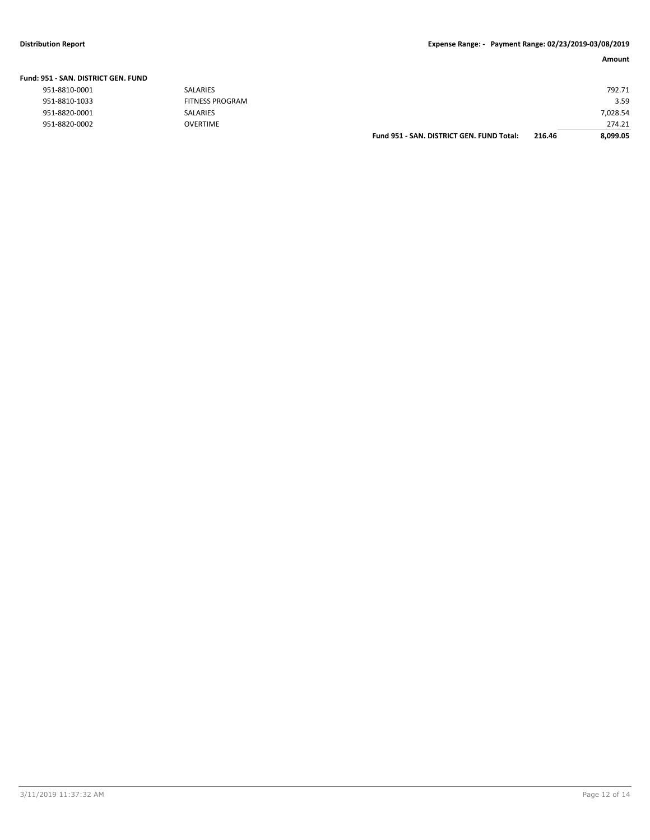# **Distribution Report Expense Range: - Payment Range: 02/23/2019-03/08/2019**

|  | Fund: 951 - SAN. DISTRICT GEN. FUND |  |
|--|-------------------------------------|--|
|--|-------------------------------------|--|

| 951-8810-0001 | SAI ARIFS              |
|---------------|------------------------|
| 951-8810-1033 | <b>FITNESS PROGRAM</b> |
| 951-8820-0001 | SAI ARIFS              |
| 951-8820-0002 | OVERTIME               |

| 731 - SAN, DISTRICT GEN, FUND |                        |                                           |        |          |
|-------------------------------|------------------------|-------------------------------------------|--------|----------|
| 951-8810-0001                 | SALARIES               |                                           |        | 792.71   |
| 951-8810-1033                 | <b>FITNESS PROGRAM</b> |                                           |        | 3.59     |
| 951-8820-0001                 | SALARIES               |                                           |        | 7,028.54 |
| 951-8820-0002                 | <b>OVERTIME</b>        |                                           |        | 274.21   |
|                               |                        | Fund 951 - SAN, DISTRICT GEN, FUND Total: | 216.46 | 8,099.05 |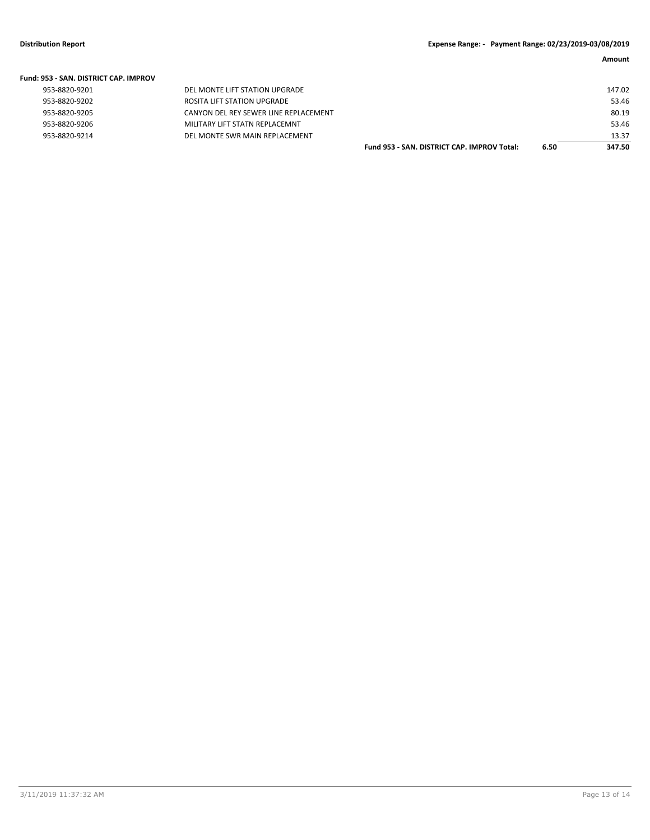| <b>Fund: 953 - SAN, DISTRICT CAP, IMPROV</b> |                                       |                                             |      |        |
|----------------------------------------------|---------------------------------------|---------------------------------------------|------|--------|
| 953-8820-9201                                | DEL MONTE LIFT STATION UPGRADE        |                                             |      | 147.02 |
| 953-8820-9202                                | ROSITA LIFT STATION UPGRADE           |                                             |      | 53.46  |
| 953-8820-9205                                | CANYON DEL REY SEWER LINE REPLACEMENT |                                             |      | 80.19  |
| 953-8820-9206                                | MILITARY LIFT STATN REPLACEMNT        |                                             |      | 53.46  |
| 953-8820-9214                                | DEL MONTE SWR MAIN REPLACEMENT        |                                             |      | 13.37  |
|                                              |                                       | Fund 953 - SAN, DISTRICT CAP, IMPROV Total: | 6.50 | 347.50 |